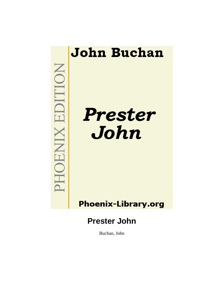

# **Phoenix-Library.org**

# **Prester John**

Buchan, John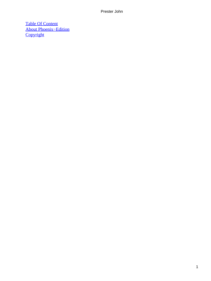[Table Of Content](#page-150-0) [About Phoenix−Edition](#page-152-0) **[Copyright](#page-153-0)**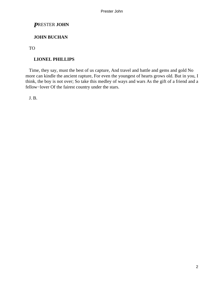# *P*RESTER **JOHN**

## **JOHN BUCHAN**

TO

## **LIONEL PHILLIPS**

 Time, they say, must the best of us capture, And travel and battle and gems and gold No more can kindle the ancient rapture, For even the youngest of hearts grows old. But in you, I think, the boy is not over; So take this medley of ways and wars As the gift of a friend and a fellow−lover Of the fairest country under the stars.

J. B.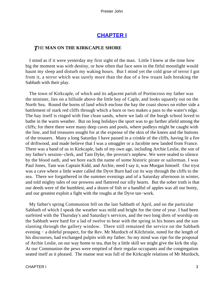## **[CHAPTER I](#page-150-0)**

#### *T*HE **MAN ON THE KIRKCAPLE SHORE**

 I mind as if it were yesterday my first sight of the man. Little I knew at the time how big the moment was with destiny, or how often that face seen in the fitful moonlight would haunt my sleep and disturb my waking hours. But I mind yet the cold grue of terror I got from it, a terror which was surely more than the due of a few truant lads breaking the Sabbath with their play.

 The town of Kirkcaple, of which and its adjacent parish of Portincross my father was the minister, lies on a hillside above the little bay of Caple, and looks squarely out on the North Sea. Round the horns of land which enclose the bay the coast shows on either side a battlement of stark red cliffs through which a burn or two makes a pass to the water's edge. The bay itself is ringed with fine clean sands, where we lads of the burgh school loved to bathe in the warm weather. But on long holidays the sport was to go farther afield among the cliffs; for there there were many deep caves and pools, where podleys might be caught with the line, and hid treasures sought for at the expense of the skin of the knees and the buttons of the trousers. Many a long Saturday I have passed in a crinkle of the cliffs, having lit a fire of driftwood, and made believe that I was a smuggler or a Jacobite new landed from France. There was a band of us in Kirkcaple, lads of my own age, including Archie Leslie, the son of my father's session−clerk, and Tam Dyke, the provost's nephew. We were sealed to silence by the blood oath, and we bore each the name of some historic pirate or sailorman. I was Paul Jones, Tam was Captain Kidd, and Archie, need I say it, was Morgan himself. Our tryst was a cave where a little water called the Dyve Burn had cut its way through the cliffs to the sea. There we forgathered in the summer evenings and of a Saturday afternoon in winter, and told mighty tales of our prowess and flattered our silly hearts. But the sober truth is that our deeds were of the humblest, and a dozen of fish or a handful of apples was all our booty, and our greatest exploit a fight with the roughs at the Dyve tan−work.

 My father's spring Communion fell on the last Sabbath of April, and on the particular Sabbath of which I speak the weather was mild and bright for the time of year. I had been surfeited with the Thursday's and Saturday's services, and the two long diets of worship on the Sabbath were hard for a lad of twelve to bear with the spring in his bones and the sun slanting through the gallery window. There still remained the service on the Sabbath evening − a doleful prospect, for the Rev. Mr Murdoch of Kilchristie, noted for the length of his discourses, had exchanged pulpits with my father. So my mind was ripe for the proposal of Archie Leslie, on our way home to tea, that by a little skill we might give the kirk the slip. At our Communion the pews were emptied of their regular occupants and the congregation seated itself as it pleased. The manse seat was full of the Kirkcaple relations of Mr Murdoch,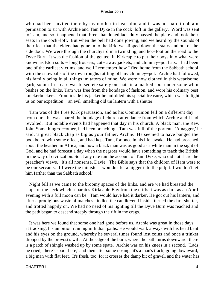who had been invited there by my mother to hear him, and it was not hard to obtain permission to sit with Archie and Tam Dyke in the cock−loft in the gallery. Word was sent to Tam, and so it happened that three abandoned lads duly passed the plate and took their seats in the cock−loft. But when the bell had done jowing, and we heard by the sounds of their feet that the elders had gone in to the kirk, we slipped down the stairs and out of the side door. We were through the churchyard in a twinkling, and hot−foot on the road to the Dyve Burn. It was the fashion of the genteel in Kirkcaple to put their boys into what were known as Eton suits − long trousers, cut− away jackets, and chimney−pot hats. I had been one of the earliest victims, and well I remember how I fled home from the Sabbath school with the snowballs of the town roughs rattling off my chimney−pot. Archie had followed, his family being in all things imitators of mine. We were now clothed in this wearisome garb, so our first care was to secrete safely our hats in a marked spot under some whin bushes on the links. Tam was free from the bondage of fashion, and wore his ordinary best knickerbockers. From inside his jacket he unfolded his special treasure, which was to light us on our expedition − an evil−smelling old tin lantern with a shutter.

 Tam was of the Free Kirk persuasion, and as his Communion fell on a different day from ours, he was spared the bondage of church attendance from which Archie and I had revolted. But notable events had happened that day in his church. A black man, the Rev. John Something−or−other, had been preaching. Tam was full of the portent. 'A nagger,' he said, 'a great black chap as big as your father, Archie.' He seemed to have banged the bookboard with some effect, and had kept Tam, for once in his life, awake. He had preached about the heathen in Africa, and how a black man was as good as a white man in the sight of God, and he had forecast a day when the negroes would have something to teach the British in the way of civilization. So at any rate ran the account of Tam Dyke, who did not share the preacher's views. 'It's all nonsense, Davie. The Bible says that the children of Ham were to be our servants. If I were the minister I wouldn't let a nigger into the pulpit. I wouldn't let him farther than the Sabbath school.'

 Night fell as we came to the broomy spaces of the links, and ere we had breasted the slope of the neck which separates Kirkcaple Bay from the cliffs it was as dark as an April evening with a full moon can be. Tam would have had it darker. He got out his lantern, and after a prodigious waste of matches kindled the candle−end inside, turned the dark shutter, and trotted happily on. We had no need of his lighting till the Dyve Burn was reached and the path began to descend steeply through the rift in the crags.

 It was here we found that some one had gone before us. Archie was great in those days at tracking, his ambition running in Indian paths. He would walk always with his head bent and his eyes on the ground, whereby he several times found lost coins and once a trinket dropped by the provost's wife. At the edge of the burn, where the path turns downward, there is a patch of shingle washed up by some spate. Archie was on his knees in a second. 'Lads,' he cried, 'there's spoor here;' and then after some nosing, 'it's a man's track, going downward, a big man with flat feet. It's fresh, too, for it crosses the damp bit of gravel, and the water has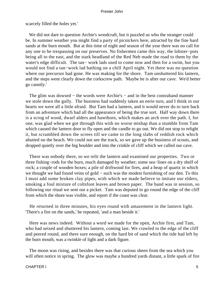scarcely filled the holes yet.'

 We did not dare to question Archie's woodcraft, but it puzzled us who the stranger could be. In summer weather you might find a party of picnickers here, attracted by the fine hard sands at the burn mouth. But at this time of night and season of the year there was no call for any one to be trespassing on our preserves. No fishermen came this way, the lobster−pots being all to the east, and the stark headland of the Red Neb made the road to them by the water's edge difficult. The tan− work lads used to come now and then for a swim, but you would not find a tan−work lad bathing on a chill April night. Yet there was no question where our precursor had gone. He was making for the shore. Tam unshuttered his lantern, and the steps went clearly down the corkscrew path. 'Maybe he is after our cave. We'd better go cannily.'

The glim was dowsed – the words were Archie's – and in the best contraband manner we stole down the gully. The business had suddenly taken an eerie turn, and I think in our hearts we were all a little afraid. But Tam had a lantern, and it would never do to turn back from an adventure which had all the appearance of being the true sort. Half way down there is a scrog of wood, dwarf alders and hawthorn, which makes an arch over the path. I, for one, was glad when we got through this with no worse mishap than a stumble from Tam which caused the lantern door to fly open and the candle to go out. We did not stop to relight it, but scrambled down the screes till we came to the long slabs of reddish rock which abutted on the beach. We could not see the track, so we gave up the business of scouts, and dropped quietly over the big boulder and into the crinkle of cliff which we called our cave.

 There was nobody there, so we relit the lantern and examined our properties. Two or three fishing−rods for the burn, much damaged by weather; some sea−lines on a dry shelf of rock; a couple of wooden boxes; a pile of driftwood for fires, and a heap of quartz in which we thought we had found veins of gold – such was the modest furnishing of our den. To this I must add some broken clay pipes, with which we made believe to imitate our elders, smoking a foul mixture of coltsfoot leaves and brown paper. The band was in session, so following our ritual we sent out a picket. Tam was deputed to go round the edge of the cliff from which the shore was visible, and report if the coast was clear.

 He returned in three minutes, his eyes round with amazement in the lantern light. 'There's a fire on the sands,' he repeated, 'and a man beside it.'

 Here was news indeed. Without a word we made for the open, Archie first, and Tam, who had seized and shuttered his lantern, coming last. We crawled to the edge of the cliff and peered round, and there sure enough, on the hard bit of sand which the tide had left by the burn mouth, was a twinkle of light and a dark figure.

 The moon was rising, and besides there was that curious sheen from the sea which you will often notice in spring. The glow was maybe a hundred yards distant, a little spark of fire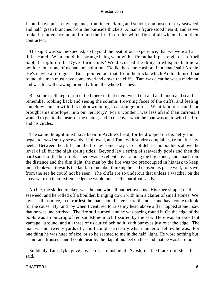I could have put in my cap, and, from its crackling and smoke, composed of dry seaweed and half−green branches from the burnside thickets. A man's figure stood near it, and as we looked it moved round and round the fire in circles which first of all widened and then contracted.

 The sight was so unexpected, so beyond the beat of our experience, that we were all a little scared. What could this strange being want with a fire at half−past eight of an April Sabbath night on the Dyve Burn sands? We discussed the thing in whispers behind a boulder, but none of us had any solution. 'Belike he's come ashore in a boat,' said Archie. 'He's maybe a foreigner.' But I pointed out that, from the tracks which Archie himself had found, the man must have come overland down the cliffs. Tam was clear he was a madman, and was for withdrawing promptly from the whole business.

 But some spell kept our feet tied there in that silent world of sand and moon and sea. I remember looking back and seeing the solemn, frowning faces of the cliffs, and feeling somehow shut in with this unknown being in a strange union. What kind of errand had brought this interloper into our territory? For a wonder I was less afraid than curious. I wanted to get to the heart of the matter, and to discover what the man was up to with his fire and his circles.

 The same thought must have been in Archie's head, for he dropped on his belly and began to crawl softly seawards. I followed, and Tam, with sundry complaints, crept after my heels. Between the cliffs and the fire lay some sixty yards of debris and boulders above the level of all but the high spring tides. Beyond lay a string of seaweedy pools and then the hard sands of the burnfoot. There was excellent cover among the big stones, and apart from the distance and the dim light, the man by the fire was too preoccupied in his task to keep much look−out towards the land. I remember thinking he had chosen his place well, for save from the sea he could not be seen. The cliffs are so undercut that unless a watcher on the coast were on their extreme edge he would not see the burnfoot sands.

 Archie, the skilled tracker, was the one who all but betrayed us. His knee slipped on the seaweed, and he rolled off a boulder, bringing down with him a clatter of small stones. We lay as still as mice, in terror lest the man should have heard the noise and have come to look for the cause. By−and−by when I ventured to raise my head above a flat−topped stone I saw that he was undisturbed. The fire still burned, and he was pacing round it. On the edge of the pools was an outcrop of red sandstone much fissured by the sea. Here was an excellent vantage− ground, and all three of us curled behind it, with our eyes just over the edge. The man was not twenty yards off, and I could see clearly what manner of fellow he was. For one thing he was huge of size, or so he seemed to me in the half−light. He wore nothing but a shirt and trousers, and I could hear by the flap of his feet on the sand that he was barefoot.

 Suddenly Tam Dyke gave a gasp of astonishment. 'Gosh, it's the black minister!' he said.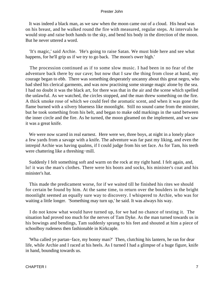It was indeed a black man, as we saw when the moon came out of a cloud. His head was on his breast, and he walked round the fire with measured, regular steps. At intervals he would stop and raise both hands to the sky, and bend his body in the direction of the moon. But he never uttered a word.

 'It's magic,' said Archie. 'He's going to raise Satan. We must bide here and see what happens, for he'll grip us if we try to go back. The moon's ower high.'

 The procession continued as if to some slow music. I had been in no fear of the adventure back there by our cave; but now that I saw the thing from close at hand, my courage began to ebb. There was something desperately uncanny about this great negro, who had shed his clerical garments, and was now practising some strange magic alone by the sea. I had no doubt it was the black art, for there was that in the air and the scene which spelled the unlawful. As we watched, the circles stopped, and the man threw something on the fire. A thick smoke rose of which we could feel the aromatic scent, and when it was gone the flame burned with a silvery blueness like moonlight. Still no sound came from the minister, but he took something from his belt, and began to make odd markings in the sand between the inner circle and the fire. As he turned, the moon gleamed on the implement, and we saw it was a great knife.

We were now scared in real earnest. Here were we, three boys, at night in a lonely place a few yards from a savage with a knife. The adventure was far past my liking, and even the intrepid Archie was having qualms, if I could judge from his set face. As for Tam, his teeth were chattering like a threshing−mill.

 Suddenly I felt something soft and warm on the rock at my right hand. I felt again, and, lo! it was the man's clothes. There were his boots and socks, his minister's coat and his minister's hat.

 This made the predicament worse, for if we waited till he finished his rites we should for certain be found by him. At the same time, to return over the boulders in the bright moonlight seemed an equally sure way to discovery. I whispered to Archie, who was for waiting a little longer. 'Something may turn up,' he said. It was always his way.

 I do not know what would have turned up, for we had no chance of testing it. The situation had proved too much for the nerves of Tam Dyke. As the man turned towards us in his bowings and bendings, Tam suddenly sprang to his feet and shouted at him a piece of schoolboy rudeness then fashionable in Kirkcaple.

 'Wha called ye partan−face, my bonny man?' Then, clutching his lantern, he ran for dear life, while Archie and I raced at his heels. As I turned I had a glimpse of a huge figure, knife in hand, bounding towards us.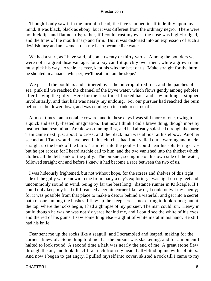Though I only saw it in the turn of a head, the face stamped itself indelibly upon my mind. It was black, black as ebony, but it was different from the ordinary negro. There were no thick lips and flat nostrils; rather, if I could trust my eyes, the nose was high−bridged, and the lines of the mouth sharp and firm. But it was distorted into an expression of such a devilish fury and amazement that my heart became like water.

 We had a start, as I have said, of some twenty or thirty yards. Among the boulders we were not at a great disadvantage, for a boy can flit quickly over them, while a grown man must pick his way. Archie, as ever, kept his wits the best of us. 'Make straight for the burn,' he shouted in a hoarse whisper; we'll beat him on the slope.'

 We passed the boulders and slithered over the outcrop of red rock and the patches of sea−pink till we reached the channel of the Dyve water, which flows gently among pebbles after leaving the gully. Here for the first time I looked back and saw nothing. I stopped involuntarily, and that halt was nearly my undoing. For our pursuer had reached the burn before us, but lower down, and was coming up its bank to cut us off.

 At most times I am a notable coward, and in these days I was still more of one, owing to a quick and easily−heated imagination. But now I think I did a brave thing, though more by instinct than resolution. Archie was running first, and had already splashed through the burn; Tam came next, just about to cross, and the black man was almost at his elbow. Another second and Tam would have been in his clutches had I not yelled out a warning and made straight up the bank of the burn. Tam fell into the pool − I could hear his spluttering cry − but he got across; for I heard Archie call to him, and the two vanished into the thicket which clothes all the left bank of the gully. The pursuer, seeing me on his own side of the water, followed straight on; and before I knew it had become a race between the two of us.

 I was hideously frightened, but not without hope, for the screes and shelves of this right side of the gully were known to me from many a day's exploring. I was light on my feet and uncommonly sound in wind, being by far the best long− distance runner in Kirkcaple. If I could only keep my lead till I reached a certain corner I knew of, I could outwit my enemy; for it was possible from that place to make a detour behind a waterfall and get into a secret path of ours among the bushes. I flew up the steep screes, not daring to look round; but at the top, where the rocks begin, I had a glimpse of my pursuer. The man could run. Heavy in build though he was he was not six yards behind me, and I could see the white of his eyes and the red of his gums. I saw something else − a glint of white metal in his hand. He still had his knife.

 Fear sent me up the rocks like a seagull, and I scrambled and leaped, making for the corner I knew of. Something told me that the pursuit was slackening, and for a moment I halted to look round. A second time a halt was nearly the end of me. A great stone flew through the air, and took the cliff an inch from my head, half−blinding me with splinters. And now I began to get angry. I pulled myself into cover, skirted a rock till I came to my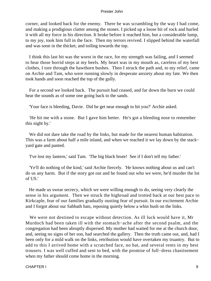corner, and looked back for the enemy. There he was scrambling by the way I had come, and making a prodigious clatter among the stones. I picked up a loose bit of rock and hurled it with all my force in his direction. It broke before it reached him, but a considerable lump, to my joy, took him full in the face. Then my terrors revived. I slipped behind the waterfall and was soon in the thicket, and toiling towards the top.

 I think this last bit was the worst in the race, for my strength was failing, and I seemed to hear those horrid steps at my heels. My heart was in my mouth as, careless of my best clothes, I tore through the hawthorn bushes. Then I struck the path and, to my relief, came on Archie and Tam, who were running slowly in desperate anxiety about my fate. We then took hands and soon reached the top of the gully.

 For a second we looked back. The pursuit had ceased, and far down the burn we could hear the sounds as of some one going back to the sands.

'Your face is bleeding, Davie. Did he get near enough to hit you?' Archie asked.

 'He hit me with a stone. But I gave him better. He's got a bleeding nose to remember this night by.'

 We did not dare take the road by the links, but made for the nearest human habitation. This was a farm about half a mile inland, and when we reached it we lay down by the stack– yard gate and panted.

'I've lost my lantern,' said Tam. 'The big black brute! See if I don't tell my father.'

 'Ye'll do nothing of the kind,' said Archie fiercely. 'He knows nothing about us and can't do us any harm. But if the story got out and he found out who we were, he'd murder the lot of US.'

 He made us swear secrecy, which we were willing enough to do, seeing very clearly the sense in his argument. Then we struck the highroad and trotted back at our best pace to Kirkcaple, fear of our families gradually ousting fear of pursuit. In our excitement Archie and I forgot about our Sabbath hats, reposing quietly below a whin bush on the links.

 We were not destined to escape without detection. As ill luck would have it, Mr Murdoch had been taken ill with the stomach−ache after the second psalm, and the congregation had been abruptly dispersed. My mother had waited for me at the church door, and, seeing no signs of her son, had searched the gallery. Then the truth came out, and, had I been only for a mild walk on the links, retribution would have overtaken my truantry. But to add to this I arrived home with a scratched face, no hat, and several rents in my best trousers. I was well cuffed and sent to bed, with the promise of full−dress chastisement when my father should come home in the morning.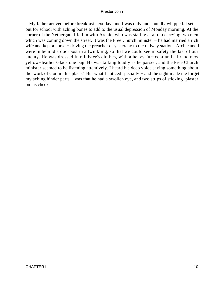My father arrived before breakfast next day, and I was duly and soundly whipped. I set out for school with aching bones to add to the usual depression of Monday morning. At the corner of the Nethergate I fell in with Archie, who was staring at a trap carrying two men which was coming down the street. It was the Free Church minister – he had married a rich wife and kept a horse – driving the preacher of yesterday to the railway station. Archie and I were in behind a doorpost in a twinkling, so that we could see in safety the last of our enemy. He was dressed in minister's clothes, with a heavy fur−coat and a brand new yellow−leather Gladstone bag. He was talking loudly as he passed, and the Free Church minister seemed to be listening attentively. I heard his deep voice saying something about the 'work of God in this place.' But what I noticed specially − and the sight made me forget my aching hinder parts − was that he had a swollen eye, and two strips of sticking−plaster on his cheek.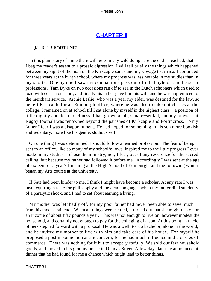# **[CHAPTER II](#page-150-0)**

## *F*URTH! **FORTUNE!**

 In this plain story of mine there will be so many wild doings ere the end is reached, that I beg my reader's assent to a prosaic digression. I will tell briefly the things which happened between my sight of the man on the Kirkcaple sands and my voyage to Africa. I continued for three years at the burgh school, where my progress was less notable in my studies than in my sports. One by one I saw my companions pass out of idle boyhood and be set to professions. Tam Dyke on two occasions ran off to sea in the Dutch schooners which used to load with coal in our port; and finally his father gave him his will, and he was apprenticed to the merchant service. Archie Leslie, who was a year my elder, was destined for the law, so he left Kirkcaple for an Edinburgh office, where he was also to take out classes at the college. I remained on at school till I sat alone by myself in the highest class − a position of little dignity and deep loneliness. I had grown a tall, square−set lad, and my prowess at Rugby football was renowned beyond the parishes of Kirkcaple and Portincross. To my father I fear I was a disappointment. He had hoped for something in his son more bookish and sedentary, more like his gentle, studious self.

 On one thing I was determined: I should follow a learned profession. The fear of being sent to an office, like so many of my schoolfellows, inspired me to the little progress I ever made in my studies. I chose the ministry, not, I fear, out of any reverence for the sacred calling, but because my father had followed it before me. Accordingly I was sent at the age of sixteen for a year's finishing at the High School of Edinburgh, and the following winter began my Arts course at the university.

 If Fate had been kinder to me, I think I might have become a scholar. At any rate I was just acquiring a taste for philosophy and the dead languages when my father died suddenly of a paralytic shock, and I had to set about earning a living.

 My mother was left badly off, for my poor father had never been able to save much from his modest stipend. When all things were settled, it turned out that she might reckon on an income of about fifty pounds a year. This was not enough to live on, however modest the household, and certainly not enough to pay for the colleging of a son. At this point an uncle of hers stepped forward with a proposal. He was a well−to−do bachelor, alone in the world, and he invited my mother to live with him and take care of his house. For myself he proposed a post in some mercantile concern, for he had much influence in the circles of commerce. There was nothing for it but to accept gratefully. We sold our few household goods, and moved to his gloomy house in Dundas Street. A few days later he announced at dinner that he had found for me a chance which might lead to better things.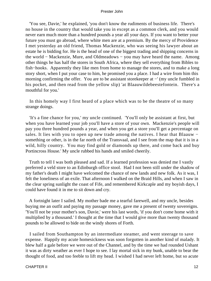'You see, Davie,' he explained, 'you don't know the rudiments of business life. There's no house in the country that would take you in except as a common clerk, and you would never earn much more than a hundred pounds a year all your days. If you want to better your future you must go abroad, where white men are at a premium. By the mercy of Providence I met yesterday an old friend, Thomas Mackenzie, who was seeing his lawyer about an estate he is bidding for. He is the head of one of the biggest trading and shipping concerns in the world − Mackenzie, Mure, and Oldmeadows − you may have heard the name. Among other things he has half the stores in South Africa, where they sell everything from Bibles to fish−hooks. Apparently they like men from home to manage the stores, and to make a long story short, when I put your case to him, he promised you a place. I had a wire from him this morning confirming the offer. You are to be assistant storekeeper at −' (my uncle fumbled in his pocket, and then read from the yellow slip) 'at Blaauwildebeestefontein. There's a mouthful for you.'

 In this homely way I first heard of a place which was to be the theatre of so many strange doings.

 'It's a fine chance for you,' my uncle continued. 'You'll only be assistant at first, but when you have learned your job you'll have a store of your own. Mackenzie's people will pay you three hundred pounds a year, and when you get a store you'll get a percentage on sales. It lies with you to open up new trade among the natives. I hear that Blaauw − something or other, is in the far north of the Transvaal, and I see from the map that it is in a wild, hilly country. You may find gold or diamonds up there, and come back and buy Portincross House.' My uncle rubbed his hands and smiled cheerily.

 Truth to tell I was both pleased and sad. If a learned profession was denied me I vastly preferred a veld store to an Edinburgh office stool. Had I not been still under the shadow of my father's death I might have welcomed the chance of new lands and new folk. As it was, I felt the loneliness of an exile. That afternoon I walked on the Braid Hills, and when I saw in the clear spring sunlight the coast of Fife, and remembered Kirkcaple and my boyish days, I could have found it in me to sit down and cry.

 A fortnight later I sailed. My mother bade me a tearful farewell, and my uncle, besides buying me an outfit and paying my passage money, gave me a present of twenty sovereigns. 'You'll not be your mother's son, Davie,' were his last words, 'if you don't come home with it multiplied by a thousand.' I thought at the time that I would give more than twenty thousand pounds to be allowed to bide on the windy shores of Forth.

 I sailed from Southampton by an intermediate steamer, and went steerage to save expense. Happily my acute homesickness was soon forgotten in another kind of malady. It blew half a gale before we were out of the Channel, and by the time we had rounded Ushant it was as dirty weather as ever I hope to see. I lay mortal sick in my bunk, unable to bear the thought of food, and too feeble to lift my head. I wished I had never left home, but so acute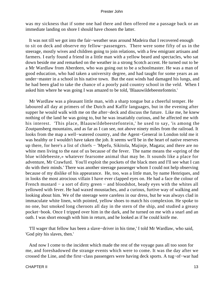was my sickness that if some one had there and then offered me a passage back or an immediate landing on shore I should have chosen the latter.

 It was not till we got into the fair−weather seas around Madeira that I recovered enough to sit on deck and observe my fellow−passengers. There were some fifty of us in the steerage, mostly wives and children going to join relations, with a few emigrant artisans and farmers. I early found a friend in a little man with a yellow beard and spectacles, who sat down beside me and remarked on the weather in a strong Scotch accent. He turned out to be a Mr Wardlaw from Aberdeen, who was going out to be a schoolmaster. He was a man of good education, who had taken a university degree, and had taught for some years as an under−master in a school in his native town. But the east winds had damaged his lungs, and he had been glad to take the chance of a poorly paid country school in the veld. When I asked him where he was going I was amazed to be told, 'Blaauwildebeestefontein.'

 Mr Wardlaw was a pleasant little man, with a sharp tongue but a cheerful temper. He laboured all day at primers of the Dutch and Kaffir languages, but in the evening after supper he would walk with me on the after−deck and discuss the future. Like me, he knew nothing of the land he was going to, but he was insatiably curious, and he affected me with his interest. 'This place, Blaauwildebeestefontein,' he used to say, 'is among the Zoutpansberg mountains, and as far as I can see, not above ninety miles from the railroad. It looks from the map a well−watered country, and the Agent−General in London told me it was healthy or I wouldn't have taken the job. It seems we'll be in the heart of native reserves up there, for here's a list of chiefs − 'Mpefu, Sikitola, Majinje, Magata; and there are no white men living to the east of us because of the fever. The name means the «spring of the blue wildebeeste,» whatever fearsome animal that may be. It sounds like a place for adventure, Mr Crawfurd. You'll exploit the pockets of the black men and I'll see what I can do with their minds.' There was another steerage passenger whom I could not help observing because of my dislike of his appearance. He, too, was a little man, by name Henriques, and in looks the most atrocious villain I have ever clapped eyes on. He had a face the colour of French mustard − a sort of dirty green − and bloodshot, beady eyes with the whites all yellowed with fever. He had waxed moustaches, and a curious, furtive way of walking and looking about him. We of the steerage were careless in our dress, but he was always clad in immaculate white linen, with pointed, yellow shoes to match his complexion. He spoke to no one, but smoked long cheroots all day in the stern of the ship, and studied a greasy pocket−book. Once I tripped over him in the dark, and he turned on me with a snarl and an oath. I was short enough with him in return, and he looked as if he could knife me.

 'I'll wager that fellow has been a slave−driver in his time,' I told Mr Wardlaw, who said, 'God pity his slaves, then.'

 And now I come to the incident which made the rest of the voyage pass all too soon for me, and foreshadowed the strange events which were to come. It was the day after we crossed the Line, and the first−class passengers were having deck sports. A tug−of−war had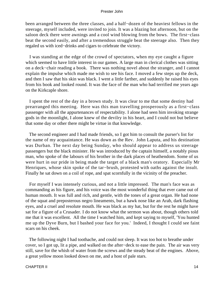been arranged between the three classes, and a half−dozen of the heaviest fellows in the steerage, myself included, were invited to join. It was a blazing hot afternoon, but on the saloon deck there were awnings and a cool wind blowing from the bows. The first−class beat the second easily, and after a tremendous struggle beat the steerage also. Then they regaled us with iced−drinks and cigars to celebrate the victory.

 I was standing at the edge of the crowd of spectators, when my eye caught a figure which seemed to have little interest in our games. A large man in clerical clothes was sitting on a deck−chair reading a book. There was nothing novel about the stranger, and I cannot explain the impulse which made me wish to see his face. I moved a few steps up the deck, and then I saw that his skin was black. I went a little farther, and suddenly he raised his eyes from his book and looked round. It was the face of the man who had terrified me years ago on the Kirkcaple shore.

 I spent the rest of the day in a brown study. It was clear to me that some destiny had prearranged this meeting. Here was this man travelling prosperously as a first−class passenger with all the appurtenances of respectability. I alone had seen him invoking strange gods in the moonlight, I alone knew of the devilry in his heart, and I could not but believe that some day or other there might be virtue in that knowledge.

 The second engineer and I had made friends, so I got him to consult the purser's list for the name of my acquaintance. He was down as the Rev. John Laputa, and his destination was Durban. The next day being Sunday, who should appear to address us steerage passengers but the black minister. He was introduced by the captain himself, a notably pious man, who spoke of the labours of his brother in the dark places of heathendom. Some of us were hurt in our pride in being made the target of a black man's oratory. Especially Mr Henriques, whose skin spoke of the tar−brush, protested with oaths against the insult. Finally he sat down on a coil of rope, and spat scornfully in the vicinity of the preacher.

 For myself I was intensely curious, and not a little impressed. The man's face was as commanding as his figure, and his voice was the most wonderful thing that ever came out of human mouth. It was full and rich, and gentle, with the tones of a great organ. He had none of the squat and preposterous negro lineaments, but a hawk nose like an Arab, dark flashing eyes, and a cruel and resolute mouth. He was black as my hat, but for the rest he might have sat for a figure of a Crusader. I do not know what the sermon was about, though others told me that it was excellent. All the time I watched him, and kept saying to myself, 'You hunted me up the Dyve Burn, but I bashed your face for you.' Indeed, I thought I could see faint scars on his cheek.

 The following night I had toothache, and could not sleep. It was too hot to breathe under cover, so I got up, lit a pipe, and walked on the after−deck to ease the pain. The air was very still, save for the whish of water from the screws and the steady beat of the engines. Above, a great yellow moon looked down on me, and a host of pale stars.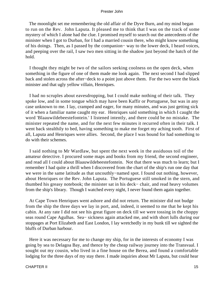The moonlight set me remembering the old affair of the Dyve Burn, and my mind began to run on the Rev. John Laputa. It pleased me to think that I was on the track of some mystery of which I alone had the clue. I promised myself to search out the antecedents of the minister when I got to Durban, for I had a married cousin there, who might know something of his doings. Then, as I passed by the companion− way to the lower deck, I heard voices, and peeping over the rail, I saw two men sitting in the shadow just beyond the hatch of the hold.

 I thought they might be two of the sailors seeking coolness on the open deck, when something in the figure of one of them made me look again. The next second I had slipped back and stolen across the after−deck to a point just above them. For the two were the black minister and that ugly yellow villain, Henriques.

 I had no scruples about eavesdropping, but I could make nothing of their talk. They spoke low, and in some tongue which may have been Kaffir or Portuguese, but was in any case unknown to me. I lay, cramped and eager, for many minutes, and was just getting sick of it when a familiar name caught my ear. Henriques said something in which I caught the word 'Blaauwildebeestefontein.' I listened intently, and there could be no mistake. The minister repeated the name, and for the next few minutes it recurred often in their talk. I went back stealthily to bed, having something to make me forget my aching tooth. First of all, Laputa and Henriques were allies. Second, the place I was bound for had something to do with their schemes.

 I said nothing to Mr Wardlaw, but spent the next week in the assiduous toil of the amateur detective. I procured some maps and books from my friend, the second engineer, and read all I could about Blaauwildebeestefontein. Not that there was much to learn; but I remember I had quite a thrill when I discovered from the chart of the ship's run one day that we were in the same latitude as that uncouthly−named spot. I found out nothing, however, about Henriques or the Rev. John Laputa. The Portuguese still smoked in the stern, and thumbed his greasy notebook; the minister sat in his deck− chair, and read heavy volumes from the ship's library. Though I watched every night, I never found them again together.

 At Cape Town Henriques went ashore and did not return. The minister did not budge from the ship the three days we lay in port, and, indeed, it seemed to me that he kept his cabin. At any rate I did not see his great figure on deck till we were tossing in the choppy seas round Cape Agulhas. Sea− sickness again attacked me, and with short lulls during our stoppages at Port Elizabeth and East London, I lay wretchedly in my bunk till we sighted the bluffs of Durban harbour.

 Here it was necessary for me to change my ship, for in the interests of economy I was going by sea to Delagoa Bay, and thence by the cheap railway journey into the Transvaal. I sought out my cousin, who lived in a fine house on the Berea, and found a comfortable lodging for the three days of my stay there. I made inquiries about Mr Laputa, but could hear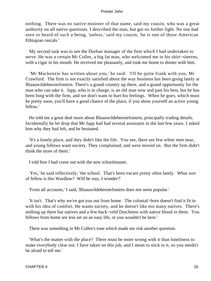nothing. There was no native minister of that name, said my cousin, who was a great authority on all native questions. I described the man, but got no further light. No one had seen or heard of such a being, 'unless,' said my cousin, 'he is one of those American Ethiopian rascals.'

 My second task was to see the Durban manager of the firm which I had undertaken to serve. He was a certain Mr Colles, a big fat man, who welcomed me in his shirt−sleeves, with a cigar in his mouth. He received me pleasantly, and took me home to dinner with him.

 'Mr Mackenzie has written about you,' he said. 'I'll be quite frank with you, Mr Crawfurd. The firm is not exactly satisfied about the way business has been going lately at Blaauwildebeestefontein. There's a grand country up there, and a grand opportunity for the man who can take it. Japp, who is in charge, is an old man now and past his best, but he has been long with the firm, and we don't want to hurt his feelings. When he goes, which must be pretty soon, you'll have a good chance of the place, if you show yourself an active young fellow.'

 He told me a great deal more about Blaauwildebeestefontein, principally trading details. Incidentally he let drop that Mr Japp had had several assistants in the last few years. I asked him why they had left, and he hesitated.

 'It's a lonely place, and they didn't like the life. You see, there are few white men near, and young fellows want society. They complained, and were moved on. But the firm didn't think the more of them.'

I told him I had come out with the new schoolmaster.

 'Yes,' he said reflectively, 'the school. That's been vacant pretty often lately. What sort of fellow is this Wardlaw? Will he stay, I wonder?'

'From all accounts,' I said, 'Blaauwildebeestefontein does not seem popular.'

 'It isn't. That's why we've got you out from home. The colonial−born doesn't find it fit in with his idea of comfort. He wants society, and he doesn't like too many natives. There's nothing up there but natives and a few back−veld Dutchmen with native blood in them. You fellows from home are less set on an easy life, or you wouldn't be here.'

There was something in Mr Colles's tone which made me risk another question.

 'What's the matter with the place? There must be more wrong with it than loneliness to make everybody clear out. I have taken on this job, and I mean to stick to it, so you needn't be afraid to tell me.'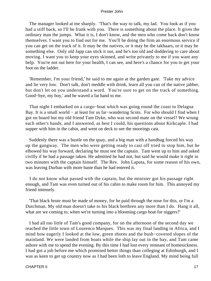The manager looked at me sharply. 'That's the way to talk, my lad. You look as if you had a stiff back, so I'll be frank with you. There is something about the place. It gives the ordinary man the jumps. What it is, I don't know, and the men who come back don't know themselves. I want you to find out for me. You'll be doing the firm an enormous service if you can get on the track of it. It may be the natives, or it may be the takhaars, or it may be something else. Only old Japp can stick it out, and he's too old and doddering to care about moving. I want you to keep your eyes skinned, and write privately to me if you want any help. You're not out here for your health, I can see, and here's a chance for you to get your foot on the ladder.

 'Remember, I'm your friend,' he said to me again at the garden gate. 'Take my advice and lie very low. Don't talk, don't meddle with drink, learn all you can of the native jabber, but don't let on you understand a word. You're sure to get on the track of something. Good−bye, my boy,' and he waved a fat hand to me.

 That night I embarked on a cargo−boat which was going round the coast to Delagoa Bay. It is a small world − at least for us far−wandering Scots. For who should I find when I got on board but my old friend Tam Dyke, who was second mate on the vessel? We wrung each other's hands, and I answered, as best I could, his questions about Kirkcaple. I had supper with him in the cabin, and went on deck to see the moorings cast.

 Suddenly there was a bustle on the quay, and a big man with a handbag forced his way up the gangway. The men who were getting ready to cast off tried to stop him, but he elbowed his way forward, declaring he must see the captain. Tam went up to him and asked civilly if he had a passage taken. He admitted he had not, but said he would make it right in two minutes with the captain himself. The Rev. John Laputa, for some reason of his own, was leaving Durban with more haste than he had entered it.

 I do not know what passed with the captain, but the minister got his passage right enough, and Tam was even turned out of his cabin to make room for him. This annoyed my friend intensely.

 'That black brute must be made of money, for he paid through the nose for this, or I'm a Dutchman. My old man doesn't take to his black brethren any more than I do. Hang it all, what are we coming to, when we're turning into a blooming cargo boat for niggers?'

 I had all too little of Tam's good company, for on the afternoon of the second day we reached the little town of Lourenco Marques. This was my final landing in Africa, and I mind how eagerly I looked at the low, green shores and the bush−covered slopes of the mainland. We were landed from boats while the ship lay out in the bay, and Tam came ashore with me to spend the evening. By this time I had lost every remnant of homesickness. I had got a job before me which promised better things than colleging at Edinburgh, and I was as keen to get up country now as I had been loth to leave England. My mind being full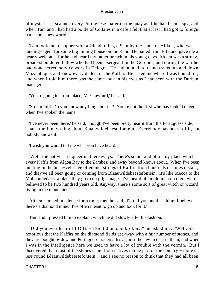of mysteries, I scanned every Portuguese loafer on the quay as if he had been a spy, and when Tam and I had had a bottle of Collates in a cafe I felt that at last I had got to foreign parts and a new world.

 Tam took me to supper with a friend of his, a Scot by the name of Aitken, who was landing−agent for some big mining house on the Rand. He hailed from Fife and gave me a hearty welcome, for he had heard my father preach in his young days. Aitken was a strong, broad−shouldered fellow who had been a sergeant in the Gordons, and during the war he had done secret−service work in Delagoa. He had hunted, too, and traded up and down Mozambique, and knew every dialect of the Kaffirs. He asked me where I was bound for, and when I told him there was the same look in his eyes as I had seen with the Durban manager.

'You're going to a rum place, Mr Crawfurd,' he said.

 'So I'm told. Do you know anything about it? You're not the first who has looked queer when I've spoken the name.'

 'I've never been there,' he said, 'though I've been pretty near it from the Portuguese side. That's the funny thing about Blaauwildebeestefontein. Everybody has heard of it, and nobody knows it.'

'I wish you would tell me what you have heard.'

 'Well, the natives are queer up thereaways. There's some kind of a holy place which every Kaffir from Algoa Bay to the Zambesi and away beyond knows about. When I've been hunting in the bush−veld I've often met strings of Kaffirs from hundreds of miles distant, and they've all been going or coming from Blaauwildebeestefontein. It's like Mecca to the Mohammedans, a place they go to on pilgrimage. I've heard of an old man up there who is believed to be two hundred years old. Anyway, there's some sort of great witch or wizard living in the mountains.'

 Aitken smoked in silence for a time; then he said, 'I'll tell you another thing. I believe there's a diamond mine. I've often meant to go up and look for it.'

Tam and I pressed him to explain, which he did slowly after his fashion.

 'Did you ever hear of I.D.B. − illicit diamond broking?' he asked me. 'Well, it's notorious that the Kaffirs on the diamond fields get away with a fair number of stones, and they are bought by Jew and Portuguese traders. It's against the law to deal in them, and when I was in the intelligence here we used to have a lot of trouble with the vermin. But I discovered that most of the stones came from natives in one part of the country − more or less round Blaauwildebeestefontein − and I see no reason to think that they had all been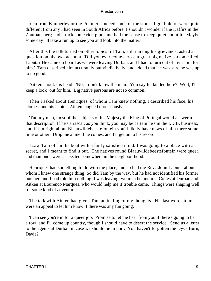stolen from Kimberley or the Premier. Indeed some of the stones I got hold of were quite different from any I had seen in South Africa before. I shouldn't wonder if the Kaffirs in the Zoutpansberg had struck some rich pipe, and had the sense to keep quiet about it. Maybe some day I'll take a run up to see you and look into the matter.'

 After this the talk turned on other topics till Tam, still nursing his grievance, asked a question on his own account. 'Did you ever come across a great big native parson called Laputa? He came on board as we were leaving Durban, and I had to turn out of my cabin for him.' Tam described him accurately but vindictively, and added that 'he was sure he was up to no good.'

 Aitken shook his head. 'No, I don't know the man. You say he landed here? Well, I'll keep a look−out for him. Big native parsons are not so common.'

 Then I asked about Henriques, of whom Tam knew nothing. I described his face, his clothes, and his habits. Aitken laughed uproariously.

 'Tut, my man, most of the subjects of his Majesty the King of Portugal would answer to that description. If he's a rascal, as you think, you may be certain he's in the I.D.B. business, and if I'm right about Blaauwildebeestefontein you'll likely have news of him there some time or other. Drop me a line if he comes, and I'll get on to his record.'

 I saw Tam off in the boat with a fairly satisfied mind. I was going to a place with a secret, and I meant to find it out. The natives round Blaauwildebeestefontein were queer, and diamonds were suspected somewhere in the neighbourhood.

 Henriques had something to do with the place, and so had the Rev. John Laputa, about whom I knew one strange thing. So did Tam by the way, but he had not identified his former pursuer, and I had told him nothing. I was leaving two men behind me, Colles at Durban and Aitken at Lourenco Marques, who would help me if trouble came. Things were shaping well for some kind of adventure.

 The talk with Aitken had given Tam an inkling of my thoughts. His last words to me were an appeal to let him know if there was any fun going.

 'I can see you're in for a queer job. Promise to let me hear from you if there's going to be a row, and I'll come up country, though I should have to desert the service. Send us a letter to the agents at Durban in case we should be in port. You haven't forgotten the Dyve Burn, Davie?'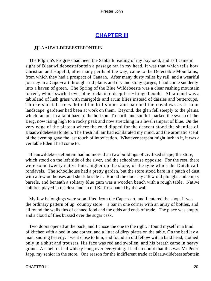## **[CHAPTER III](#page-150-0)**

### *B*LAAUWILDEBEESTEFONTEIN

 The Pilgrim's Progress had been the Sabbath reading of my boyhood, and as I came in sight of Blaauwildebeestefontein a passage ran in my head. It was that which tells how Christian and Hopeful, after many perils of the way, came to the Delectable Mountains, from which they had a prospect of Canaan. After many dusty miles by rail, and a weariful journey in a Cape−cart through arid plains and dry and stony gorges, I had come suddenly into a haven of green. The Spring of the Blue Wildebeeste was a clear rushing mountain torrent, which swirled over blue rocks into deep fern−fringed pools. All around was a tableland of lush grass with marigolds and arum lilies instead of daisies and buttercups. Thickets of tall trees dotted the hill slopes and patched the meadows as if some landscape−gardener had been at work on them. Beyond, the glen fell steeply to the plains, which ran out in a faint haze to the horizon. To north and south I marked the sweep of the Berg, now rising high to a rocky peak and now stretching in a level rampart of blue. On the very edge of the plateau where the road dipped for the descent stood the shanties of Blaauwildebeestefontein. The fresh hill air had exhilarated my mind, and the aromatic scent of the evening gave the last touch of intoxication. Whatever serpent might lurk in it, it was a veritable Eden I had come to.

 Blaauwildebeestefontein had no more than two buildings of civilized shape; the store, which stood on the left side of the river, and the schoolhouse opposite. For the rest, there were some twenty native huts, higher up the slope, of the type which the Dutch call rondavels. The schoolhouse had a pretty garden, but the store stood bare in a patch of dust with a few outhouses and sheds beside it. Round the door lay a few old ploughs and empty barrels, and beneath a solitary blue gum was a wooden bench with a rough table. Native children played in the dust, and an old Kaffir squatted by the wall.

 My few belongings were soon lifted from the Cape−cart, and I entered the shop. It was the ordinary pattern of up−country store − a bar in one corner with an array of bottles, and all round the walls tins of canned food and the odds and ends of trade. The place was empty, and a cloud of flies buzzed over the sugar cask.

 Two doors opened at the back, and I chose the one to the right. I found myself in a kind of kitchen with a bed in one corner, and a litter of dirty plates on the table. On the bed lay a man, snoring heavily. I went close to him, and found an old fellow with a bald head, clothed only in a shirt and trousers. His face was red and swollen, and his breath came in heavy grunts. A smell of bad whisky hung over everything. I had no doubt that this was Mr Peter Japp, my senior in the store. One reason for the indifferent trade at Blaauwildebeestefontein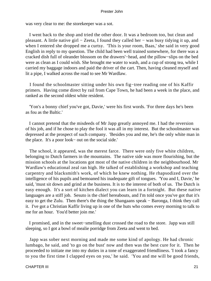was very clear to me: the storekeeper was a sot.

 I went back to the shop and tried the other door. It was a bedroom too, but clean and pleasant. A little native girl − Zeeta, I found they called her − was busy tidying it up, and when I entered she dropped me a curtsy. 'This is your room, Baas,' she said in very good English in reply to my question. The child had been well trained somewhere, for there was a cracked dish full of oleander blossom on the drawers'−head, and the pillow−slips on the bed were as clean as I could wish. She brought me water to wash, and a cup of strong tea, while I carried my baggage indoors and paid the driver of the cart. Then, having cleaned myself and lit a pipe, I walked across the road to see Mr Wardlaw.

 I found the schoolmaster sitting under his own fig−tree reading one of his Kaffir primers. Having come direct by rail from Cape Town, he had been a week in the place, and ranked as the second oldest white resident.

 'Yon's a bonny chief you've got, Davie,' were his first words. 'For three days he's been as fou as the Baltic.'

 I cannot pretend that the misdeeds of Mr Japp greatly annoyed me. I had the reversion of his job, and if he chose to play the fool it was all in my interest. But the schoolmaster was depressed at the prospect of such company. 'Besides you and me, he's the only white man in the place. It's a poor look− out on the social side.'

 The school, it appeared, was the merest farce. There were only five white children, belonging to Dutch farmers in the mountains. The native side was more flourishing, but the mission schools at the locations got most of the native children in the neighbourhood. Mr Wardlaw's educational zeal ran high. He talked of establishing a workshop and teaching carpentry and blacksmith's work, of which he knew nothing. He rhapsodized over the intelligence of his pupils and bemoaned his inadequate gift of tongues. 'You and I, Davie,' he said, 'must sit down and grind at the business. It is to the interest of both of us. The Dutch is easy enough. It's a sort of kitchen dialect you can learn in a fortnight. But these native languages are a stiff job. Sesuto is the chief hereabouts, and I'm told once you've got that it's easy to get the Zulu. Then there's the thing the Shangaans speak − Baronga, I think they call it. I've got a Christian Kaffir living up in one of the huts who comes every morning to talk to me for an hour. You'd better join me.'

 I promised, and in the sweet−smelling dust crossed the road to the store. Japp was still sleeping, so I got a bowl of mealie porridge from Zeeta and went to bed.

 Japp was sober next morning and made me some kind of apology. He had chronic lumbago, he said, and 'to go on the bust' now and then was the best cure for it. Then he proceeded to initiate me into my duties in a tone of exaggerated friendliness. 'I took a fancy to you the first time I clapped eyes on you,' he said. 'You and me will be good friends,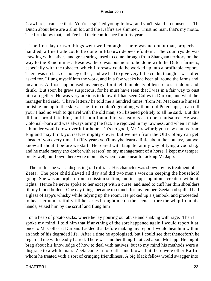Crawfurd, I can see that. You're a spirited young fellow, and you'll stand no nonsense. The Dutch about here are a slim lot, and the Kaffirs are slimmer. Trust no man, that's my motto. The firm know that, and I've had their confidence for forty years.'

 The first day or two things went well enough. There was no doubt that, properly handled, a fine trade could be done in Blaauwildebeestefontein. The countryside was crawling with natives, and great strings used to come through from Shangaan territory on the way to the Rand mines. Besides, there was business to be done with the Dutch farmers, especially with the tobacco, which I foresaw could be worked up into a profitable export. There was no lack of money either, and we had to give very little credit, though it was often asked for. I flung myself into the work, and in a few weeks had been all round the farms and locations. At first Japp praised my energy, for it left him plenty of leisure to sit indoors and drink. But soon he grew suspicious, for he must have seen that I was in a fair way to oust him altogether. He was very anxious to know if I had seen Colles in Durban, and what the manager had said. 'I have letters,' he told me a hundred times, 'from Mr Mackenzie himself praising me up to the skies. The firm couldn't get along without old Peter Japp, I can tell you.' I had no wish to quarrel with the old man, so I listened politely to all he said. But this did not propitiate him, and I soon found him so jealous as to be a nuisance. He was Colonial−born and was always airing the fact. He rejoiced in my rawness, and when I made a blunder would crow over it for hours. 'It's no good, Mr Crawfurd; you new chums from England may think yourselves mighty clever, but we men from the Old Colony can get ahead of you every time. In fifty years you'll maybe learn a little about the country, but we know all about it before we start.' He roared with laughter at my way of tying a voorslag, and he made merry (no doubt with reason) on my management of a horse. I kept my temper pretty well, but I own there were moments when I came near to kicking Mr Japp.

 The truth is he was a disgusting old ruffian. His character was shown by his treatment of Zeeta. The poor child slaved all day and did two men's work in keeping the household going. She was an orphan from a mission station, and in Japp's opinion a creature without rights. Hence he never spoke to her except with a curse, and used to cuff her thin shoulders till my blood boiled. One day things became too much for my temper. Zeeta had spilled half a glass of Japp's whisky while tidying up the room. He picked up a sjambok, and proceeded to beat her unmercifully till her cries brought me on the scene. I tore the whip from his hands, seized him by the scruff and flung him

 on a heap of potato sacks, where he lay pouring out abuse and shaking with rage. Then I spoke my mind. I told him that if anything of the sort happened again I would report it at once to Mr Colles at Durban. I added that before making my report I would beat him within an inch of his degraded life. After a time he apologized, but I could see that thenceforth he regarded me with deadly hatred. There was another thing I noticed about Mr Japp. He might brag about his knowledge of how to deal with natives, but to my mind his methods were a disgrace to a white man. Zeeta came in for oaths and blows, but there were other Kaffirs whom he treated with a sort of cringing friendliness. A big black fellow would swagger into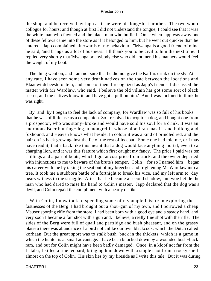the shop, and be received by Japp as if he were his long−lost brother. The two would collogue for hours; and though at first I did not understand the tongue, I could see that it was the white man who fawned and the black man who bullied. Once when japp was away one of these fellows came into the store as if it belonged to him, but he went out quicker than he entered. Japp complained afterwards of my behaviour. ''Mwanga is a good friend of mine,' he said, 'and brings us a lot of business. I'll thank you to be civil to him the next time.' I replied very shortly that 'Mwanga or anybody else who did not mend his manners would feel the weight of my boot.

 The thing went on, and I am not sure that he did not give the Kaffirs drink on the sly. At any rate, I have seen some very drunk natives on the road between the locations and Blaauwildebeestefontein, and some of them I recognized as Japp's friends. I discussed the matter with Mr Wardlaw, who said, 'I believe the old villain has got some sort of black secret, and the natives know it, and have got a pull on him.' And I was inclined to think he was right.

 By−and−by I began to feel the lack of company, for Wardlaw was so full of his books that he was of little use as a companion. So I resolved to acquire a dog, and bought one from a prospector, who was stony−broke and would have sold his soul for a drink. It was an enormous Boer hunting−dog, a mongrel in whose blood ran mastiff and bulldog and foxhound, and Heaven knows what beside. In colour it was a kind of brindled red, and the hair on its back grew against the lie of the rest of its coat. Some one had told me, or I may have read it, that a back like this meant that a dog would face anything mortal, even to a charging lion, and it was this feature which first caught my fancy. The price I paid was ten shillings and a pair of boots, which I got at cost price from stock, and the owner departed with injunctions to me to beware of the brute's temper. Colin – for so I named him – began his career with me by taking the seat out of my breeches and frightening Mr Wardlaw into a tree. It took me a stubborn battle of a fortnight to break his vice, and my left arm to−day bears witness to the struggle. After that he became a second shadow, and woe betide the man who had dared to raise his hand to Colin's master. Japp declared that the dog was a devil, and Colin repaid the compliment with a hearty dislike.

With Colin, I now took to spending some of my ample leisure in exploring the fastnesses of the Berg. I had brought out a shot−gun of my own, and I borrowed a cheap Mauser sporting rifle from the store. I had been born with a good eye and a steady hand, and very soon I became a fair shot with a gun and, I believe, a really fine shot with the rifle. The sides of the Berg were full of quail and partridge and bush pheasant, and on the grassy plateau there was abundance of a bird not unlike our own blackcock, which the Dutch called korhaan. But the great sport was to stalk bush−buck in the thickets, which is a game in which the hunter is at small advantage. I have been knocked down by a wounded bush−buck ram, and but for Colin might have been badly damaged. Once, in a kloof not far from the Letaba, I killed a fine leopard, bringing him down with a single shot from a rocky shelf almost on the top of Colin. His skin lies by my fireside as I write this tale. But it was during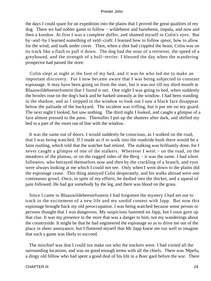the days I could spare for an expedition into the plains that I proved the great qualities of my dog. There we had nobler game to follow − wildebeest and hartebeest, impala, and now and then a koodoo. At first I was a complete duffer, and shamed myself in Colin's eyes. But by−and−by I learned something of veld−craft: I learned how to follow spoor, how to allow for the wind, and stalk under cover. Then, when a shot had crippled the beast, Colin was on its track like a flash to pull it down. The dog had the nose of a retriever, the speed of a greyhound, and the strength of a bull−terrier. I blessed the day when the wandering prospector had passed the store.

 Colin slept at night at the foot of my bed, and it was he who led me to make an important discovery. For I now became aware that I was being subjected to constant espionage. It may have been going on from the start, but it was not till my third month at Blaauwildebeestefontein that I found it out. One night I was going to bed, when suddenly the bristles rose on the dog's back and he barked uneasily at the window. I had been standing in the shadow, and as I stepped to the window to look out I saw a black face disappear below the palisade of the backyard. The incident was trifling, but it put me on my guard. The next night I looked, but saw nothing. The third night I looked, and caught a glimpse of a face almost pressed to the pane. Thereafter I put up the shutters after dark, and shifted my bed to a part of the room out of line with the window.

 It was the same out of doors. I would suddenly be conscious, as I walked on the road, that I was being watched. If I made as if to walk into the roadside bush there would be a faint rustling, which told that the watcher had retired. The stalking was brilliantly done, for I never caught a glimpse of one of the stalkers. Wherever I went – on the road, on the meadows of the plateau, or on the rugged sides of the Berg − it was the same. I had silent followers, who betrayed themselves now and then by the crackling of a branch, and eyes were always looking at me which I could not see. Only when I went down to the plains did the espionage cease. This thing annoyed Colin desperately, and his walks abroad were one continuous growl. Once, in spite of my efforts, he dashed into the thicket, and a squeal of pain followed. He had got somebody by the leg, and there was blood on the grass.

 Since I came to Blaauwildebeestefontein I had forgotten the mystery I had set out to track in the excitement of a new life and my sordid contest with Japp. But now this espionage brought back my old preoccupation. I was being watched because some person or persons thought that I was dangerous. My suspicions fastened on Japp, but I soon gave up that clue. It was my presence in the store that was a danger to him, not my wanderings about the countryside. It might be that he had engineered the espionage so as to drive me out of the place in sheer annoyance; but I flattered myself that Mr Japp knew me too well to imagine that such a game was likely to succeed.

 The mischief was that I could not make out who the trackers were. I had visited all the surrounding locations, and was on good enough terms with all the chiefs. There was 'Mpefu, a dingy old fellow who had spent a good deal of his life in a Boer gaol before the war. There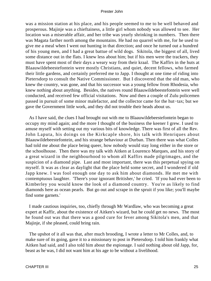was a mission station at his place, and his people seemed to me to be well behaved and prosperous. Majinje was a chieftainess, a little girl whom nobody was allowed to see. Her location was a miserable affair, and her tribe was yearly shrinking in numbers. Then there was Magata farther north among the mountains. He had no quarrel with me, for he used to give me a meal when I went out hunting in that direction; and once he turned out a hundred of his young men, and I had a great battue of wild dogs. Sikitola, the biggest of all, lived some distance out in the flats. I knew less about him; but if his men were the trackers, they must have spent most of their days a weary way from their kraal. The Kaffirs in the huts at Blaauwildebeestefontein were mostly Christians, and quiet, decent fellows, who farmed their little gardens, and certainly preferred me to Japp. I thought at one time of riding into Pietersdorp to consult the Native Commissioner. But I discovered that the old man, who knew the country, was gone, and that his successor was a young fellow from Rhodesia, who knew nothing about anything. Besides, the natives round Blaauwildebeestefontein were well conducted, and received few official visitations. Now and then a couple of Zulu policemen passed in pursuit of some minor malefactor, and the collector came for the hut−tax; but we gave the Government little work, and they did not trouble their heads about us.

 As I have said, the clues I had brought out with me to Blaauwildebeestefontein began to occupy my mind again; and the more I thought of the business the keener I grew. I used to amuse myself with setting out my various bits of knowledge. There was first of all the Rev. John Laputa, his doings on the Kirkcaple shore, his talk with Henriques about Blaauwildebeestefontein, and his strange behaviour at Durban. Then there was what Colles had told me about the place being queer, how nobody would stay long either in the store or the schoolhouse. Then there was my talk with Aitken at Lourenco Marques, and his story of a great wizard in the neighbourhood to whom all Kaffirs made pilgrimages, and the suspicion of a diamond pipe. Last and most important, there was this perpetual spying on myself. It was as clear as daylight that the place held some secret, and I wondered if old Japp knew. I was fool enough one day to ask him about diamonds. He met me with contemptuous laughter. 'There's your ignorant Britisher,' he cried. 'If you had ever been to Kimberley you would know the look of a diamond country. You're as likely to find diamonds here as ocean pearls. But go out and scrape in the spruit if you like; you'll maybe find some garnets.'

 I made cautious inquiries, too, chiefly through Mr Wardlaw, who was becoming a great expert at Kaffir, about the existence of Aitken's wizard, but he could get no news. The most he found out was that there was a good cure for fever among Sikitola's men, and that Majinje, if she pleased, could bring rain.

 The upshot of it all was that, after much brooding, I wrote a letter to Mr Colles, and, to make sure of its going, gave it to a missionary to post in Pietersdorp. I told him frankly what Aitken had said, and I also told him about the espionage. I said nothing about old Japp, for, beast as he was, I did not want him at his age to be without a livelihood.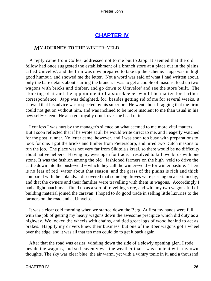## **[CHAPTER IV](#page-150-0)**

### *M*Y **JOURNEY TO THE** WINTER−VELD

 A reply came from Colles, addressed not to me but to Japp. It seemed that the old fellow had once suggested the establishment of a branch store at a place out in the plains called Umvelos', and the firm was now prepared to take up the scheme. Japp was in high good humour, and showed me the letter. Not a word was said of what I had written about, only the bare details about starting the branch. I was to get a couple of masons, load up two wagons with bricks and timber, and go down to Umvelos' and see the store built. The stocking of it and the appointment of a storekeeper would be matter for further correspondence. Japp was delighted, for, besides getting rid of me for several weeks, it showed that his advice was respected by his superiors. He went about bragging that the firm could not get on without him, and was inclined to be more insolent to me than usual in his new self−esteem. He also got royally drunk over the head of it.

 I confess I was hurt by the manager's silence on what seemed to me more vital matters. But I soon reflected that if he wrote at all he would write direct to me, and I eagerly watched for the post−runner. No letter came, however, and I was soon too busy with preparations to look for one. I got the bricks and timber from Pietersdorp, and hired two Dutch masons to run the job. The place was not very far from Sikitola's kraal, so there would be no difficulty about native helpers. Having my eyes open for trade, I resolved to kill two birds with one stone. It was the fashion among the old− fashioned farmers on the high−veld to drive the cattle down into the bush−veld − which they call the winter−veld − for winter pasture. There is no fear of red−water about that season, and the grass of the plains is rich and thick compared with the uplands. I discovered that some big droves were passing on a certain day, and that the owners and their families were travelling with them in wagons. Accordingly I had a light naachtmaal fitted up as a sort of travelling store, and with my two wagons full of building material joined the caravan. I hoped to do good trade in selling little luxuries to the farmers on the road and at Umvelos'.

 It was a clear cold morning when we started down the Berg. At first my hands were full with the job of getting my heavy wagons down the awesome precipice which did duty as a highway. We locked the wheels with chains, and tied great logs of wood behind to act as brakes. Happily my drivers knew their business, but one of the Boer wagons got a wheel over the edge, and it was all that ten men could do to get it back again.

 After that the road was easier, winding down the side of a slowly opening glen. I rode beside the wagons, and so heavenly was the weather that I was content with my own thoughts. The sky was clear blue, the air warm, yet with a wintry tonic in it, and a thousand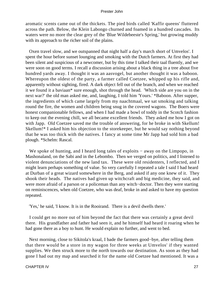aromatic scents came out of the thickets. The pied birds called 'Kaffir queens' fluttered across the path. Below, the Klein Labongo churned and foamed in a hundred cascades. Its waters were no more the clear grey of the 'Blue Wildebeeste's Spring,' but growing muddy with its approach to the richer soil of the plains.

 Oxen travel slow, and we outspanned that night half a day's march short of Umvelos'. I spent the hour before sunset lounging and smoking with the Dutch farmers. At first they had been silent and suspicious of a newcomer, but by this time I talked their taal fluently, and we were soon on good terms. I recall a discussion arising about a black thing in a tree about five hundred yards away. I thought it was an aasvogel, but another thought it was a baboon. Whereupon the oldest of the party, a farmer called Coetzee, whipped up his rifle and, apparently without sighting, fired. A dark object fell out of the branch, and when we reached it we found it a baviaan\* sure enough, shot through the head. 'Which side are you on in the next war?' the old man asked me, and, laughing, I told him 'Yours.' \*Baboon. After supper, the ingredients of which came largely from my naachtmaal, we sat smoking and talking round the fire, the women and children being snug in the covered wagons. The Boers were honest companionable fellows, and when I had made a bowl of toddy in the Scotch fashion to keep out the evening chill, we all became excellent friends. They asked me how I got on with Japp. Old Coetzee saved me the trouble of answering, for he broke in with Skellum! Skellum!\* I asked him his objection to the storekeeper, but he would say nothing beyond that he was too thick with the natives. I fancy at some time Mr Japp had sold him a bad plough. \*Schelm: Rascal.

 We spoke of hunting, and I heard long tales of exploits − away on the Limpopo, in Mashonaland, on the Sabi and in the Lebombo. Then we verged on politics, and I listened to violent denunciations of the new land tax. These were old residenters, I reflected, and I might learn perhaps something of value. So very carefully I repeated a tale I said I had heard at Durban of a great wizard somewhere in the Berg, and asked if any one knew of it. They shook their heads. The natives had given up witchcraft and big medicine, they said, and were more afraid of a parson or a policeman than any witch−doctor. Then they were starting on reminiscences, when old Coetzee, who was deaf, broke in and asked to have my question repeated.

'Yes,' he said, 'I know. It is in the Rooirand. There is a devil dwells there.'

 I could get no more out of him beyond the fact that there was certainly a great devil there. His grandfather and father had seen it, and he himself had heard it roaring when he had gone there as a boy to hunt. He would explain no further, and went to bed.

 Next morning, close to Sikitola's kraal, I bade the farmers good−bye, after telling them that there would be a store in my wagon for three weeks at Umvelos' if they wanted supplies. We then struck more to the north towards our destination. As soon as they had gone I had out my map and searched it for the name old Coetzee had mentioned. It was a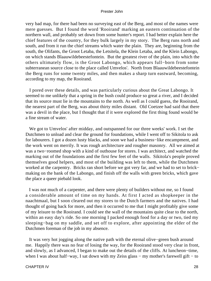very bad map, for there had been no surveying east of the Berg, and most of the names were mere guesses. But I found the word 'Rooirand' marking an eastern continuation of the northern wall, and probably set down from some hunter's report. I had better explain here the chief features of the country, for they bulk largely in my story. The Berg runs north and south, and from it run the chief streams which water the plain. They are, beginning from the south, the Olifants, the Groot Letaba, the Letsitela, the Klein Letaba, and the Klein Labongo, on which stands Blaauwildebeestefontein. But the greatest river of the plain, into which the others ultimately flow, is the Groot Labongo, which appears full−born from some subterranean source close to the place called Umvelos'. North from Blaauwildebeestefontein the Berg runs for some twenty miles, and then makes a sharp turn eastward, becoming, according to my map, the Rooirand.

 I pored over these details, and was particularly curious about the Great Labongo. It seemed to me unlikely that a spring in the bush could produce so great a river, and I decided that its source must lie in the mountains to the north. As well as I could guess, the Rooirand, the nearest part of the Berg, was about thirty miles distant. Old Coetzee had said that there was a devil in the place, but I thought that if it were explored the first thing found would be a fine stream of water.

 We got to Umvelos' after midday, and outspanned for our three weeks' work. I set the Dutchmen to unload and clear the ground for foundations, while I went off to Sikitola to ask for labourers. I got a dozen lusty blacks, and soon we had a business−like encampment, and the work went on merrily. It was rough architecture and rougher masonry. All we aimed at was a two−roomed shop with a kind of outhouse for stores. I was architect, and watched the marking out of the foundations and the first few feet of the walls. Sikitola's people proved themselves good helpers, and most of the building was left to them, while the Dutchmen worked at the carpentry. Bricks ran short before we got very far, and we had to set to brick− making on the bank of the Labongo, and finish off the walls with green bricks, which gave the place a queer piebald look.

 I was not much of a carpenter, and there were plenty of builders without me, so I found a considerable amount of time on my hands. At first I acted as shopkeeper in the naachtmaal, but I soon cleared out my stores to the Dutch farmers and the natives. I had thought of going back for more, and then it occurred to me that I might profitably give some of my leisure to the Rooirand. I could see the wall of the mountains quite clear to the north, within an easy day's ride. So one morning I packed enough food for a day or two, tied my sleeping−bag on my saddle, and set off to explore, after appointing the elder of the Dutchmen foreman of the job in my absence.

 It was very hot jogging along the native path with the eternal olive−green bush around me. Happily there was no fear of losing the way, for the Rooirand stood very clear in front, and slowly, as I advanced, I began to make out the details of the cliffs. At luncheon−time, when I was about half–way, I sat down with my Zeiss glass – my mother's farewell gift – to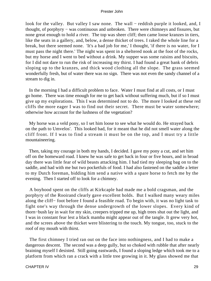look for the valley. But valley I saw none. The wall – reddish purple it looked, and, I thought, of porphyry − was continuous and unbroken. There were chimneys and fissures, but none great enough to hold a river. The top was sheer cliff; then came loose kranzes in tiers, like the seats in a gallery, and, below, a dense thicket of trees. I raked the whole line for a break, but there seemed none. 'It's a bad job for me,' I thought, 'if there is no water, for I must pass the night there.' The night was spent in a sheltered nook at the foot of the rocks, but my horse and I went to bed without a drink. My supper was some raisins and biscuits, for I did not dare to run the risk of increasing my thirst. I had found a great bank of debris sloping up to the kranzes, and thick wood clothing all the slope. The grass seemed wonderfully fresh, but of water there was no sign. There was not even the sandy channel of a stream to dig in.

 In the morning I had a difficult problem to face. Water I must find at all costs, or I must go home. There was time enough for me to get back without suffering much, but if so I must give up my explorations. This I was determined not to do. The more I looked at these red cliffs the more eager I was to find out their secret. There must be water somewhere; otherwise how account for the lushness of the vegetation?

 My horse was a veld pony, so I set him loose to see what he would do. He strayed back on the path to Umvelos'. This looked bad, for it meant that he did not smell water along the cliff front. If I was to find a stream it must be on the top, and I must try a little mountaineering.

 Then, taking my courage in both my hands, I decided. I gave my pony a cut, and set him off on the homeward road. I knew he was safe to get back in four or five hours, and in broad day there was little fear of wild beasts attacking him. I had tied my sleeping bag on to the saddle, and had with me but two pocketfuls of food. I had also fastened on the saddle a letter to my Dutch foreman, bidding him send a native with a spare horse to fetch me by the evening. Then I started off to look for a chimney.

 A boyhood spent on the cliffs at Kirkcaple had made me a bold cragsman, and the porphyry of the Rooirand clearly gave excellent holds. But I walked many weary miles along the cliff− foot before I found a feasible road. To begin with, it was no light task to fight one's way through the dense undergrowth of the lower slopes. Every kind of thorn−bush lay in wait for my skin, creepers tripped me up, high trees shut out the light, and I was in constant fear lest a black mamba might appear out of the tangle. It grew very hot, and the screes above the thicket were blistering to the touch. My tongue, too, stuck to the roof of my mouth with thirst.

 The first chimney I tried ran out on the face into nothingness, and I had to make a dangerous descent. The second was a deep gully, but so choked with rubble that after nearly braining myself I desisted. Still going eastwards, I found a sloping ledge which took me to a platform from which ran a crack with a little tree growing in it. My glass showed me that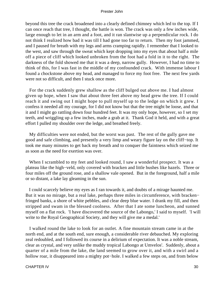beyond this tree the crack broadened into a clearly defined chimney which led to the top. If I can once reach that tree, I thought, the battle is won. The crack was only a few inches wide, large enough to let in an arm and a foot, and it ran slantwise up a perpendicular rock. I do not think I realized how bad it was till I had gone too far to return. Then my foot jammed, and I paused for breath with my legs and arms cramping rapidly. I remember that I looked to the west, and saw through the sweat which kept dropping into my eyes that about half a mile off a piece of cliff which looked unbroken from the foot had a fold in it to the right. The darkness of the fold showed me that it was a deep, narrow gully. However, I had no time to think of this, for I was fast in the middle of my confounded crack. With immense labour I found a chockstone above my head, and managed to force my foot free. The next few yards were not so difficult, and then I stuck once more.

 For the crack suddenly grew shallow as the cliff bulged out above me. I had almost given up hope, when I saw that about three feet above my head grew the tree. If I could reach it and swing out I might hope to pull myself up to the ledge on which it grew. I confess it needed all my courage, for I did not know but that the tree might be loose, and that it and I might go rattling down four hundred feet. It was my only hope, however, so I set my teeth, and wriggling up a few inches, made a grab at it. Thank God it held, and with a great effort I pulled my shoulder over the ledge, and breathed freely.

 My difficulties were not ended, but the worst was past. The rest of the gully gave me good and safe climbing, and presently a very limp and weary figure lay on the cliff−top. It took me many minutes to get back my breath and to conquer the faintness which seized me as soon as the need for exertion was over.

 When I scrambled to my feet and looked round, I saw a wonderful prospect. It was a plateau like the high−veld, only covered with bracken and little bushes like hazels. Three or four miles off the ground rose, and a shallow vale opened. But in the foreground, half a mile or so distant, a lake lay gleaming in the sun.

 I could scarcely believe my eyes as I ran towards it, and doubts of a mirage haunted me. But it was no mirage, but a real lake, perhaps three miles in circumference, with bracken− fringed banks, a shore of white pebbles, and clear deep blue water. I drank my fill, and then stripped and swam in the blessed coolness. After that I ate some luncheon, and sunned myself on a flat rock. 'I have discovered the source of the Labongo,' I said to myself. 'I will write to the Royal Geographical Society, and they will give me a medal.'

 I walked round the lake to look for an outlet. A fine mountain stream came in at the north end, and at the south end, sure enough, a considerable river debauched. My exploring zeal redoubled, and I followed its course in a delirium of expectation. It was a noble stream, clear as crystal, and very unlike the muddy tropical Labongo at Umvelos'. Suddenly, about a quarter of a mile from the lake, the land seemed to grow over it, and with a swirl and a hollow roar, it disappeared into a mighty pot−hole. I walked a few steps on, and from below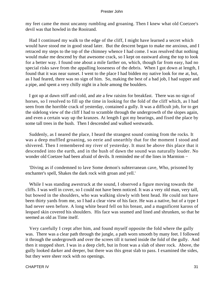my feet came the most uncanny rumbling and groaning. Then I knew what old Coetzee's devil was that howled in the Rooirand.

 Had I continued my walk to the edge of the cliff, I might have learned a secret which would have stood me in good stead later. But the descent began to make me anxious, and I retraced my steps to the top of the chimney whence I had come. I was resolved that nothing would make me descend by that awesome crack, so I kept on eastward along the top to look for a better way. I found one about a mile farther on, which, though far from easy, had no special risks save from the appalling looseness of the debris. When I got down at length, I found that it was near sunset. I went to the place I had bidden my native look for me at, but, as I had feared, there was no sign of him. So, making the best of a bad job, I had supper and a pipe, and spent a very chilly night in a hole among the boulders.

 I got up at dawn stiff and cold, and ate a few raisins for breakfast. There was no sign of horses, so I resolved to fill up the time in looking for the fold of the cliff which, as I had seen from the horrible crack of yesterday, contained a gully. It was a difficult job, for to get the sidelong view of the cliff I had to scramble through the undergrowth of the slopes again, and even a certain way up the kranzes. At length I got my bearings, and fixed the place by some tall trees in the bush. Then I descended and walked westwards.

 Suddenly, as I neared the place, I heard the strangest sound coming from the rocks. It was a deep muffled groaning, so eerie and unearthly that for the moment I stood and shivered. Then I remembered my river of yesterday. It must be above this place that it descended into the earth, and in the hush of dawn the sound was naturally louder. No wonder old Coetzee had been afraid of devils. It reminded me of the lines in Marmion −

 'Diving as if condemned to lave Some demon's subterranean cave, Who, prisoned by enchanter's spell, Shakes the dark rock with groan and yell.'

 While I was standing awestruck at the sound, I observed a figure moving towards the cliffs. I was well in cover, so I could not have been noticed. It was a very old man, very tall, but bowed in the shoulders, who was walking slowly with bent head. He could not have been thirty yards from me, so I had a clear view of his face. He was a native, but of a type I had never seen before. A long white beard fell on his breast, and a magnificent kaross of leopard skin covered his shoulders. His face was seamed and lined and shrunken, so that he seemed as old as Time itself.

 Very carefully I crept after him, and found myself opposite the fold where the gully was. There was a clear path through the jungle, a path worn smooth by many feet. I followed it through the undergrowth and over the screes till it turned inside the fold of the gully. And then it stopped short. I was in a deep cleft, but in front was a slab of sheer rock. Above, the gully looked darker and deeper, but there was this great slab to pass. I examined the sides, but they were sheer rock with no openings.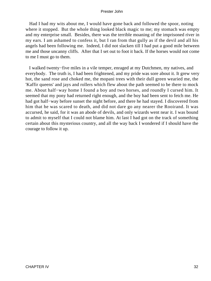Had I had my wits about me, I would have gone back and followed the spoor, noting where it stopped. But the whole thing looked black magic to me; my stomach was empty and my enterprise small. Besides, there was the terrible moaning of the imprisoned river in my ears. I am ashamed to confess it, but I ran from that gully as if the devil and all his angels had been following me. Indeed, I did not slacken till I had put a good mile between me and those uncanny cliffs. After that I set out to foot it back. If the horses would not come to me I must go to them.

 I walked twenty−five miles in a vile temper, enraged at my Dutchmen, my natives, and everybody. The truth is, I had been frightened, and my pride was sore about it. It grew very hot, the sand rose and choked me, the mopani trees with their dull green wearied me, the 'Kaffir queens' and jays and rollers which flew about the path seemed to be there to mock me. About half−way home I found a boy and two horses, and roundly I cursed him. It seemed that my pony had returned right enough, and the boy had been sent to fetch me. He had got half−way before sunset the night before, and there he had stayed. I discovered from him that he was scared to death, and did not dare go any nearer the Rooirand. It was accursed, he said, for it was an abode of devils, and only wizards went near it. I was bound to admit to myself that I could not blame him. At last I had got on the track of something certain about this mysterious country, and all the way back I wondered if I should have the courage to follow it up.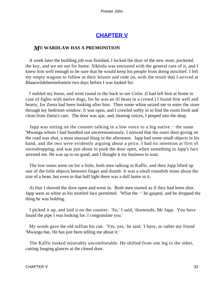# **[CHAPTER V](#page-150-0)**

## *M*R **WARDLAW HAS A PREMONITION**

 A week later the building job was finished, I locked the door of the new store, pocketed the key, and we set out for home. Sikitola was entrusted with the general care of it, and I knew him well enough to be sure that he would keep his people from doing mischief. I left my empty wagons to follow at their leisure and rode on, with the result that I arrived at Blaauwildebeestefontein two days before I was looked for.

 I stabled my horse, and went round to the back to see Colin. (I had left him at home in case of fights with native dogs, for he was an ill beast in a crowd.) I found him well and hearty, for Zeeta had been looking after him. Then some whim seized me to enter the store through my bedroom window. It was open, and I crawled softly in to find the room fresh and clean from Zeeta's care. The door was ajar, and, hearing voices, I peeped into the shop.

 Japp was sitting on the counter talking in a low voice to a big native − the same 'Mwanga whom I had bundled out unceremoniously. I noticed that the outer door giving on the road was shut, a most unusual thing in the afternoon. Japp had some small objects in his hand, and the two were evidently arguing about a price. I had no intention at first of eavesdropping, and was just about to push the door open, when something in Japp's face arrested me. He was up to no good, and I thought it my business to wait.

 The low tones went on for a little, both men talking in Kaffir, and then Japp lifted up one of the little objects between finger and thumb. It was a small roundish stone about the size of a bean, but even in that half light there was a dull lustre in it.

 At that I shoved the door open and went in. Both men started as if they had been shot. Japp went as white as his mottled face permitted. 'What the −' he gasped, and he dropped the thing he was holding.

 I picked it up, and laid it on the counter. 'So,' I said, 'diamonds, Mr Japp. You have found the pipe I was looking for. I congratulate you.'

 My words gave the old ruffian his cue. 'Yes, yes,' he said, 'I have, or rather my friend 'Mwanga has. He has just been telling me about it.'

 The Kaffir looked miserably uncomfortable. He shifted from one leg to the other, casting longing glances at the closed door.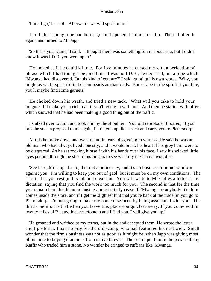'I tink I go,' he said. 'Afterwards we will speak more.'

 I told him I thought he had better go, and opened the door for him. Then I bolted it again, and turned to Mr Japp.

 'So that's your game,' I said. 'I thought there was something funny about you, but I didn't know it was I.D.B. you were up to.'

 He looked as if he could kill me. For five minutes he cursed me with a perfection of phrase which I had thought beyond him. It was no I.D.B., he declared, but a pipe which 'Mwanga had discovered. 'In this kind of country?' I said, quoting his own words. 'Why, you might as well expect to find ocean pearls as diamonds. But scrape in the spruit if you like; you'll maybe find some garnets.'

 He choked down his wrath, and tried a new tack. 'What will you take to hold your tongue? I'll make you a rich man if you'll come in with me.' And then he started with offers which showed that he had been making a good thing out of the traffic.

 I stalked over to him, and took him by the shoulder. 'You old reprobate,' I roared, 'if you breathe such a proposal to me again, I'll tie you up like a sack and carry you to Pietersdorp.'

 At this he broke down and wept maudlin tears, disgusting to witness. He said he was an old man who had always lived honestly, and it would break his heart if his grey hairs were to be disgraced. As he sat rocking himself with his hands over his face, I saw his wicked little eyes peering through the slits of his fingers to see what my next move would be.

 'See here, Mr Japp,' I said, 'I'm not a police spy, and it's no business of mine to inform against you. I'm willing to keep you out of gaol, but it must be on my own conditions. The first is that you resign this job and clear out. You will write to Mr Colles a letter at my dictation, saying that you find the work too much for you. The second is that for the time you remain here the diamond business must utterly cease. If 'Mwanga or anybody like him comes inside the store, and if I get the slightest hint that you're back at the trade, in you go to Pietersdorp. I'm not going to have my name disgraced by being associated with you. The third condition is that when you leave this place you go clear away. If you come within twenty miles of Blaauwildebeestefontein and I find you, I will give you up.'

 He groaned and writhed at my terms, but in the end accepted them. He wrote the letter, and I posted it. I had no pity for the old scamp, who had feathered his nest well. Small wonder that the firm's business was not as good as it might be, when Japp was giving most of his time to buying diamonds from native thieves. The secret put him in the power of any Kaffir who traded him a stone. No wonder he cringed to ruffians like 'Mwanga.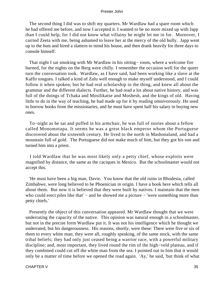The second thing I did was to shift my quarters. Mr Wardlaw had a spare room which he had offered me before, and now I accepted it. I wanted to be no more mixed up with Japp than I could help, for I did not know what villainy he might let me in for. Moreover, I carried Zeeta with me, being ashamed to leave her at the mercy of the old bully. Japp went up to the huts and hired a slattern to mind his house, and then drank heavily for three days to console himself.

 That night I sat smoking with Mr Wardlaw in his sitting− room, where a welcome fire burned, for the nights on the Berg were chilly. I remember the occasion well for the queer turn the conversation took. Wardlaw, as I have said, had been working like a slave at the Kaffir tongues. I talked a kind of Zulu well enough to make myself understood, and I could follow it when spoken; but he had real scholarship in the thing, and knew all about the grammar and the different dialects. Further, he had read a lot about native history, and was full of the doings of Tchaka and Mosilikatse and Moshesh, and the kings of old. Having little to do in the way of teaching, he had made up for it by reading omnivorously. He used to borrow books from the missionaries, and he must have spent half his salary in buying new ones.

 To−night as he sat and puffed in his armchair, he was full of stories about a fellow called Monomotapa. It seems he was a great black emperor whom the Portuguese discovered about the sixteenth century. He lived to the north in Mashonaland, and had a mountain full of gold. The Portuguese did not make much of him, but they got his son and turned him into a priest.

 I told Wardlaw that he was most likely only a petty chief, whose exploits were magnified by distance, the same as the caciques in Mexico. But the schoolmaster would not accept this.

 'He must have been a big man, Davie. You know that the old ruins in Rhodesia, called Zimbabwe, were long believed to be Phoenician in origin. I have a book here which tells all about them. But now it is believed that they were built by natives. I maintain that the men who could erect piles like that' – and he showed me a picture – 'were something more than petty chiefs.'

 Presently the object of this conversation appeared. Mr Wardlaw thought that we were underrating the capacity of the native. This opinion was natural enough in a schoolmaster, but not in the precise form Wardlaw put it. It was not his intelligence which he thought we underrated, but his dangerousness. His reasons, shortly, were these: There were five or six of them to every white man; they were all, roughly speaking, of the same stock, with the same tribal beliefs; they had only just ceased being a warrior race, with a powerful military discipline; and, most important, they lived round the rim of the high−veld plateau, and if they combined could cut off the white man from the sea. I pointed out to him that it would only be a matter of time before we opened the road again. 'Ay,' he said, 'but think of what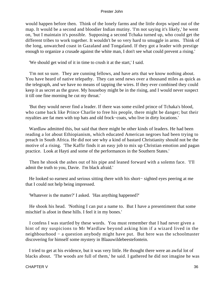would happen before then. Think of the lonely farms and the little dorps wiped out of the map. It would be a second and bloodier Indian mutiny. 'I'm not saying it's likely,' he went on, 'but I maintain it's possible. Supposing a second Tchaka turned up, who could get the different tribes to work together. It wouldn't be so very hard to smuggle in arms. Think of the long, unwatched coast in Gazaland and Tongaland. If they got a leader with prestige enough to organize a crusade against the white man, I don't see what could prevent a rising.'

'We should get wind of it in time to crush it at the start,' I said.

 'I'm not so sure. They are cunning fellows, and have arts that we know nothing about. You have heard of native telepathy. They can send news over a thousand miles as quick as the telegraph, and we have no means of tapping the wires. If they ever combined they could keep it as secret as the grave. My houseboy might be in the rising, and I would never suspect it till one fine morning he cut my throat.'

 'But they would never find a leader. If there was some exiled prince of Tchaka's blood, who came back like Prince Charlie to free his people, there might be danger; but their royalties are fat men with top hats and old frock−coats, who live in dirty locations.'

 Wardlaw admitted this, but said that there might be other kinds of leaders. He had been reading a lot about Ethiopianism, which educated American negroes had been trying to preach in South Africa. He did not see why a kind of bastard Christianity should not be the motive of a rising. 'The Kaffir finds it an easy job to mix up Christian emotion and pagan practice. Look at Hayti and some of the performances in the Southern States.'

 Then he shook the ashes out of his pipe and leaned forward with a solemn face. 'I'll admit the truth to you, Davie. I'm black afraid.'

 He looked so earnest and serious sitting there with his short− sighted eyes peering at me that I could not help being impressed.

'Whatever is the matter?' I asked. 'Has anything happened?'

 He shook his head. 'Nothing I can put a name to. But I have a presentiment that some mischief is afoot in these hills. I feel it in my bones.'

 I confess I was startled by these words. You must remember that I had never given a hint of my suspicions to Mr Wardlaw beyond asking him if a wizard lived in the neighbourhood − a question anybody might have put. But here was the schoolmaster discovering for himself some mystery in Blaauwildebeestefontein.

 I tried to get at his evidence, but it was very little. He thought there were an awful lot of blacks about. 'The woods are full of them,' he said. I gathered he did not imagine he was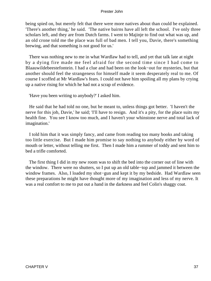being spied on, but merely felt that there were more natives about than could be explained. 'There's another thing,' he said. 'The native bairns have all left the school. I've only three scholars left, and they are from Dutch farms. I went to Majinje to find out what was up, and an old crone told me the place was full of bad men. I tell you, Davie, there's something brewing, and that something is not good for us.'

 There was nothing new to me in what Wardlaw had to tell, and yet that talk late at night by a dying fire made me feel afraid for the second time since I had come to Blaauwildebeestefontein. I had a clue and had been on the look−out for mysteries, but that another should feel the strangeness for himself made it seem desperately real to me. Of course I scoffed at Mr Wardlaw's fears. I could not have him spoiling all my plans by crying up a native rising for which he had not a scrap of evidence.

'Have you been writing to anybody?' I asked him.

 He said that he had told no one, but he meant to, unless things got better. 'I haven't the nerve for this job, Davie,' he said; 'I'll have to resign. And it's a pity, for the place suits my health fine. You see I know too much, and I haven't your whinstone nerve and total lack of imagination.'

 I told him that it was simply fancy, and came from reading too many books and taking too little exercise. But I made him promise to say nothing to anybody either by word of mouth or letter, without telling me first. Then I made him a rummer of toddy and sent him to bed a trifle comforted.

 The first thing I did in my new room was to shift the bed into the corner out of line with the window. There were no shutters, so I put up an old table−top and jammed it between the window frames. Also, I loaded my shot−gun and kept it by my bedside. Had Wardlaw seen these preparations he might have thought more of my imagination and less of my nerve. It was a real comfort to me to put out a hand in the darkness and feel Colin's shaggy coat.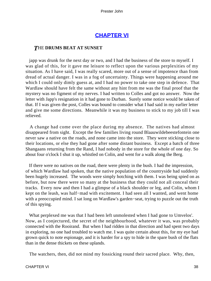## **[CHAPTER VI](#page-150-0)**

## *T*HE **DRUMS BEAT AT SUNSET**

 japp was drunk for the next day or two, and I had the business of the store to myself. I was glad of this, for it gave me leisure to reflect upon the various perplexities of my situation. As I have said, I was really scared, more out of a sense of impotence than from dread of actual danger. I was in a fog of uncertainty. Things were happening around me which I could only dimly guess at, and I had no power to take one step in defence. That Wardlaw should have felt the same without any hint from me was the final proof that the mystery was no figment of my nerves. I had written to Colles and got no answer. Now the letter with Japp's resignation in it had gone to Durban. Surely some notice would be taken of that. If I was given the post, Colles was bound to consider what I had said in my earlier letter and give me some directions. Meanwhile it was my business to stick to my job till I was relieved.

 A change had come over the place during my absence. The natives had almost disappeared from sight. Except the few families living round Blaauwildebeestefontein one never saw a native on the roads, and none came into the store. They were sticking close to their locations, or else they had gone after some distant business. Except a batch of three Shangaans returning from the Rand, I had nobody in the store for the whole of one day. So about four o'clock I shut it up, whistled on Colin, and went for a walk along the Berg.

 If there were no natives on the road, there were plenty in the bush. I had the impression, of which Wardlaw had spoken, that the native population of the countryside had suddenly been hugely increased. The woods were simply hotching with them. I was being spied on as before, but now there were so many at the business that they could not all conceal their tracks. Every now and then I had a glimpse of a black shoulder or leg, and Colin, whom I kept on the leash, was half−mad with excitement. I had seen all I wanted, and went home with a preoccupied mind. I sat long on Wardlaw's garden−seat, trying to puzzle out the truth of this spying.

 What perplexed me was that I had been left unmolested when I had gone to Umvelos'. Now, as I conjectured, the secret of the neighbourhood, whatever it was, was probably connected with the Rooirand. But when I had ridden in that direction and had spent two days in exploring, no one had troubled to watch me. I was quite certain about this, for my eye had grown quick to note espionage, and it is harder for a spy to hide in the spare bush of the flats than in the dense thickets on these uplands.

The watchers, then, did not mind my fossicking round their sacred place. Why, then,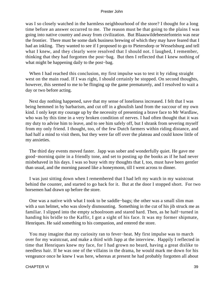was I so closely watched in the harmless neighbourhood of the store? I thought for a long time before an answer occurred to me. The reason must be that going to the plains I was going into native country and away from civilization. But Blaauwildebeestefontein was near the frontier. There must be some dark business brewing of which they may have feared that I had an inkling. They wanted to see if I proposed to go to Pietersdorp or Wesselsburg and tell what I knew, and they clearly were resolved that I should not. I laughed, I remember, thinking that they had forgotten the post−bag. But then I reflected that I knew nothing of what might be happening daily to the post−bag.

When I had reached this conclusion, my first impulse was to test it by riding straight west on the main road. If I was right, I should certainly be stopped. On second thoughts, however, this seemed to me to be flinging up the game prematurely, and I resolved to wait a day or two before acting.

 Next day nothing happened, save that my sense of loneliness increased. I felt that I was being hemmed in by barbarism, and cut off in a ghoulish land from the succour of my own kind. I only kept my courage up by the necessity of presenting a brave face to Mr Wardlaw, who was by this time in a very broken condition of nerves. I had often thought that it was my duty to advise him to leave, and to see him safely off, but I shrank from severing myself from my only friend. I thought, too, of the few Dutch farmers within riding distance, and had half a mind to visit them, but they were far off over the plateau and could know little of my anxieties.

 The third day events moved faster. Japp was sober and wonderfully quiet. He gave me good−morning quite in a friendly tone, and set to posting up the books as if he had never misbehaved in his days. I was so busy with my thoughts that I, too, must have been gentler than usual, and the morning passed like a honeymoon, till I went across to dinner.

 I was just sitting down when I remembered that I had left my watch in my waistcoat behind the counter, and started to go back for it. But at the door I stopped short. For two horsemen had drawn up before the store.

 One was a native with what I took to be saddle−bags; the other was a small slim man with a sun helmet, who was slowly dismounting. Something in the cut of his jib struck me as familiar. I slipped into the empty schoolroom and stared hard. Then, as he half−turned in handing his bridle to the Kaffir, I got a sight of his face. It was my former shipmate, Henriques. He said something to his companion, and entered the store.

 You may imagine that my curiosity ran to fever−heat. My first impulse was to march over for my waistcoat, and make a third with Japp at the interview. Happily I reflected in time that Henriques knew my face, for I had grown no beard, having a great dislike to needless hair. If he was one of the villains in the drama, he would mark me down for his vengeance once he knew I was here, whereas at present he had probably forgotten all about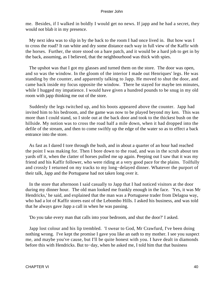me. Besides, if I walked in boldly I would get no news. If japp and he had a secret, they would not blab it in my presence.

 My next idea was to slip in by the back to the room I had once lived in. But how was I to cross the road? It ran white and dry some distance each way in full view of the Kaffir with the horses. Further, the store stood on a bare patch, and it would be a hard job to get in by the back, assuming, as I believed, that the neighbourhood was thick with spies.

 The upshot was that I got my glasses and turned them on the store. The door was open, and so was the window. In the gloom of the interior I made out Henriques' legs. He was standing by the counter, and apparently talking to Japp. He moved to shut the door, and came back inside my focus opposite the window. There he stayed for maybe ten minutes, while I hugged my impatience. I would have given a hundred pounds to be snug in my old room with japp thinking me out of the store.

 Suddenly the legs twitched up, and his boots appeared above the counter. Japp had invited him to his bedroom, and the game was now to be played beyond my ken. This was more than I could stand, so I stole out at the back door and took to the thickest bush on the hillside. My notion was to cross the road half a mile down, when it had dropped into the defile of the stream, and then to come swiftly up the edge of the water so as to effect a back entrance into the store.

 As fast as I dared I tore through the bush, and in about a quarter of an hour had reached the point I was making for. Then I bore down to the road, and was in the scrub about ten yards off it, when the clatter of horses pulled me up again. Peeping out I saw that it was my friend and his Kaffir follower, who were riding at a very good pace for the plains. Toilfully and crossly I returned on my tracks to my long−delayed dinner. Whatever the purport of their talk, Japp and the Portuguese had not taken long over it.

 In the store that afternoon I said casually to Japp that I had noticed visitors at the door during my dinner hour. The old man looked me frankly enough in the face. 'Yes, it was Mr Hendricks,' he said, and explained that the man was a Portuguese trader from Delagoa way, who had a lot of Kaffir stores east of the Lebombo Hills. I asked his business, and was told that he always gave Japp a call in when he was passing.

'Do you take every man that calls into your bedroom, and shut the door?' I asked.

 Japp lost colour and his lip trembled. 'I swear to God, Mr Crawfurd, I've been doing nothing wrong. I've kept the promise I gave you like an oath to my mother. I see you suspect me, and maybe you've cause, but I'll be quite honest with you. I have dealt in diamonds before this with Hendricks. But to−day, when he asked me, I told him that that business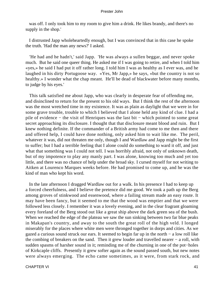was off. I only took him to my room to give him a drink. He likes brandy, and there's no supply in the shop.'

 I distrusted Japp wholeheartedly enough, but I was convinced that in this case he spoke the truth. 'Had the man any news?' I asked.

 'He had and he hadn't,' said Japp. 'He was always a sullen beggar, and never spoke much. But he said one queer thing. He asked me if I was going to retire, and when I told him «yes,» he said I had put it off rather long. I told him I was as healthy as I ever was, and he laughed in his dirty Portugoose way. «Yes, Mr Japp,» he says, «but the country is not so healthy.» I wonder what the chap meant. He'll be dead of blackwater before many months, to judge by his eyes.'

 This talk satisfied me about Japp, who was clearly in desperate fear of offending me, and disinclined to return for the present to his old ways. But I think the rest of the afternoon was the most wretched time in my existence. It was as plain as daylight that we were in for some grave trouble, trouble to which I believed that I alone held any kind of clue. I had a pile of evidence − the visit of Henriques was the last bit − which pointed to some great secret approaching its disclosure. I thought that that disclosure meant blood and ruin. But I knew nothing definite. If the commander of a British army had come to me then and there and offered help, I could have done nothing, only asked him to wait like me. The peril, whatever it was, did not threaten me only, though I and Wardlaw and Japp might be the first to suffer; but I had a terrible feeling that I alone could do something to ward it off, and just what that something was I could not tell. I was horribly afraid, not only of unknown death, but of my impotence to play any manly part. I was alone, knowing too much and yet too little, and there was no chance of help under the broad sky. I cursed myself for not writing to Aitken at Lourenco Marques weeks before. He had promised to come up, and he was the kind of man who kept his word.

 In the late afternoon I dragged Wardlaw out for a walk. In his presence I had to keep up a forced cheerfulness, and I believe the pretence did me good. We took a path up the Berg among groves of stinkwood and essenwood, where a failing stream made an easy route. It may have been fancy, but it seemed to me that the wood was emptier and that we were followed less closely. I remember it was a lovely evening, and in the clear fragrant gloaming every foreland of the Berg stood out like a great ship above the dark green sea of the bush. When we reached the edge of the plateau we saw the sun sinking between two far blue peaks in Makapan's country, and away to the south the great roll of the high veld. I longed miserably for the places where white men were thronged together in dorps and cities. As we gazed a curious sound struck our ears. It seemed to begin far up in the north − a low roll like the combing of breakers on the sand. Then it grew louder and travelled nearer − a roll, with sudden spasms of harsher sound in it; reminding me of the churning in one of the pot−holes of Kirkcaple cliffs. Presently it grew softer again as the sound passed south, but new notes were always emerging. The echo came sometimes, as it were, from stark rock, and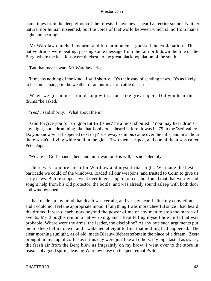sometimes from the deep gloom of the forests. I have never heard an eerier sound. Neither natural nor human it seemed, but the voice of that world between which is hid from man's sight and hearing.

 Mr Wardlaw clutched my arm, and in that moment I guessed the explanation. The native drums were beating, passing some message from the far north down the line of the Berg, where the locations were thickest, to the great black population of the south.

'But that means war,' Mr Wardlaw cried.

 'It means nothing of the kind,' I said shortly. 'It's their way of sending news. It's as likely to be some change in the weather or an outbreak of cattle disease.'

 When we got home I found Japp with a face like grey paper. 'Did you hear the drums?'he asked.

'Yes,' I said shortly. 'What about them?'

 'God forgive you for an ignorant Britisher,' he almost shouted. 'You may hear drums any night, but a drumming like that I only once heard before. It was in '79 in the 'Zeti valley. Do you know what happened next day? Cetewayo's impis came over the hills, and in an hour there wasn't a living white soul in the glen. Two men escaped, and one of them was called Peter Japp.'

'We are in God's hands then, and must wait on His will,' I said solemnly.

 There was no more sleep for Wardlaw and myself that night. We made the best barricade we could of the windows, loaded all our weapons, and trusted to Colin to give us early news. Before supper I went over to get Japp to join us, but found that that worthy had sought help from his old protector, the bottle, and was already sound asleep with both door and window open.

 I had made up my mind that death was certain, and yet my heart belied my conviction, and I could not feel the appropriate mood. If anything I was more cheerful since I had heard the drums. It was clearly now beyond the power of me or any man to stop the march of events. My thoughts ran on a native rising, and I kept telling myself how little that was probable. Where were the arms, the leader, the discipline? At any rate such arguments put me to sleep before dawn, and I wakened at eight to find that nothing had happened. The clear morning sunlight, as of old, made Blaauwildebeestefontein the place of a dream. Zeeta brought in my cup of coffee as if this day were just like all others, my pipe tasted as sweet, the fresh air from the Berg blew as fragrantly on my brow. I went over to the store in reasonably good spirits, leaving Wardlaw busy on the penitential Psalms.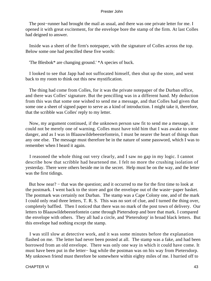The post–runner had brought the mail as usual, and there was one private letter for me. I opened it with great excitement, for the envelope bore the stamp of the firm. At last Colles had deigned to answer.

 Inside was a sheet of the firm's notepaper, with the signature of Colles across the top. Below some one had pencilled these five words:

'The Blesbok\* are changing ground.' \*A species of buck.

 I looked to see that Japp had not suffocated himself, then shut up the store, and went back to my room to think out this new mystification.

 The thing had come from Colles, for it was the private notepaper of the Durban office, and there was Colles' signature. But the pencilling was in a different hand. My deduction from this was that some one wished to send me a message, and that Colles had given that some one a sheet of signed paper to serve as a kind of introduction. I might take it, therefore, that the scribble was Colles' reply to my letter.

 Now, my argument continued, if the unknown person saw fit to send me a message, it could not be merely one of warning. Colles must have told him that I was awake to some danger, and as I was in Blaauwildebeestefontein, I must be nearer the heart of things than any one else. The message must therefore be in the nature of some password, which I was to remember when I heard it again.

 I reasoned the whole thing out very clearly, and I saw no gap in my logic. I cannot describe how that scribble had heartened me. I felt no more the crushing isolation of yesterday. There were others beside me in the secret. Help must be on the way, and the letter was the first tidings.

But how near? – that was the question; and it occurred to me for the first time to look at the postmark. I went back to the store and got the envelope out of the waste−paper basket. The postmark was certainly not Durban. The stamp was a Cape Colony one, and of the mark I could only read three letters, T. R. S. This was no sort of clue, and I turned the thing over, completely baffled. Then I noticed that there was no mark of the post town of delivery. Our letters to Blaauwildebeestefontein came through Pietersdorp and bore that mark. I compared the envelope with others. They all had a circle, and 'Pietersdorp' in broad black letters. But this envelope had nothing except the stamp.

 I was still slow at detective work, and it was some minutes before the explanation flashed on me. The letter had never been posted at all. The stamp was a fake, and had been borrowed from an old envelope. There was only one way in which it could have come. It must have been put in the letter− bag while the postman was on his way from Pietersdorp. My unknown friend must therefore be somewhere within eighty miles of me. I hurried off to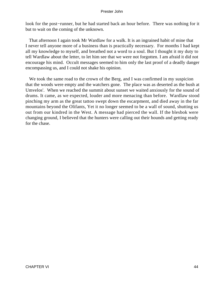look for the post−runner, but he had started back an hour before. There was nothing for it but to wait on the coming of the unknown.

 That afternoon I again took Mr Wardlaw for a walk. It is an ingrained habit of mine that I never tell anyone more of a business than is practically necessary. For months I had kept all my knowledge to myself, and breathed not a word to a soul. But I thought it my duty to tell Wardlaw about the letter, to let him see that we were not forgotten. I am afraid it did not encourage his mind. Occult messages seemed to him only the last proof of a deadly danger encompassing us, and I could not shake his opinion.

We took the same road to the crown of the Berg, and I was confirmed in my suspicion that the woods were empty and the watchers gone. The place was as deserted as the bush at Umvelos'. When we reached the summit about sunset we waited anxiously for the sound of drums. It came, as we expected, louder and more menacing than before. Wardlaw stood pinching my arm as the great tattoo swept down the escarpment, and died away in the far mountains beyond the Olifants, Yet it no longer seemed to be a wall of sound, shutting us out from our kindred in the West. A message had pierced the wall. If the blesbok were changing ground, I believed that the hunters were calling out their hounds and getting ready for the chase.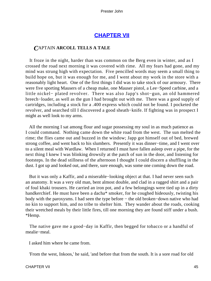## **[CHAPTER VII](#page-150-0)**

## *C*APTAIN **ARCOLL TELLS A TALE**

 It froze in the night, harder than was common on the Berg even in winter, and as I crossed the road next morning it was covered with rime. All my fears had gone, and my mind was strung high with expectation. Five pencilled words may seem a small thing to build hope on, but it was enough for me, and I went about my work in the store with a reasonably light heart. One of the first things I did was to take stock of our armoury. There were five sporting Mausers of a cheap make, one Mauser pistol, a Lee−Speed carbine, and a little nickel− plated revolver. There was also Japp's shot−gun, an old hammered breech−loader, as well as the gun I had brought out with me. There was a good supply of cartridges, including a stock for a .400 express which could not be found. I pocketed the revolver, and searched till I discovered a good sheath−knife. If fighting was in prospect I might as well look to my arms.

 All the morning I sat among flour and sugar possessing my soul in as much patience as I could command. Nothing came down the white road from the west. The sun melted the rime; the flies came out and buzzed in the window; Japp got himself out of bed, brewed strong coffee, and went back to his slumbers. Presently it was dinner−time, and I went over to a silent meal with Wardlaw. When I returned I must have fallen asleep over a pipe, for the next thing I knew I was blinking drowsily at the patch of sun in the door, and listening for footsteps. In the dead stillness of the afternoon I thought I could discern a shuffling in the dust. I got up and looked out, and there, sure enough, was some one coming down the road.

 But it was only a Kaffir, and a miserable−looking object at that. I had never seen such an anatomy. It was a very old man, bent almost double, and clad in a ragged shirt and a pair of foul khaki trousers. He carried an iron pot, and a few belongings were tied up in a dirty handkerchief. He must have been a dacha<sup>\*</sup> smoker, for he coughed hideously, twisting his body with the paroxysms. I had seen the type before − the old broken−down native who had no kin to support him, and no tribe to shelter him. They wander about the roads, cooking their wretched meals by their little fires, till one morning they are found stiff under a bush. \*Hemp.

 The native gave me a good−day in Kaffir, then begged for tobacco or a handful of mealie−meal.

I asked him where he came from.

'From the west, Inkoos,' he said, 'and before that from the south. It is a sore road for old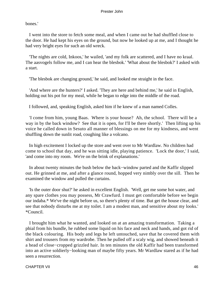bones.'

 I went into the store to fetch some meal, and when I came out he had shuffled close to the door. He had kept his eyes on the ground, but now he looked up at me, and I thought he had very bright eyes for such an old wreck.

 'The nights are cold, Inkoos,' he wailed, 'and my folk are scattered, and I have no kraal. The aasvogels follow me, and I can hear the blesbok.' 'What about the blesbok?' I asked with a start.

'The blesbok are changing ground,' he said, and looked me straight in the face.

 'And where are the hunters?' I asked. 'They are here and behind me,' he said in English, holding out his pot for my meal, while he began to edge into the middle of the road.

I followed, and, speaking English, asked him if he knew of a man named Colles.

 'I come from him, young Baas. Where is your house? Ah, the school. There will be a way in by the back window? See that it is open, for I'll be there shortly.' Then lifting up his voice he called down in Sesuto all manner of blessings on me for my kindness, and went shuffling down the sunlit road, coughing like a volcano.

 In high excitement I locked up the store and went over to Mr Wardlaw. No children had come to school that day, and he was sitting idle, playing patience. 'Lock the door,' I said, 'and come into my room. We're on the brink of explanations.'

 In about twenty minutes the bush below the back−window parted and the Kaffir slipped out. He grinned at me, and after a glance round, hopped very nimbly over the sill. Then he examined the window and pulled the curtains.

 'Is the outer door shut?' he asked in excellent English. 'Well, get me some hot water, and any spare clothes you may possess, Mr Crawfurd. I must get comfortable before we begin our indaba.\* We've the night before us, so there's plenty of time. But get the house clear, and see that nobody disturbs me at my toilet. I am a modest man, and sensitive about my looks.' \*Council.

 I brought him what he wanted, and looked on at an amazing transformation. Taking a phial from his bundle, he rubbed some liquid on his face and neck and hands, and got rid of the black colouring. His body and legs he left untouched, save that he covered them with shirt and trousers from my wardrobe. Then he pulled off a scaly wig, and showed beneath it a head of close−cropped grizzled hair. In ten minutes the old Kaffir had been transformed into an active soldierly−looking man of maybe fifty years. Mr Wardlaw stared as if he had seen a resurrection.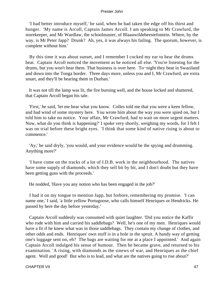'I had better introduce myself,' he said, when he had taken the edge off his thirst and hunger. 'My name is Arcoll, Captain James Arcoll. I am speaking to Mr Crawfurd, the storekeeper, and Mr Wardlaw, the schoolmaster, of Blaauwildebeestefontein. Where, by the way, is Mr Peter Japp? Drunk? Ah, yes, it was always his failing. The quorum, however, is complete without him.'

 By this time it was about sunset, and I remember I cocked my ear to hear the drums beat. Captain Arcoll noticed the movement as he noticed all else. 'You're listening for the drums, but you won't hear them. That business is over here. To−night they beat in Swaziland and down into the Tonga border. Three days more, unless you and I, Mr Crawfurd, are extra smart, and they'll be hearing them in Durban.'

 It was not till the lamp was lit, the fire burning well, and the house locked and shuttered, that Captain Arcoll began his tale.

 'First,' he said, 'let me hear what you know. Colles told me that you were a keen fellow, and had wind of some mystery here. You wrote him about the way you were spied on, but I told him to take no notice. Your affair, Mr Crawfurd, had to wait on more urgent matters. Now, what do you think is happening?' I spoke very shortly, weighing my words, for I felt I was on trial before these bright eyes. 'I think that some kind of native rising is about to commence.'

 'Ay,' he said dryly, 'you would, and your evidence would be the spying and drumming. Anything more?'

 'I have come on the tracks of a lot of I.D.B. work in the neighbourhood. The natives have some supply of diamonds, which they sell bit by bit, and I don't doubt but they have been getting guns with the proceeds.'

He nodded, 'Have you any notion who has been engaged in the job?'

 I had it on my tongue to mention Japp, but forbore, remembering my promise. 'I can name one,' I said, 'a little yellow Portugoose, who calls himself Henriques or Hendricks. He passed by here the day before yesterday.'

 Captain Arcoll suddenly was consumed with quiet laughter. 'Did you notice the Kaffir who rode with him and carried his saddlebags? Well, he's one of my men. Henriques would have a fit if he knew what was in those saddlebags. They contain my change of clothes, and other odds and ends. Henriques' own stuff is in a hole in the spruit. A handy way of getting one's luggage sent on, eh? The bags are waiting for me at a place I appointed.' And again Captain Arcoll indulged his sense of humour. Then he became grave, and returned to his examination. 'A rising, with diamonds as the sinews of war, and Henriques as the chief agent. Well and good! But who is to lead, and what are the natives going to rise about?'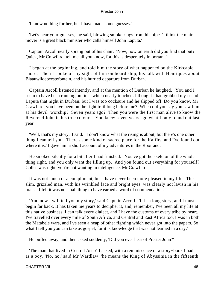'I know nothing further, but I have made some guesses.'

 'Let's hear your guesses,' he said, blowing smoke rings from his pipe. 'I think the main mover is a great black minister who calls himself John Laputa.'

 Captain Arcoll nearly sprang out of his chair. 'Now, how on earth did you find that out? Quick, Mr Crawfurd, tell me all you know, for this is desperately important.'

 I began at the beginning, and told him the story of what happened on the Kirkcaple shore. Then I spoke of my sight of him on board ship, his talk with Henriques about Blaauwildebeestefontein, and his hurried departure from Durban.

 Captain Arcoll listened intently, and at the mention of Durban he laughed. 'You and I seem to have been running on lines which nearly touched. I thought I had grabbed my friend Laputa that night in Durban, but I was too cocksure and he slipped off. Do you know, Mr Crawfurd, you have been on the right trail long before me? When did you say you saw him at his devil−worship? Seven years ago? Then you were the first man alive to know the Reverend John in his true colours. You knew seven years ago what I only found out last year.'

 'Well, that's my story,' I said. 'I don't know what the rising is about, but there's one other thing I can tell you. There's some kind of sacred place for the Kaffirs, and I've found out where it is.' I gave him a short account of my adventures in the Rooirand.

 He smoked silently for a bit after I had finished. 'You've got the skeleton of the whole thing right, and you only want the filling up. And you found out everything for yourself? Colles was right; you're not wanting in intelligence, Mr Crawfurd.'

 It was not much of a compliment, but I have never been more pleased in my life. This slim, grizzled man, with his wrinkled face and bright eyes, was clearly not lavish in his praise. I felt it was no small thing to have earned a word of commendation.

 'And now I will tell you my story,' said Captain Arcoll. 'It is a long story, and I must begin far back. It has taken me years to decipher it, and, remember, I've been all my life at this native business. I can talk every dialect, and I have the customs of every tribe by heart. I've travelled over every mile of South Africa, and Central and East Africa too. I was in both the Matabele wars, and I've seen a heap of other fighting which never got into the papers. So what I tell you you can take as gospel, for it is knowledge that was not learned in a day.'

He puffed away, and then asked suddenly, 'Did you ever hear of Prester John?'

 'The man that lived in Central Asia?' I asked, with a reminiscence of a story−book I had as a boy. 'No, no,' said Mr Wardlaw, 'he means the King of Abyssinia in the fifteenth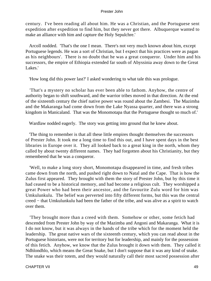century. I've been reading all about him. He was a Christian, and the Portuguese sent expedition after expedition to find him, but they never got there. Albuquerque wanted to make an alliance with him and capture the Holy Sepulchre.'

 Arcoll nodded. 'That's the one I mean. There's not very much known about him, except Portuguese legends. He was a sort of Christian, but I expect that his practices were as pagan as his neighbours'. There is no doubt that he was a great conqueror. Under him and his successors, the empire of Ethiopia extended far south of Abyssinia away down to the Great Lakes.'

'How long did this power last?' I asked wondering to what tale this was prologue.

 'That's a mystery no scholar has ever been able to fathom. Anyhow, the centre of authority began to shift southward, and the warrior tribes moved in that direction. At the end of the sixteenth century the chief native power was round about the Zambesi. The Mazimba and the Makaranga had come down from the Lake Nyassa quarter, and there was a strong kingdom in Manicaland. That was the Monomotapa that the Portuguese thought so much of.'

Wardlaw nodded eagerly. The story was getting into ground that he knew about.

 'The thing to remember is that all these little empires thought themselves the successors of Prester John. It took me a long time to find this out, and I have spent days in the best libraries in Europe over it. They all looked back to a great king in the north, whom they called by about twenty different names. They had forgotten about his Christianity, but they remembered that he was a conqueror.

 'Well, to make a long story short, Monomotapa disappeared in time, and fresh tribes came down from the north, and pushed right down to Natal and the Cape. That is how the Zulus first appeared. They brought with them the story of Prester John, but by this time it had ceased to be a historical memory, and had become a religious cult. They worshipped a great Power who had been their ancestor, and the favourite Zulu word for him was Umkulunkulu. The belief was perverted into fifty different forms, but this was the central creed − that Umkulunkulu had been the father of the tribe, and was alive as a spirit to watch over them.

 'They brought more than a creed with them. Somehow or other, some fetich had descended from Prester John by way of the Mazimba and Angoni and Makaranga. What it is I do not know, but it was always in the hands of the tribe which for the moment held the leadership. The great native wars of the sixteenth century, which you can read about in the Portuguese historians, were not for territory but for leadership, and mainly for the possession of this fetich. Anyhow, we know that the Zulus brought it down with them. They called it Ndhlondhlo, which means the Great Snake, but I don't suppose that it was any kind of snake. The snake was their totem, and they would naturally call their most sacred possession after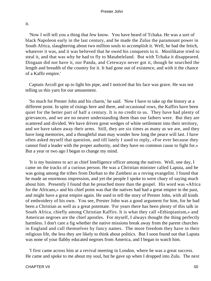it.

 'Now I will tell you a thing that few know. You have heard of Tchaka. He was a sort of black Napoleon early in the last century, and he made the Zulus the paramount power in South Africa, slaughtering about two million souls to accomplish it. Well, he had the fetich, whatever it was, and it was believed that he owed his conquests to it. Mosilikatse tried to steal it, and that was why he had to fly to Matabeleland. But with Tchaka it disappeared. Dingaan did not have it, nor Panda, and Cetewayo never got it, though he searched the length and breadth of the country for it. It had gone out of existence, and with it the chance of a Kaffir empire.'

 Captain Arcoll got up to light his pipe, and I noticed that his face was grave. He was not telling us this yarn for our amusement.

 'So much for Prester John and his charm,' he said. 'Now I have to take up the history at a different point. In spite of risings here and there, and occasional rows, the Kaffirs have been quiet for the better part of half a century. It is no credit to us. They have had plenty of grievances, and we are no nearer understanding them than our fathers were. But they are scattered and divided. We have driven great wedges of white settlement into their territory, and we have taken away their arms. Still, they are six times as many as we are, and they have long memories, and a thoughtful man may wonder how long the peace will last. I have often asked myself that question, and till lately I used to reply, «For ever because they cannot find a leader with the proper authority, and they have no common cause to fight for.» But a year or two ago I began to change my mind.

 'It is my business to act as chief Intelligence officer among the natives. Well, one day, I came on the tracks of a curious person. He was a Christian minister called Laputa, and he was going among the tribes from Durban to the Zambesi as a roving evangelist. I found that he made an enormous impression, and yet the people I spoke to were chary of saying much about him. Presently I found that he preached more than the gospel. His word was «Africa for the Africans,» and his chief point was that the natives had had a great empire in the past, and might have a great empire again. He used to tell the story of Prester John, with all kinds of embroidery of his own. You see, Prester John was a good argument for him, for he had been a Christian as well as a great potentate. 'For years there has been plenty of this talk in South Africa, chiefly among Christian Kaffirs. It is what they call «Ethiopianism,» and American negroes are the chief apostles. For myself, I always thought the thing perfectly harmless. I don't care a fig whether the native missions break away from the parent churches in England and call themselves by fancy names. The more freedom they have in their religious life, the less they are likely to think about politics. But I soon found out that Laputa was none of your flabby educated negroes from America, and I began to watch him.

 'I first came across him at a revival meeting in London, where he was a great success. He came and spoke to me about my soul, but he gave up when I dropped into Zulu. The next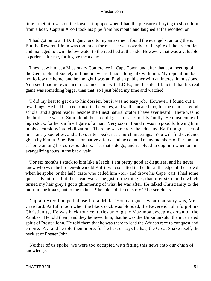time I met him was on the lower Limpopo, when I had the pleasure of trying to shoot him from a boat.' Captain Arcoll took his pipe from his mouth and laughed at the recollection.

 'I had got on to an I.D.B. gang, and to my amazement found the evangelist among them. But the Reverend John was too much for me. He went overboard in spite of the crocodiles, and managed to swim below water to the reed bed at the side. However, that was a valuable experience for me, for it gave me a clue.

 'I next saw him at a Missionary Conference in Cape Town, and after that at a meeting of the Geographical Society in London, where I had a long talk with him. My reputation does not follow me home, and he thought I was an English publisher with an interest in missions. You see I had no evidence to connect him with I.D.B., and besides I fancied that his real game was something bigger than that; so I just bided my time and watched.

 'I did my best to get on to his dossier, but it was no easy job. However, I found out a few things. He had been educated in the States, and well educated too, for the man is a good scholar and a great reader, besides the finest natural orator I have ever heard. There was no doubt that he was of Zulu blood, but I could get no traces of his family. He must come of high stock, for he is a fine figure of a man. 'Very soon I found it was no good following him in his excursions into civilization. There he was merely the educated Kaffir; a great pet of missionary societies, and a favourite speaker at Church meetings. You will find evidence given by him in Blue−Books on native affairs, and he counted many members of Parliament at home among his correspondents. I let that side go, and resolved to dog him when on his evangelizing tours in the back−veld.

 'For six months I stuck to him like a leech. I am pretty good at disguises, and he never knew who was the broken−down old Kaffir who squatted in the dirt at the edge of the crowd when he spoke, or the half−caste who called him «Sir» and drove his Cape−cart. I had some queer adventures, but these can wait. The gist of the thing is, that after six months which turned my hair grey I got a glimmering of what he was after. He talked Christianity to the mobs in the kraals, but to the indunas\* he told a different story.' \*Lesser chiefs.

 Captain Arcoll helped himself to a drink. 'You can guess what that story was, Mr Crawfurd. At full moon when the black cock was blooded, the Reverend John forgot his Christianity. He was back four centuries among the Mazimba sweeping down on the Zambesi. He told them, and they believed him, that he was the Umkulunkulu, the incarnated spirit of Prester John. He told them that he was there to lead the African race to conquest and empire. Ay, and he told them more: for he has, or says he has, the Great Snake itself, the necklet of Prester John.'

 Neither of us spoke; we were too occupied with fitting this news into our chain of knowledge.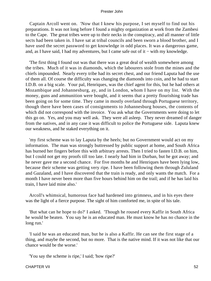Captain Arcoll went on. 'Now that I knew his purpose, I set myself to find out his preparations. It was not long before I found a mighty organization at work from the Zambesi to the Cape. The great tribes were up to their necks in the conspiracy, and all manner of little sects had been taken in. I have sat at tribal councils and been sworn a blood brother, and I have used the secret password to get knowledge in odd places. It was a dangerous game, and, as I have said, I had my adventures, but I came safe out of it − with my knowledge.

 'The first thing I found out was that there was a great deal of wealth somewhere among the tribes. Much of it was in diamonds, which the labourers stole from the mines and the chiefs impounded. Nearly every tribe had its secret chest, and our friend Laputa had the use of them all. Of course the difficulty was changing the diamonds into coin, and he had to start I.D.B. on a big scale. Your pal, Henriques, was the chief agent for this, but he had others at Mozambique and Johannesburg, ay, and in London, whom I have on my list. With the money, guns and ammunition were bought, and it seems that a pretty flourishing trade has been going on for some time. They came in mostly overland through Portuguese territory, though there have been cases of consignments to Johannesburg houses, the contents of which did not correspond with the invoice. You ask what the Governments were doing to let this go on. Yes, and you may well ask. They were all asleep. They never dreamed of danger from the natives, and in any case it was difficult to police the Portuguese side. Laputa knew our weakness, and he staked everything on it.

 'my first scheme was to lay Laputa by the heels; but no Government would act on my information. The man was strongly buttressed by public support at home, and South Africa has burned her fingers before this with arbitrary arrests. Then I tried to fasten I.D.B. on him, but I could not get my proofs till too late. I nearly had him in Durban, but he got away; and he never gave me a second chance. For five months he and Henriques have been lying low, because their scheme was getting very ripe. I have been following them through Zululand and Gazaland, and I have discovered that the train is ready, and only wants the match. For a month I have never been more than five hours behind him on the trail; and if he has laid his train, I have laid mine also.'

 Arcoll's whimsical, humorous face had hardened into grimness, and in his eyes there was the light of a fierce purpose. The sight of him comforted me, in spite of his tale.

 'But what can he hope to do?' I asked. 'Though he roused every Kaffir in South Africa he would be beaten. You say he is an educated man. He must know he has no chance in the long run.'

 'I said he was an educated man, but he is also a Kaffir. He can see the first stage of a thing, and maybe the second, but no more. That is the native mind. If it was not like that our chance would be the worse.'

'You say the scheme is ripe,' I said; 'how ripe?'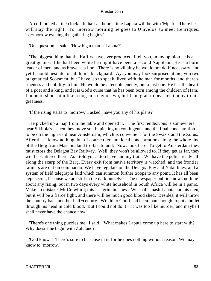Arcoll looked at the clock. 'In half an hour's time Laputa will be with 'Mpefu. There he will stay the night. To−morrow morning he goes to Umvelos' to meet Henriques. To−morrow evening the gathering begins.'

'One question,' I said. 'How big a man is Laputa?'

 'The biggest thing that the Kaffirs have ever produced. I tell you, in my opinion he is a great genius. If he had been white he might have been a second Napoleon. He is a born leader of men, and as brave as a lion. There is no villainy he would not do if necessary, and yet I should hesitate to call him a blackguard. Ay, you may look surprised at me, you two pragmatical Scotsmen; but I have, so to speak, lived with the man for months, and there's fineness and nobility in him. He would be a terrible enemy, but a just one. He has the heart of a poet and a king, and it is God's curse that he has been born among the children of Ham. I hope to shoot him like a dog in a day or two, but I am glad to bear testimony to his greatness.'

'If the rising starts to−morrow,' I asked, 'have you any of his plans?'

 He picked up a map from the table and opened it. 'The first rendezvous is somewhere near Sikitola's. Then they move south, picking up contingents; and the final concentration is to be on the high veld near Amsterdam, which is convenient for the Swazis and the Zulus. After that I know nothing, but of course there are local concentrations along the whole line of the Berg from Mashonaland to Basutoland. Now, look here. To get to Amsterdam they must cross the Delagoa Bay Railway. Well, they won't be allowed to. If they get as far, they will be scattered there. As I told you, I too have laid my train. We have the police ready all along the scarp of the Berg. Every exit from native territory is watched, and the frontier farmers are out on commando. We have regulars on the Delagoa Bay and Natal lines, and a system of field telegraphs laid which can summon further troops to any point. It has all been kept secret, because we are still in the dark ourselves. The newspaper public knows nothing about any rising, but in two days every white household in South Africa will be in a panic. Make no mistake, Mr Crawfurd; this is a grim business. We shall smash Laputa and his men, but it will be a fierce fight, and there will be much good blood shed. Besides, it will throw the country back another half−century. Would to God I had been man enough to put a bullet through his head in cold blood. But I could not do it − it was too like murder; and maybe I shall never have the chance now.'

 'There's one thing puzzles me,' I said. 'What makes Laputa come up here to start with? Why doesn't he begin with Zululand?'

 'God knows! There's sure to be sense in it, for he does nothing without reason. We may know to−morrow.'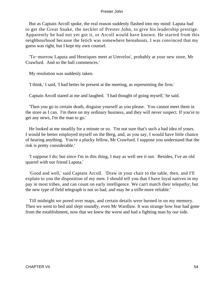But as Captain Arcoll spoke, the real reason suddenly flashed into my mind: Laputa had to get the Great Snake, the necklet of Prester John, to give his leadership prestige. Apparently he had not yet got it, or Arcoll would have known. He started from this neighbourhood because the fetich was somewhere hereabouts. I was convinced that my guess was right, but I kept my own counsel.

 'To−morrow Laputa and Henriques meet at Umvelos', probably at your new store, Mr Crawfurd. And so the ball commences.'

My resolution was suddenly taken.

'I think,' I said, 'I had better be present at the meeting, as representing the firm.'

Captain Arcoll stared at me and laughed. 'I had thought of going myself,' he said.

 'Then you go to certain death, disguise yourself as you please. You cannot meet them in the store as I can. I'm there on my ordinary business, and they will never suspect. If you're to get any news, I'm the man to go.'

 He looked at me steadily for a minute or so. 'I'm not sure that's such a bad idea of yours. I would be better employed myself on the Berg, and, as you say, I would have little chance of hearing anything. You're a plucky fellow, Mr Crawfurd. I suppose you understand that the risk is pretty considerable.'

 'I suppose I do; but since I'm in this thing, I may as well see it out. Besides, I've an old quarrel with our friend Laputa.'

 'Good and well,' said Captain Arcoll. 'Draw in your chair to the table, then, and I'll explain to you the disposition of my men. I should tell you that I have loyal natives in my pay in most tribes, and can count on early intelligence. We can't match their telepathy; but the new type of field telegraph is not so bad, and may be a trifle more reliable.'

 Till midnight we pored over maps, and certain details were burned in on my memory. Then we went to bed and slept soundly, even Mr Wardlaw. It was strange how fear had gone from the establishment, now that we knew the worst and had a fighting man by our side.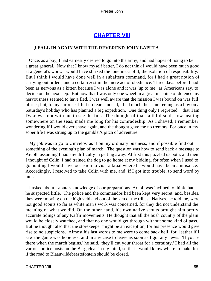## **[CHAPTER VIII](#page-150-0)**

## *I* **FALL IN AGAIN WITH THE REVEREND JOHN LAPUTA**

 Once, as a boy, I had earnestly desired to go into the army, and had hopes of rising to be a great general. Now that I know myself better, I do not think I would have been much good at a general's work. I would have shirked the loneliness of it, the isolation of responsibility. But I think I would have done well in a subaltern command, for I had a great notion of carrying out orders, and a certain zest in the mere act of obedience. Three days before I had been as nervous as a kitten because I was alone and it was 'up to me,' as Americans say, to decide on the next step. But now that I was only one wheel in a great machine of defence my nervousness seemed to have fled. I was well aware that the mission I was bound on was full of risk; but, to my surprise, I felt no fear. Indeed, I had much the same feeling as a boy on a Saturday's holiday who has planned a big expedition. One thing only I regretted − that Tam Dyke was not with me to see the fun. The thought of that faithful soul, now beating somewhere on the seas, made me long for his comradeship. As I shaved, I remember wondering if I would ever shave again, and the thought gave me no tremors. For once in my sober life I was strung up to the gambler's pitch of adventure.

 My job was to go to Umvelos' as if on my ordinary business, and if possible find out something of the evening's plan of march. The question was how to send back a message to Arcoll, assuming I had any difficulty in getting away. At first this puzzled us both, and then I thought of Colin. I had trained the dog to go home at my bidding, for often when I used to go hunting I would have occasion to visit a kraal where he would have been a nuisance. Accordingly, I resolved to take Colin with me, and, if I got into trouble, to send word by him.

 I asked about Laputa's knowledge of our preparations. Arcoll was inclined to think that he suspected little. The police and the commandos had been kept very secret, and, besides, they were moving on the high veld and out of the ken of the tribes. Natives, he told me, were not good scouts so far as white man's work was concerned, for they did not understand the meaning of what we did. On the other hand, his own native scouts brought him pretty accurate tidings of any Kaffir movements. He thought that all the bush country of the plain would be closely watched, and that no one would get through without some kind of pass. But he thought also that the storekeeper might be an exception, for his presence would give rise to no suspicions. Almost his last words to me were to come back hell−for−leather if I saw the game was hopeless, and in any case to leave as soon as I got any news. 'If you're there when the march begins,' he said, 'they'll cut your throat for a certainty.' I had all the various police posts on the Berg clear in my mind, so that I would know where to make for if the road to Blaauwildebeestefontein should be closed.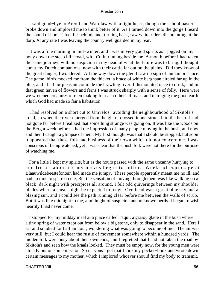I said good−bye to Arcoll and Wardlaw with a light heart, though the schoolmaster broke down and implored me to think better of it. As I turned down into the gorge I heard the sound of horses' feet far behind, and, turning back, saw white riders dismounting at the dorp. At any rate I was leaving the country well guarded in my rear.

 It was a fine morning in mid−winter, and I was in very good spirits as I jogged on my pony down the steep hill−road, with Colin running beside me. A month before I had taken the same journey, with no suspicion in my head of what the future was to bring. I thought about my Dutch companions, now with their cattle far out on the plains. Did they know of the great danger, I wondered. All the way down the glen I saw no sign of human presence. The game−birds mocked me from the thicket; a brace of white berghaan circled far up in the blue; and I had for pleasant comrade the brawling river. I dismounted once to drink, and in that green haven of flowers and ferns I was struck sharply with a sense of folly. Here were we wretched creatures of men making for each other's throats, and outraging the good earth which God had made so fair a habitation.

 I had resolved on a short cut to Umvelos', avoiding the neighbourhood of Sikitola's kraal, so when the river emerged from the glen I crossed it and struck into the bush. I had not gone far before I realized that something strange was going on. It was like the woods on the Berg a week before. I had the impression of many people moving in the bush, and now and then I caught a glimpse of them. My first thought was that I should be stopped, but soon it appeared that these folk had business of their own which did not concern me. I was conscious of being watched, yet it was clear that the bush folk were not there for the purpose of watching me.

 For a little I kept my spirits, but as the hours passed with the same uncanny hurrying to and fro all about me my nerves began to suffer. Weeks of espionage at Blaauwildebeestefontein had made me jumpy. These people apparently meant me no ill, and had no time to spare on me, But the sensation of moving through them was like walking on a black−dark night with precipices all around. I felt odd quiverings between my shoulder blades where a spear might be expected to lodge. Overhead was a great blue sky and a blazing sun, and I could see the path running clear before me between the walls of scrub. But it was like midnight to me, a midnight of suspicion and unknown perils. I began to wish heartily I had never come.

 I stopped for my midday meal at a place called Taqui, a grassy glade in the bush where a tiny spring of water crept out from below a big stone, only to disappear in the sand. Here I sat and smoked for half an hour, wondering what was going to become of me. The air was very still, but I could hear the rustle of movement somewhere within a hundred yards. The hidden folk were busy about their own ends, and I regretted that I had not taken the road by Sikitola's and seen how the kraals looked. They must be empty now, for the young men were already out on some mission. So nervous I got that I took my pocket−book and wrote down certain messages to my mother, which I implored whoever should find my body to transmit.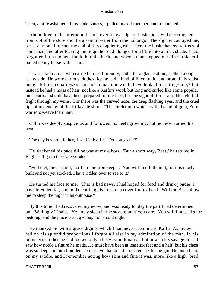Then, a little ashamed of my childishness, I pulled myself together, and remounted.

 About three in the afternoon I came over a low ridge of bush and saw the corrugated iron roof of the store and the gleam of water from the Labongo. The sight encouraged me, for at any rate it meant the end of this disquieting ride. Here the bush changed to trees of some size, and after leaving the ridge the road plunged for a little into a thick shade. I had forgotten for a moment the folk in the bush, and when a man stepped out of the thicket I pulled up my horse with a start.

 It was a tall native, who carried himself proudly, and after a glance at me, stalked along at my side. He wore curious clothes, for he had a kind of linen tunic, and around his waist hung a kilt of leopard−skin. In such a man one would have looked for a ting−kop,\* but instead he had a mass of hair, not like a Kaffir's wool, but long and curled like some popular musician's. I should have been prepared for the face, but the sight of it sent a sudden chill of fright through my veins. For there was the curved nose, the deep flashing eyes, and the cruel lips of my enemy of the Kirkcaple shore. \*The circlet into which, with the aid of gum, Zulu warriors weave their hair.

 Colin was deeply suspicious and followed his heels growling, but he never turned his head.

'The day is warm, father,' I said in Kaffir. 'Do you go far?'

 He slackened his pace till he was at my elbow. 'But a short way, Baas,' he replied in English; 'I go to the store yonder.'

 'Well met, then,' said I, 'for I am the storekeeper. You will find little in it, for it is newly built and not yet stocked. I have ridden over to see to it.'

 He turned his face to me. 'That is bad news. I had hoped for food and drink yonder. I have travelled far, and in the chill nights I desire a cover for my head. Will the Baas allow me to sleep the night in an outhouse?'

 By this time I had recovered my nerve, and was ready to play the part I had determined on. 'Willingly,' I said. 'You may sleep in the storeroom if you care. You will find sacks for bedding, and the place is snug enough on a cold night.'

 He thanked me with a grave dignity which I had never seen in any Kaffir. As my eye fell on his splendid proportions I forgot all else in my admiration of the man. In his minister's clothes he had looked only a heavily built native, but now in his savage dress I saw how noble a figure he made. He must have been at least six feet and a half, but his chest was so deep and his shoulders so massive that one did not remark his height. He put a hand on my saddle, and I remember noting how slim and fine it was, more like a high−bred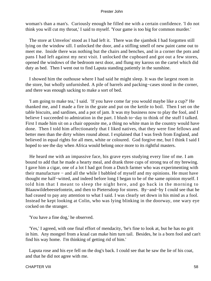woman's than a man's. Curiously enough he filled me with a certain confidence. 'I do not think you will cut my throat,' I said to myself. 'Your game is too big for common murder.'

 The store at Umvelos' stood as I had left it. There was the sjambok I had forgotten still lying on the window sill. I unlocked the door, and a stifling smell of new paint came out to meet me. Inside there was nothing but the chairs and benches, and in a corner the pots and pans I had left against my next visit. I unlocked the cupboard and got out a few stores, opened the windows of the bedroom next door, and flung my kaross on the cartel which did duty as bed. Then I went out to find Laputa standing patiently in the sunshine.

 I showed him the outhouse where I had said he might sleep. It was the largest room in the store, but wholly unfurnished. A pile of barrels and packing−cases stood in the corner, and there was enough sacking to make a sort of bed.

 'I am going to make tea,' I said. 'If you have come far you would maybe like a cup?' He thanked me, and I made a fire in the grate and put on the kettle to boil. Then I set on the table biscuits, and sardines, and a pot of jam. It was my business now to play the fool, and I believe I succeeded to admiration in the part. I blush to−day to think of the stuff I talked. First I made him sit on a chair opposite me, a thing no white man in the country would have done. Then I told him affectionately that I liked natives, that they were fine fellows and better men than the dirty whites round about. I explained that I was fresh from England, and believed in equal rights for all men, white or coloured. God forgive me, but I think I said I hoped to see the day when Africa would belong once more to its rightful masters.

 He heard me with an impassive face, his grave eyes studying every line of me. I am bound to add that he made a hearty meal, and drank three cups of strong tea of my brewing. I gave him a cigar, one of a lot I had got from a Dutch farmer who was experimenting with their manufacture − and all the while I babbled of myself and my opinions. He must have thought me half−witted, and indeed before long I began to be of the same opinion myself. I told him that I meant to sleep the night here, and go back in the morning to Blaauwildebeestefontein, and then to Pietersdorp for stores. By−and−by I could see that he had ceased to pay any attention to what I said. I was clearly set down in his mind as a fool. Instead he kept looking at Colin, who was lying blinking in the doorway, one wary eye cocked on the stranger.

'You have a fine dog,' he observed.

 'Yes,' I agreed, with one final effort of mendacity, 'he's fine to look at, but he has no grit in him. Any mongrel from a kraal can make him turn tail. Besides, he is a born fool and can't find his way home. I'm thinking of getting rid of him.'

 Laputa rose and his eye fell on the dog's back. I could see that he saw the lie of his coat, and that he did not agree with me.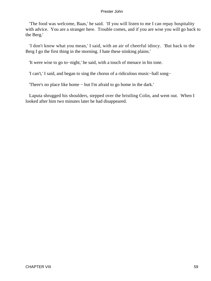'The food was welcome, Baas,' he said. 'If you will listen to me I can repay hospitality with advice. You are a stranger here. Trouble comes, and if you are wise you will go back to the Berg.'

 'I don't know what you mean,' I said, with an air of cheerful idiocy. 'But back to the Berg I go the first thing in the morning. I hate these stinking plains.'

'It were wise to go to−night,' he said, with a touch of menace in his tone.

'I can't,' I said, and began to sing the chorus of a ridiculous music−hall song−

'There's no place like home − but I'm afraid to go home in the dark.'

 Laputa shrugged his shoulders, stepped over the bristling Colin, and went out. When I looked after him two minutes later he had disappeared.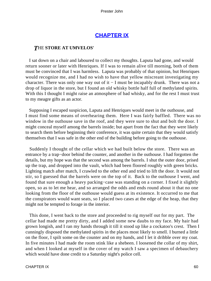## **[CHAPTER IX](#page-150-0)**

## *T*HE **STORE AT UMVELOS'**

 I sat down on a chair and laboured to collect my thoughts. Laputa had gone, and would return sooner or later with Henriques. If I was to remain alive till morning, both of them must be convinced that I was harmless. Laputa was probably of that opinion, but Henriques would recognize me, and I had no wish to have that yellow miscreant investigating my character. There was only one way out of it − I must be incapably drunk. There was not a drop of liquor in the store, but I found an old whisky bottle half full of methylated spirits. With this I thought I might raise an atmosphere of bad whisky, and for the rest I must trust to my meagre gifts as an actor.

 Supposing I escaped suspicion, Laputa and Henriques would meet in the outhouse, and I must find some means of overhearing them. Here I was fairly baffled. There was no window in the outhouse save in the roof, and they were sure to shut and bolt the door. I might conceal myself among the barrels inside; but apart from the fact that they were likely to search them before beginning their conference, it was quite certain that they would satisfy themselves that I was safe in the other end of the building before going to the outhouse.

 Suddenly I thought of the cellar which we had built below the store. There was an entrance by a trap−door behind the counter, and another in the outhouse. I had forgotten the details, but my hope was that the second was among the barrels. I shut the outer door, prised up the trap, and dropped into the vault, which had been floored roughly with green bricks. Lighting match after match, I crawled to the other end and tried to lift the door. It would not stir, so I guessed that the barrels were on the top of it. Back to the outhouse I went, and found that sure enough a heavy packing−case was standing on a corner. I fixed it slightly open, so as to let me hear, and so arranged the odds and ends round about it that no one looking from the floor of the outhouse would guess at its existence. It occurred to me that the conspirators would want seats, so I placed two cases at the edge of the heap, that they might not be tempted to forage in the interior.

 This done, I went back to the store and proceeded to rig myself out for my part. The cellar had made me pretty dirty, and I added some new daubs to my face. My hair had grown longish, and I ran my hands through it till it stood up like a cockatoo's crest. Then I cunningly disposed the methylated spirits in the places most likely to smell. I burned a little on the floor, I spilt some on the counter and on my hands, and I let it dribble over my coat. In five minutes I had made the room stink like a shebeen. I loosened the collar of my shirt, and when I looked at myself in the cover of my watch I saw a specimen of debauchery which would have done credit to a Saturday night's police cell.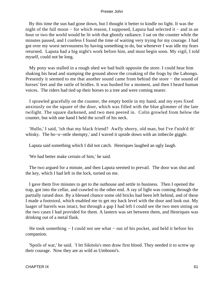By this time the sun had gone down, but I thought it better to kindle no light. It was the night of the full moon − for which reason, I supposed, Laputa had selected it − and in an hour or two the world would be lit with that ghostly radiance. I sat on the counter while the minutes passed, and I confess I found the time of waiting very trying for my courage. I had got over my worst nervousness by having something to do, but whenever I was idle my fears returned. Laputa had a big night's work before him, and must begin soon. My vigil, I told myself, could not be long.

 My pony was stalled in a rough shed we had built opposite the store. I could hear him shaking his head and stamping the ground above the croaking of the frogs by the Labongo. Presently it seemed to me that another sound came from behind the store − the sound of horses' feet and the rattle of bridles. It was hushed for a moment, and then I heard human voices. The riders had tied up their horses to a tree and were coming nearer.

 I sprawled gracefully on the counter, the empty bottle in my hand, and my eyes fixed anxiously on the square of the door, which was filled with the blue glimmer of the late twilight. The square darkened, and two men peered in. Colin growled from below the counter, but with one hand I held the scruff of his neck.

 'Hullo,' I said, 'ish that my black friend? Awfly shorry, old man, but I've f'nish'd th' whisky. The bo−o−ottle shempty,' and I waved it upside down with an imbecile giggle.

Laputa said something which I did not catch. Henriques laughed an ugly laugh.

'We had better make certain of him,' he said.

 The two argued for a minute, and then Laputa seemed to prevail. The door was shut and the key, which I had left in the lock, turned on me.

 I gave them five minutes to get to the outhouse and settle to business. Then I opened the trap, got into the cellar, and crawled to the other end. A ray of light was coming through the partially raised door. By a blessed chance some old bricks had been left behind, and of these I made a footstool, which enabled me to get my back level with the door and look out. My laager of barrels was intact, but through a gap I had left I could see the two men sitting on the two cases I had provided for them. A lantern was set between them, and Henriques was drinking out of a metal flask.

He took something − I could not see what – out of his pocket, and held it before his companion.

 'Spoils of war,' he said. 'I let Sikitola's men draw first blood. They needed it to screw up their courage. Now they are as wild as Umbooni's.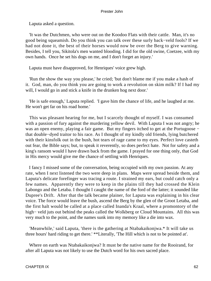Laputa asked a question.

 'It was the Dutchmen, who were out on the Koodoo Flats with their cattle. Man, it's no good being squeamish. Do you think you can talk over these surly back−veld fools? If we had not done it, the best of their horses would now be over the Berg to give warning. Besides, I tell you, Sikitola's men wanted blooding. I did for the old swine, Coetzee, with my own hands. Once he set his dogs on me, and I don't forget an injury.'

Laputa must have disapproved, for Henriques' voice grew high.

 'Run the show the way you please,' he cried; 'but don't blame me if you make a hash of it. God, man, do you think you are going to work a revolution on skim milk? If I had my will, I would go in and stick a knife in the drunken hog next door.'

 'He is safe enough,' Laputa replied. 'I gave him the chance of life, and he laughed at me. He won't get far on his road home.'

 This was pleasant hearing for me, but I scarcely thought of myself. I was consumed with a passion of fury against the murdering yellow devil. With Laputa I was not angry; he was an open enemy, playing a fair game. But my fingers itched to get at the Portugoose − that double−dyed traitor to his race. As I thought of my kindly old friends, lying butchered with their kinsfolk out in the bush, hot tears of rage came to my eyes. Perfect love casteth out fear, the Bible says; but, to speak it reverently, so does perfect hate. Not for safety and a king's ransom would I have drawn back from the game. I prayed for one thing only, that God in His mercy would give me the chance of settling with Henriques.

 I fancy I missed some of the conversation, being occupied with my own passion. At any rate, when I next listened the two were deep in plans. Maps were spread beside them, and Laputa's delicate forefinger was tracing a route. I strained my ears, but could catch only a few names. Apparently they were to keep in the plains till they had crossed the Klein Labongo and the Letaba. I thought I caught the name of the ford of the latter; it sounded like Dupree's Drift. After that the talk became plainer, for Laputa was explaining in his clear voice. The force would leave the bush, ascend the Berg by the glen of the Groot Letaba, and the first halt would be called at a place called Inanda's Kraal, where a promontory of the high− veld juts out behind the peaks called the Wolkberg or Cloud Mountains. All this was very much to the point, and the names sunk into my memory like a die into wax.

 'Meanwhile,' said Laputa, 'there is the gathering at Ntabakaikonjwa.\* It will take us three hours' hard riding to get there.' \*\*Literally, 'The Hill which is not to be pointed at'.

 Where on earth was Ntabakaikonjwa? It must be the native name for the Rooirand, for after all Laputa was not likely to use the Dutch word for his own sacred place.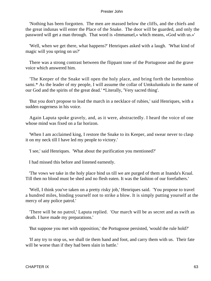'Nothing has been forgotten. The men are massed below the cliffs, and the chiefs and the great indunas will enter the Place of the Snake. The door will be guarded, and only the password will get a man through. That word is «Immanuel,» which means, «God with us.»'

 'Well, when we get there, what happens?' Henriques asked with a laugh. 'What kind of magic will you spring on us?'

 There was a strong contrast between the flippant tone of the Portugoose and the grave voice which answered him.

 'The Keeper of the Snake will open the holy place, and bring forth the Isetembiso sami.\* As the leader of my people, I will assume the collar of Umkulunkulu in the name of our God and the spirits of the great dead.' \*Literally, 'Very sacred thing'.

 'But you don't propose to lead the march in a necklace of rubies,' said Henriques, with a sudden eagerness in his voice.

 Again Laputa spoke gravely, and, as it were, abstractedly. I heard the voice of one whose mind was fixed on a far horizon.

 'When I am acclaimed king, I restore the Snake to its Keeper, and swear never to clasp it on my neck till I have led my people to victory.'

'I see,' said Henriques. 'What about the purification you mentioned?'

I had missed this before and listened earnestly.

 'The vows we take in the holy place bind us till we are purged of them at Inanda's Kraal. Till then no blood must be shed and no flesh eaten. It was the fashion of our forefathers.'

 'Well, I think you've taken on a pretty risky job,' Henriques said. 'You propose to travel a hundred miles, binding yourself not to strike a blow. It is simply putting yourself at the mercy of any police patrol.'

 'There will be no patrol,' Laputa replied. 'Our march will be as secret and as swift as death. I have made my preparations.'

'But suppose you met with opposition,' the Portugoose persisted, 'would the rule hold?'

 'If any try to stop us, we shall tie them hand and foot, and carry them with us. Their fate will be worse than if they had been slain in battle.'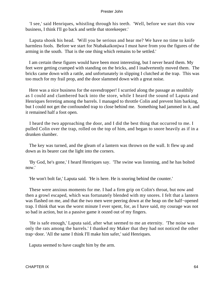'I see,' said Henriques, whistling through his teeth. 'Well, before we start this vow business, I think I'll go back and settle that storekeeper.'

 Laputa shook his head. 'Will you be serious and hear me? We have no time to knife harmless fools. Before we start for Ntabakaikonjwa I must have from you the figures of the arming in the south. That is the one thing which remains to be settled.'

 I am certain these figures would have been most interesting, but I never heard them. My feet were getting cramped with standing on the bricks, and I inadvertently moved them. The bricks came down with a rattle, and unfortunately in slipping I clutched at the trap. This was too much for my frail prop, and the door slammed down with a great noise.

 Here was a nice business for the eavesdropper! I scurried along the passage as stealthily as I could and clambered back into the store, while I heard the sound of Laputa and Henriques ferreting among the barrels. I managed to throttle Colin and prevent him barking, but I could not get the confounded trap to close behind me. Something had jammed in it, and it remained half a foot open.

 I heard the two approaching the door, and I did the best thing that occurred to me. I pulled Colin over the trap, rolled on the top of him, and began to snore heavily as if in a drunken slumber.

 The key was turned, and the gleam of a lantern was thrown on the wall. It flew up and down as its bearer cast the light into the corners.

 'By God, he's gone,' I heard Henriques say. 'The swine was listening, and he has bolted now.'

'He won't bolt far,' Laputa said. 'He is here. He is snoring behind the counter.'

 These were anxious moments for me. I had a firm grip on Colin's throat, but now and then a growl escaped, which was fortunately blended with my snores. I felt that a lantern was flashed on me, and that the two men were peering down at the heap on the half−opened trap. I think that was the worst minute I ever spent, for, as I have said, my courage was not so bad in action, but in a passive game it oozed out of my fingers.

 'He is safe enough,' Laputa said, after what seemed to me an eternity. 'The noise was only the rats among the barrels.' I thanked my Maker that they had not noticed the other trap−door. 'All the same I think I'll make him safer,' said Henriques.

Laputa seemed to have caught him by the arm.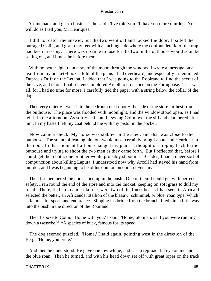'Come back and get to business,' he said. 'I've told you I'll have no more murder. You will do as I tell you, Mr Henriques.'

 I did not catch the answer, but the two went out and locked the door. I patted the outraged Colin, and got to my feet with an aching side where the confounded lid of the trap had been pressing. There was no time to lose for the two in the outhouse would soon be setting out, and I must be before them.

With no better light than a ray of the moon through the window, I wrote a message on a leaf from my pocket−book. I told of the plans I had overheard, and especially I mentioned Dupree's Drift on the Letaba. I added that I was going to the Rooirand to find the secret of the cave, and in one final sentence implored Arcoll to do justice on the Portugoose. That was all, for I had no time for more. I carefully tied the paper with a string below the collar of the dog.

Then very quietly I went into the bedroom next door – the side of the store farthest from the outhouse. The place was flooded with moonlight, and the window stood open, as I had left it in the afternoon. As softly as I could I swung Colin over the sill and clambered after him. In my haste I left my coat behind me with my pistol in the pocket.

 Now came a check. My horse was stabled in the shed, and that was close to the outhouse. The sound of leading him out would most certainly bring Laputa and Henriques to the door. In that moment I all but changed my plans. I thought of slipping back to the outhouse and trying to shoot the two men as they came forth. But I reflected that, before I could get them both, one or other would probably shoot me. Besides, I had a queer sort of compunction about killing Laputa. I understood now why Arcoll had stayed his hand from murder, and I was beginning to be of his opinion on our arch−enemy.

 Then I remembered the horses tied up in the bush. One of them I could get with perfect safety. I ran round the end of the store and into the thicket, keeping on soft grass to dull my tread. There, tied up to a merula tree, were two of the finest beasts I had seen in Africa. I selected the better, an Africander stallion of the blaauw−schimmel, or blue−roan type, which is famous for speed and endurance. Slipping his bridle from the branch, I led him a little way into the bush in the direction of the Rooirand.

 Then I spoke to Colin. 'Home with you,' I said. 'Home, old man, as if you were running down a tsessebe.'\* \*A species of buck, famous for its speed.

 The dog seemed puzzled. 'Home,' I said again, pointing west in the direction of the Berg. 'Home, you brute.'

 And then he understood. He gave one low whine, and cast a reproachful eye on me and the blue roan. Then he turned, and with his head down set off with great lopes on the track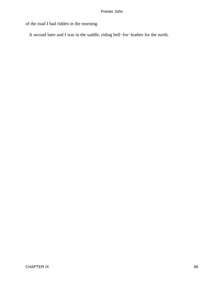of the road I had ridden in the morning.

A second later and I was in the saddle, riding hell−for−leather for the north.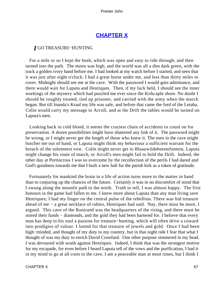# **[CHAPTER X](#page-150-0)**

## *I* GO TREASURE−HUNTING

 For a mile or so I kept the bush, which was open and easy to ride through, and then turned into the path. The moon was high, and the world was all a dim dark green, with the track a golden ivory band before me. I had looked at my watch before I started, and seen that it was just after eight o'clock. I had a great horse under me, and less than thirty miles to cover. Midnight should see me at the cave. With the password I would gain admittance, and there would wait for Laputa and Henriques. Then, if my luck held, I should see the inner workings of the mystery which had puzzled me ever since the Kirkcaple shore. No doubt I should be roughly treated, tied up prisoner, and carried with the army when the march began. But till Inanda's Kraal my life was safe, and before that came the ford of the Letaba. Colin would carry my message to Arcoll, and at the Drift the tables would be turned on Laputa's men.

 Looking back in cold blood, it seems the craziest chain of accidents to count on for preservation. A dozen possibilities might have shattered any link of it. The password might be wrong, or I might never get the length of those who knew it. The men in the cave might butcher me out of hand, or Laputa might think my behaviour a sufficient warrant for the breach of the solemnest vow. Colin might never get to Blaauwildebeestefontein, Laputa might change his route of march, or Arcoll's men might fail to hold the Drift. Indeed, the other day at Portincross I was so overcome by the recollection of the perils I had dared and God's goodness towards me that I built a new hall for the parish kirk as a token of gratitude.

 Fortunately for mankind the brain in a life of action turns more to the matter in hand than to conjuring up the chances of the future. Certainly it was in no discomfort of mind that I swung along the moonlit path to the north. Truth to tell, I was almost happy. The first honours in the game had fallen to me. I knew more about Laputa than any man living save Henriques; I had my finger on the central pulse of the rebellion. There was hid treasure ahead of me − a great necklace of rubies, Henriques had said. Nay, there must be more, I argued. This cave of the Rooirand was the headquarters of the rising, and there must be stored their funds – diamonds, and the gold they had been bartered for. I believe that every man has deep in his soul a passion for treasure−hunting, which will often drive a coward into prodigies of valour. I lusted for that treasure of jewels and gold. Once I had been high−minded, and thought of my duty to my country, but in that night ride I fear that what I thought of was my duty to enrich David Crawfurd. One other purpose simmered in my head. I was devoured with wrath against Henriques. Indeed, I think that was the strongest motive for my escapade, for even before I heard Laputa tell of the vows and the purification, I had it in my mind to go at all costs to the cave. I am a peaceable man at most times, but I think I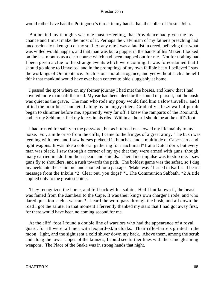would rather have had the Portugoose's throat in my hands than the collar of Prester John.

 But behind my thoughts was one master−feeling, that Providence had given me my chance and I must make the most of it. Perhaps the Calvinism of my father's preaching had unconsciously taken grip of my soul. At any rate I was a fatalist in creed, believing that what was willed would happen, and that man was but a puppet in the hands of his Maker. I looked on the last months as a clear course which had been mapped out for me. Not for nothing had I been given a clue to the strange events which were coming. It was foreordained that I should go alone to Umvelos', and in the promptings of my own fallible heart I believed I saw the workings of Omnipotence. Such is our moral arrogance, and yet without such a belief I think that mankind would have ever been content to bide sluggishly at home.

 I passed the spot where on my former journey I had met the horses, and knew that I had covered more than half the road. My ear had been alert for the sound of pursuit, but the bush was quiet as the grave. The man who rode my pony would find him a slow traveller, and I pitied the poor beast bucketed along by an angry rider. Gradually a hazy wall of purple began to shimmer before me, apparently very far off. I knew the ramparts of the Rooirand, and let my Schimmel feel my knees in his ribs. Within an hour I should be at the cliff's foot.

 I had trusted for safety to the password, but as it turned out I owed my life mainly to my horse. For, a mile or so from the cliffs, I came to the fringes of a great army. The bush was teeming with men, and I saw horses picketed in bunches, and a multitude of Cape−carts and light wagons. It was like a colossal gathering for naachtmaal\*1 at a Dutch dorp, but every man was black. I saw through a corner of my eye that they were armed with guns, though many carried in addition their spears and shields. Their first impulse was to stop me. I saw guns fly to shoulders, and a rush towards the path. The boldest game was the safest, so I dug my heels into the schimmel and shouted for a passage. 'Make way!' I cried in Kaffir. 'I bear a message from the Inkulu.\*2 Clear out, you dogs!' \*1 The Communion Sabbath. \*2 A title applied only to the greatest chiefs.

 They recognized the horse, and fell back with a salute. Had I but known it, the beast was famed from the Zambesi to the Cape. It was their king's own charger I rode, and who dared question such a warrant? I heard the word pass through the bush, and all down the road I got the salute. In that moment I fervently thanked my stars that I had got away first, for there would have been no coming second for me.

 At the cliff−foot I found a double line of warriors who had the appearance of a royal guard, for all were tall men with leopard−skin cloaks. Their rifle−barrels glinted in the moon− light, and the sight sent a cold shiver down my back. Above them, among the scrub and along the lower slopes of the kranzes, I could see further lines with the same gleaming weapons. The Place of the Snake was in strong hands that night.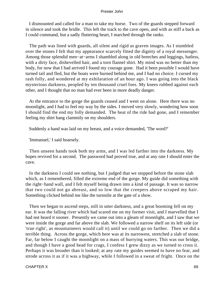I dismounted and called for a man to take my horse. Two of the guards stepped forward in silence and took the bridle. This left the track to the cave open, and with as stiff a back as I could command, but a sadly fluttering heart, I marched through the ranks.

 The path was lined with guards, all silent and rigid as graven images. As I stumbled over the stones I felt that my appearance scarcely fitted the dignity of a royal messenger. Among those splendid men−at−arms I shambled along in old breeches and leggings, hatless, with a dirty face, dishevelled hair, and a torn flannel shirt. My mind was no better than my body, for now that I had arrived I found my courage gone. Had it been possible I would have turned tail and fled, but the boats were burned behind me, and I had no choice. I cursed my rash folly, and wondered at my exhilaration of an hour ago. I was going into the black mysterious darkness, peopled by ten thousand cruel foes. My knees rubbed against each other, and I thought that no man had ever been in more deadly danger.

 At the entrance to the gorge the guards ceased and I went on alone. Here there was no moonlight, and I had to feel my way by the sides. I moved very slowly, wondering how soon I should find the end my folly demanded. The heat of the ride had gone, and I remember feeling my shirt hang clammily on my shoulders.

Suddenly a hand was laid on my breast, and a voice demanded, 'The word?'

'Immanuel,' I said hoarsely.

 Then unseen hands took both my arms, and I was led farther into the darkness. My hopes revived for a second. The password had proved true, and at any rate I should enter the cave.

 In the darkness I could see nothing, but I judged that we stopped before the stone slab which, as I remembered, filled the extreme end of the gorge. My guide did something with the right−hand wall, and I felt myself being drawn into a kind of passage. It was so narrow that two could not go abreast, and so low that the creepers above scraped my hair. Something clicked behind me like the turnstile at the gate of a show.

 Then we began to ascend steps, still in utter darkness, and a great booming fell on my ear. It was the falling river which had scared me on my former visit, and I marvelled that I had not heard it sooner. Presently we came out into a gleam of moonlight, and I saw that we were inside the gorge and far above the slab. We followed a narrow shelf on its left side (or 'true right', as mountaineers would call it) until we could go no farther. Then we did a terrible thing. Across the gorge, which here was at its narrowest, stretched a slab of stone. Far, far below I caught the moonlight on a mass of hurrying waters. This was our bridge, and though I have a good head for crags, I confess I grew dizzy as we turned to cross it. Perhaps it was broader than it looked; at any rate my guides seemed to have no fear, and strode across it as if it was a highway, while I followed in a sweat of fright. Once on the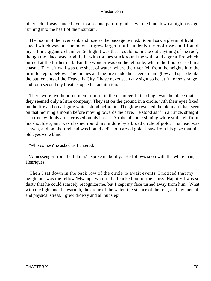other side, I was handed over to a second pair of guides, who led me down a high passage running into the heart of the mountain.

 The boom of the river sank and rose as the passage twined. Soon I saw a gleam of light ahead which was not the moon. It grew larger, until suddenly the roof rose and I found myself in a gigantic chamber. So high it was that I could not make out anything of the roof, though the place was brightly lit with torches stuck round the wall, and a great fire which burned at the farther end. But the wonder was on the left side, where the floor ceased in a chasm. The left wall was one sheet of water, where the river fell from the heights into the infinite depth, below. The torches and the fire made the sheer stream glow and sparkle like the battlements of the Heavenly City. I have never seen any sight so beautiful or so strange, and for a second my breath stopped in admiration.

 There were two hundred men or more in the chamber, but so huge was the place that they seemed only a little company. They sat on the ground in a circle, with their eyes fixed on the fire and on a figure which stood before it. The glow revealed the old man I had seen on that morning a month before moving towards the cave. He stood as if in a trance, straight as a tree, with his arms crossed on his breast. A robe of some shining white stuff fell from his shoulders, and was clasped round his middle by a broad circle of gold. His head was shaven, and on his forehead was bound a disc of carved gold. I saw from his gaze that his old eyes were blind.

'Who comes?'he asked as I entered.

 'A messenger from the Inkulu,' I spoke up boldly. 'He follows soon with the white man, Henriques.'

 Then I sat down in the back row of the circle to await events. I noticed that my neighbour was the fellow 'Mwanga whom I had kicked out of the store. Happily I was so dusty that he could scarcely recognize me, but I kept my face turned away from him. What with the light and the warmth, the drone of the water, the silence of the folk, and my mental and physical stress, I grew drowsy and all but slept.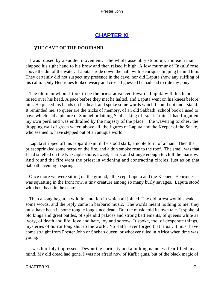# **[CHAPTER XI](#page-150-0)**

## *T*HE **CAVE OF THE ROOIRAND**

 I was roused by a sudden movement. The whole assembly stood up, and each man clapped his right hand to his brow and then raised it high. A low murmur of 'Inkulu' rose above the din of the water. Laputa strode down the hall, with Henriques limping behind him. They certainly did not suspect my presence in the cave, nor did Laputa show any ruffling of his calm. Only Henriques looked weary and cross. I guessed he had had to ride my pony.

 The old man whom I took to be the priest advanced towards Laputa with his hands raised over his head. A pace before they met he halted, and Laputa went on his knees before him. He placed his hands on his head, and spoke some words which I could not understand. It reminded me, so queer are the tricks of memory, of an old Sabbath−school book I used to have which had a picture of Samuel ordaining Saul as king of Israel. I think I had forgotten my own peril and was enthralled by the majesty of the place − the wavering torches, the dropping wall of green water, above all, the figures of Laputa and the Keeper of the Snake, who seemed to have stepped out of an antique world.

 Laputa stripped off his leopard skin till he stood stark, a noble form of a man. Then the priest sprinkled some herbs on the fire, and a thin smoke rose to the roof. The smell was that I had smelled on the Kirkcaple shore, sweet, sharp, and strange enough to chill the marrow. And round the fire went the priest in widening and contracting circles, just as on that Sabbath evening in spring.

 Once more we were sitting on the ground, all except Laputa and the Keeper. Henriques was squatting in the front row, a tiny creature among so many burly savages. Laputa stood with bent head in the centre.

 Then a song began, a wild incantation in which all joined. The old priest would speak some words, and the reply came in barbaric music. The words meant nothing to me; they must have been in some tongue long since dead. But the music told its own tale. It spoke of old kings and great battles, of splendid palaces and strong battlements, of queens white as ivory, of death and life, love and hate, joy and sorrow. It spoke, too, of desperate things, mysteries of horror long shut to the world. No Kaffir ever forged that ritual. It must have come straight from Prester John or Sheba's queen, or whoever ruled in Africa when time was young.

 I was horribly impressed. Devouring curiosity and a lurking nameless fear filled my mind. My old dread had gone. I was not afraid now of Kaffir guns, but of the black magic of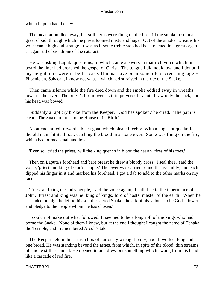which Laputa had the key.

 The incantation died away, but still herbs were flung on the fire, till the smoke rose in a great cloud, through which the priest loomed misty and huge. Out of the smoke−wreaths his voice came high and strange. It was as if some treble stop had been opened in a great organ, as against the bass drone of the cataract.

 He was asking Laputa questions, to which came answers in that rich voice which on board the liner had preached the gospel of Christ. The tongue I did not know, and I doubt if my neighbours were in better case. It must have been some old sacred language − Phoenician, Sabaean, I know not what − which had survived in the rite of the Snake.

 Then came silence while the fire died down and the smoke eddied away in wreaths towards the river. The priest's lips moved as if in prayer: of Laputa I saw only the back, and his head was bowed.

 Suddenly a rapt cry broke from the Keeper. 'God has spoken,' he cried. 'The path is clear. The Snake returns to the House of its Birth.'

 An attendant led forward a black goat, which bleated feebly. With a huge antique knife the old man slit its throat, catching the blood in a stone ewer. Some was flung on the fire, which had burned small and low.

'Even so,' cried the priest, 'will the king quench in blood the hearth−fires of his foes.'

 Then on Laputa's forehead and bare breast he drew a bloody cross. 'I seal thee,' said the voice, 'priest and king of God's people.' The ewer was carried round the assembly, and each dipped his finger in it and marked his forehead. I got a dab to add to the other marks on my face.

 'Priest and king of God's people,' said the voice again, 'I call thee to the inheritance of John. Priest and king was he, king of kings, lord of hosts, master of the earth. When he ascended on high he left to his son the sacred Snake, the ark of his valour, to be God's dower and pledge to the people whom He has chosen.'

 I could not make out what followed. It seemed to be a long roll of the kings who had borne the Snake. None of them I knew, but at the end I thought I caught the name of Tchaka the Terrible, and I remembered Arcoll's tale.

 The Keeper held in his arms a box of curiously wrought ivory, about two feet long and one broad. He was standing beyond the ashes, from which, in spite of the blood, thin streams of smoke still ascended. He opened it, and drew out something which swung from his hand like a cascade of red fire.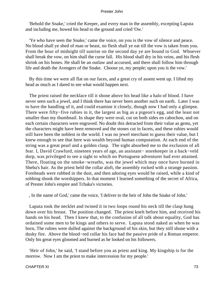'Behold the Snake,' cried the Keeper, and every man in the assembly, excepting Laputa and including me, bowed his head to the ground and cried 'Ow.'

 'Ye who have seen the Snake,' came the voice, on you is the vow of silence and peace. No blood shall ye shed of man or beast, no flesh shall ye eat till the vow is taken from you. From the hour of midnight till sunrise on the second day ye are bound to God. Whoever shall break the vow, on him shall the curse fall. His blood shall dry in his veins, and his flesh shrink on his bones. He shall be an outlaw and accursed, and there shall follow him through life and death the Avengers of the Snake. Choose ye, my people; upon you is the vow.'

 By this time we were all flat on our faces, and a great cry of assent went up. I lifted my head as much as I dared to see what would happen next.

 The priest raised the necklace till it shone above his head like a halo of blood. I have never seen such a jewel, and I think there has never been another such on earth. Later I was to have the handling of it, and could examine it closely, though now I had only a glimpse. There were fifty−five rubies in it, the largest as big as a pigeon's egg, and the least not smaller than my thumbnail. In shape they were oval, cut on both sides en cabochon, and on each certain characters were engraved. No doubt this detracted from their value as gems, yet the characters might have been removed and the stones cut in facets, and these rubies would still have been the noblest in the world. I was no jewel merchant to guess their value, but I knew enough to see that here was wealth beyond human computation. At each end of the string was a great pearl and a golden clasp. The sight absorbed me to the exclusion of all fear. I, David Crawfurd, nineteen years of age, an assistant− storekeeper in a back−veld dorp, was privileged to see a sight to which no Portuguese adventurer had ever attained. There, floating on the smoke−wreaths, was the jewel which may once have burned in Sheba's hair. As the priest held the collar aloft, the assembly rocked with a strange passion. Foreheads were rubbed in the dust, and then adoring eyes would be raised, while a kind of sobbing shook the worshippers. In that moment I learned something of the secret of Africa, of Prester John's empire and Tchaka's victories.

, In the name of God,' came the voice, 'I deliver to the heir of John the Snake of John.'

 Laputa took the necklet and twined it in two loops round his neck till the clasp hung down over his breast. The position changed. The priest knelt before him, and received his hands on his head. Then I knew that, to the confusion of all talk about equality, God has ordained some men to be kings and others to serve. Laputa stood naked as when he was born, The rubies were dulled against the background of his skin, but they still shone with a dusky fire. Above the blood−red collar his face had the passive pride of a Roman emperor. Only his great eyes gloomed and burned as he looked on his followers.

 'Heir of John,' he said, 'I stand before you as priest and king. My kingship is for the morrow. Now I am the priest to make intercession for my people.'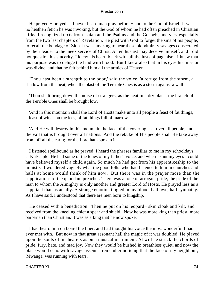He prayed – prayed as I never heard man pray before – and to the God of Israel! It was no heathen fetich he was invoking, but the God of whom he had often preached in Christian kirks. I recognized texts from Isaiah and the Psalms and the Gospels, and very especially from the two last chapters of Revelation. He pled with God to forget the sins of his people, to recall the bondage of Zion. It was amazing to hear these bloodthirsty savages consecrated by their leader to the meek service of Christ. An enthusiast may deceive himself, and I did not question his sincerity. I knew his heart, black with all the lusts of paganism. I knew that his purpose was to deluge the land with blood. But I knew also that in his eyes his mission was divine, and that he felt behind him all the armies of Heaven.

 'Thou hast been a strength to the poor,' said the voice, 'a refuge from the storm, a shadow from the heat, when the blast of the Terrible Ones is as a storm against a wall.

 'Thou shalt bring down the noise of strangers, as the heat in a dry place; the branch of the Terrible Ones shall be brought low.

 'And in this mountain shall the Lord of Hosts make unto all people a feast of fat things, a feast of wines on the lees, of fat things full of marrow.

 'And He will destroy in this mountain the face of the covering cast over all people, and the vail that is brought over all nations. 'And the rebuke of His people shall He take away from off all the earth; for the Lord hath spoken it.'\_

 I listened spellbound as he prayed. I heard the phrases familiar to me in my schooldays at Kirkcaple. He had some of the tones of my father's voice, and when I shut my eyes I could have believed myself a child again. So much he had got from his apprenticeship to the ministry. I wondered vaguely what the good folks who had listened to him in churches and halls at home would think of him now. But there was in the prayer more than the supplications of the quondam preacher. There was a tone of arrogant pride, the pride of the man to whom the Almighty is only another and greater Lord of Hosts. He prayed less as a suppliant than as an ally. A strange emotion tingled in my blood, half awe, half sympathy. As I have said, I understood that there are men born to kingship.

 He ceased with a benediction. Then he put on his leopard− skin cloak and kilt, and received from the kneeling chief a spear and shield. Now he was more king than priest, more barbarian than Christian. It was as a king that he now spoke.

 I had heard him on board the liner, and had thought his voice the most wonderful I had ever met with. But now in that great resonant hall the magic of it was doubled. He played upon the souls of his hearers as on a musical instrument. At will he struck the chords of pride, fury, hate, and mad joy. Now they would be hushed in breathless quiet, and now the place would echo with savage assent. I remember noticing that the face of my neighbour, 'Mwanga, was running with tears.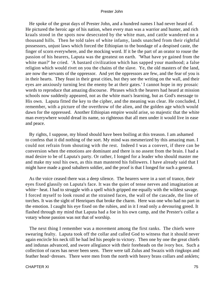He spoke of the great days of Prester John, and a hundred names I had never heard of. He pictured the heroic age of his nation, when every man was a warrior and hunter, and rich kraals stood in the spots now desecrated by the white man, and cattle wandered on a thousand hills. Then he told tales of white infamy, lands snatched from their rightful possessors, unjust laws which forced the Ethiopian to the bondage of a despised caste, the finger of scorn everywhere, and the mocking word. If it be the part of an orator to rouse the passion of his hearers, Laputa was the greatest on earth. 'What have ye gained from the white man?' he cried. 'A bastard civilization which has sapped your manhood; a false religion which would rivet on you the chains of the slave. Ye, the old masters of the land, are now the servants of the oppressor. And yet the oppressors are few, and the fear of you is in their hearts. They feast in their great cities, but they see the writing on the wall, and their eyes are anxiously turning lest the enemy be at their gates.' I cannot hope in my prosaic words to reproduce that amazing discourse. Phrases which the hearers had heard at mission schools now suddenly appeared, not as the white man's learning, but as God's message to His own. Laputa fitted the key to the cipher, and the meaning was clear. He concluded, I remember, with a picture of the overthrow of the alien, and the golden age which would dawn for the oppressed. Another Ethiopian empire would arise, so majestic that the white man everywhere would dread its name, so righteous that all men under it would live in ease and peace.

 By rights, I suppose, my blood should have been boiling at this treason. I am ashamed to confess that it did nothing of the sort. My mind was mesmerized by this amazing man. I could not refrain from shouting with the rest. Indeed I was a convert, if there can be conversion when the emotions are dominant and there is no assent from the brain. I had a mad desire to be of Laputa's party. Or rather, I longed for a leader who should master me and make my soul his own, as this man mastered his followers. I have already said that I might have made a good subaltern soldier, and the proof is that I longed for such a general.

 As the voice ceased there was a deep silence. The hearers were in a sort of trance, their eyes fixed glassily on Laputa's face. It was the quiet of tense nerves and imagination at white− heat. I had to struggle with a spell which gripped me equally with the wildest savage. I forced myself to look round at the strained faces, the wall of the cascade, the line of torches. It was the sight of Henriques that broke the charm. Here was one who had no part in the emotion. I caught his eye fixed on the rubies, and in it I read only a devouring greed. It flashed through my mind that Laputa had a foe in his own camp, and the Prester's collar a votary whose passion was not that of worship.

 The next thing I remember was a movement among the first ranks. The chiefs were swearing fealty. Laputa took off the collar and called God to witness that it should never again encircle his neck till he had led his people to victory. Then one by one the great chiefs and indunas advanced, and swore allegiance with their foreheads on the ivory box. Such a collection of races has never been seen. There were tall Zulus and Swazis with ringkops and feather head−dresses. There were men from the north with heavy brass collars and anklets;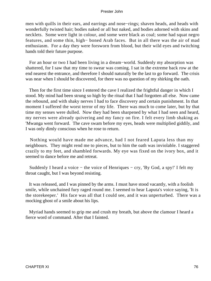men with quills in their ears, and earrings and nose−rings; shaven heads, and heads with wonderfully twisted hair; bodies naked or all but naked, and bodies adorned with skins and necklets. Some were light in colour, and some were black as coal; some had squat negro features, and some thin, high− boned Arab faces. But in all there was the air of mad enthusiasm. For a day they were forsworn from blood, but their wild eyes and twitching hands told their future purpose.

 For an hour or two I had been living in a dream−world. Suddenly my absorption was shattered, for I saw that my time to swear was coming. I sat in the extreme back row at the end nearest the entrance, and therefore I should naturally be the last to go forward. The crisis was near when I should be discovered, for there was no question of my shirking the oath.

 Then for the first time since I entered the cave I realized the frightful danger in which I stood. My mind had been strung so high by the ritual that I had forgotten all else. Now came the rebound, and with shaky nerves I had to face discovery and certain punishment. In that moment I suffered the worst terror of my life. There was much to come later, but by that time my senses were dulled. Now they had been sharpened by what I had seen and heard, my nerves were already quivering and my fancy on fire. I felt every limb shaking as 'Mwanga went forward. The cave swam before my eyes, heads were multiplied giddily, and I was only dimly conscious when he rose to return.

 Nothing would have made me advance, had I not feared Laputa less than my neighbours. They might rend me to pieces, but to him the oath was inviolable. I staggered crazily to my feet, and shambled forwards. My eye was fixed on the ivory box, and it seemed to dance before me and retreat.

 Suddenly I heard a voice − the voice of Henriques − cry, 'By God, a spy!' I felt my throat caught, but I was beyond resisting.

 It was released, and I was pinned by the arms. I must have stood vacantly, with a foolish smile, while unchained fury raged round me. I seemed to hear Laputa's voice saying, 'It is the storekeeper.' His face was all that I could see, and it was unperturbed. There was a mocking ghost of a smile about his lips.

 Myriad hands seemed to grip me and crush my breath, but above the clamour I heard a fierce word of command. After that I fainted.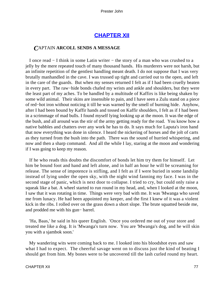# **[CHAPTER XII](#page-150-0)**

# *C*APTAIN **ARCOLL SENDS A MESSAGE**

 I once read − I think in some Latin writer − the story of a man who was crushed to a jelly by the mere repeated touch of many thousand hands. His murderers were not harsh, but an infinite repetition of the gentlest handling meant death. I do not suppose that I was very brutally manhandled in the cave. I was trussed up tight and carried out to the open, and left in the care of the guards. But when my senses returned I felt as if I had been cruelly beaten in every part. The raw−hide bonds chafed my wrists and ankle and shoulders, but they were the least part of my aches. To be handled by a multitude of Kaffirs is like being shaken by some wild animal. Their skins are insensible to pain, and I have seen a Zulu stand on a piece of red−hot iron without noticing it till he was warned by the smell of burning hide. Anyhow, after I had been bound by Kaffir hands and tossed on Kaffir shoulders, I felt as if I had been in a scrimmage of mad bulls. I found myself lying looking up at the moon. It was the edge of the bush, and all around was the stir of the army getting ready for the road. You know how a native babbles and chatters over any work he has to do. It says much for Laputa's iron hand that now everything was done in silence. I heard the nickering of horses and the jolt of carts as they turned from the bush into the path. There was the sound of hurried whispering, and now and then a sharp command. And all the while I lay, staring at the moon and wondering if I was going to keep my reason.

 If he who reads this doubts the discomfort of bonds let him try them for himself. Let him be bound foot and hand and left alone, and in half an hour he will be screaming for release. The sense of impotence is stifling, and I felt as if I were buried in some landslip instead of lying under the open sky, with the night wind fanning my face. I was in the second stage of panic, which is next door to collapse. I tried to cry, but could only raise a squeak like a bat. A wheel started to run round in my head, and, when I looked at the moon, I saw that it was rotating in time. Things were very bad with me. It was 'Mwanga who saved me from lunacy. He had been appointed my keeper, and the first I knew of it was a violent kick in the ribs. I rolled over on the grass down a short slope. The brute squatted beside me, and prodded me with his gun− barrel.

 'Ha, Baas,' he said in his queer English. 'Once you ordered me out of your store and treated me like a dog. It is 'Mwanga's turn now. You are 'Mwanga's dog, and he will skin you with a sjambok soon.'

 My wandering wits were coming back to me. I looked into his bloodshot eyes and saw what I had to expect. The cheerful savage went on to discuss just the kind of beating I should get from him. My bones were to be uncovered till the lash curled round my heart.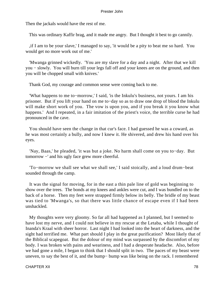Then the jackals would have the rest of me.

This was ordinary Kaffir brag, and it made me angry. But I thought it best to go cannily.

 ,if I am to be your slave,' I managed to say, 'it would be a pity to beat me so hard. You would get no more work out of me.'

 'Mwanga grinned wickedly. 'You are my slave for a day and a night. After that we kill you − slowly. You will burn till your legs fall off and your knees are on the ground, and then you will be chopped small with knives.'

Thank God, my courage and common sense were coming back to me.

 'What happens to me to−morrow,' I said, 'is the Inkulu's business, not yours. I am his prisoner. But if you lift your hand on me to−day so as to draw one drop of blood the Inkulu will make short work of you. The vow is upon you, and if you break it you know what happens.' And I repeated, in a fair imitation of the priest's voice, the terrible curse he had pronounced in the cave.

 You should have seen the change in that cur's face. I had guessed he was a coward, as he was most certainly a bully, and now I knew it. He shivered, and drew his hand over his eyes.

 'Nay, Baas,' he pleaded, 'it was but a joke. No harm shall come on you to−day. But tomorrow −' and his ugly face grew more cheerful.

 'To−morrow we shall see what we shall see,' I said stoically, and a loud drum−beat sounded through the camp.

 It was the signal for moving, for in the east a thin pale line of gold was beginning to show over the trees. The bonds at my knees and ankles were cut, and I was bundled on to the back of a horse. Then my feet were strapped firmly below its belly. The bridle of my beast was tied to 'Mwanga's, so that there was little chance of escape even if I had been unshackled.

 My thoughts were very gloomy. So far all had happened as I planned, but I seemed to have lost my nerve, and I could not believe in my rescue at the Letaba, while I thought of Inanda's Kraal with sheer horror. Last night I had looked into the heart of darkness, and the sight had terrified me. What part should I play in the great purification? Most likely that of the Biblical scapegoat. But the dolour of my mind was surpassed by the discomfort of my body. I was broken with pains and weariness, and I had a desperate headache. Also, before we had gone a mile, I began to think that I should split in two. The paces of my beast were uneven, to say the best of it, and the bump− bump was like being on the rack. I remembered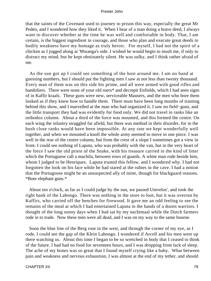that the saints of the Covenant used to journey to prison this way, especially the great Mr Peden, and I wondered how they liked it. When I hear of a man doing a brave deed, I always want to discover whether at the time he was well and comfortable in body. That, I am certain, is the biggest ingredient in courage, and those who plan and execute great deeds in bodily weakness have my homage as truly heroic. For myself, I had not the spirit of a chicken as I jogged along at 'Mwanga's side. I wished he would begin to insult me, if only to distract my mind, but he kept obstinately silent. He was sulky, and I think rather afraid of me.

 As the sun got up I could see something of the host around me. I am no hand at guessing numbers, but I should put the fighting men I saw at not less than twenty thousand. Every man of them was on this side his prime, and all were armed with good rifles and bandoliers. There were none of your old roers\* and decrepit Enfields, which I had seen signs of in Kaffir kraals. These guns were new, serviceable Mausers, and the men who bore them looked as if they knew how to handle them. There must have been long months of training behind this show, and I marvelled at the man who had organized it. I saw no field−guns, and the little transport they had was evidently for food only. We did not travel in ranks like an orthodox column. About a third of the force was mounted, and this formed the centre. On each wing the infantry straggled far afield, but there was method in their disorder, for in the bush close ranks would have been impossible. At any rate we kept wonderfully well together, and when we mounted a knoll the whole army seemed to move in one piece. I was well in the rear of the centre column, but from the crest of a slope I sometimes got a view in front. I could see nothing of Laputa, who was probably with the van, but in the very heart of the force I saw the old priest of the Snake, with his treasure carried in the kind of litter which the Portuguese call a machila, between rows of guards. A white man rode beside him, whom I judged to be Henriques. Laputa trusted this fellow, and I wondered why. I had not forgotten the look on his face while he had stared at the rubies in the cave. I had a notion that the Portugoose might be an unsuspected ally of mine, though for blackguard reasons. \*Boer elephant guns.\*

 About ten o'clock, as far as I could judge by the sun, we passed Umvelos', and took the right bank of the Labongo. There was nothing in the store to loot, but it was overrun by Kaffirs, who carried off the benches for firewood. It gave me an odd feeling to see the remains of the meal at which I had entertained Laputa in the hands of a dozen warriors. I thought of the long sunny days when I had sat by my nachtmaal while the Dutch farmers rode in to trade. Now these men were all dead, and I was on my way to the same bourne.

 Soon the blue line of the Berg rose in the west, and through the corner of my eye, as I rode, I could see the gap of the Klein Labongo. I wondered if Arcoll and his men were up there watching us. About this time I began to be so wretched in body that I ceased to think of the future. I had had no food for seventeen hours, and I was dropping from lack of sleep. The ache of my bones was so great that I found myself crying like a baby. What between pain and weakness and nervous exhaustion, I was almost at the end of my tether, and should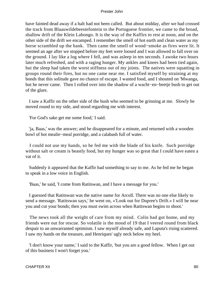have fainted dead away if a halt had not been called. But about midday, after we had crossed the track from Blaauwildebeestefontein to the Portuguese frontier, we came to the broad, shallow drift of the Klein Labongo. It is the way of the Kaffirs to rest at noon, and on the other side of the drift we encamped. I remember the smell of hot earth and clean water as my horse scrambled up the bank. Then came the smell of wood−smoke as fires were lit. It seemed an age after we stopped before my feet were loosed and I was allowed to fall over on the ground. I lay like a log where I fell, and was asleep in ten seconds. I awoke two hours later much refreshed, and with a raging hunger. My ankles and knees had been tied again, but the sleep had taken the worst stiffness out of my joints. The natives were squatting in groups round their fires, but no one came near me. I satisfied myself by straining at my bonds that this solitude gave no chance of escape. I wanted food, and I shouted on 'Mwanga, but he never came. Then I rolled over into the shadow of a wacht−en−beetje bush to get out of the glare.

 I saw a Kaffir on the other side of the bush who seemed to be grinning at me. Slowly he moved round to my side, and stood regarding me with interest.

'For God's sake get me some food,' I said.

 'ja, Baas,' was the answer; and he disappeared for a minute, and returned with a wooden bowl of hot mealie−meal porridge, and a calabash full of water.

 I could not use my hands, so he fed me with the blade of his knife. Such porridge without salt or cream is beastly food, but my hunger was so great that I could have eaten a vat of it.

 Suddenly it appeared that the Kaffir had something to say to me. As he fed me he began to speak in a low voice in English.

'Baas,' he said, 'I come from Ratitswan, and I have a message for you.'

 I guessed that Ratitswan was the native name for Arcoll. There was no one else likely to send a message. 'Ratitswan says,' he went on, «'Look out for Dupree's Drift.» I will be near you and cut your bonds; then you must swim across when Ratitswan begins to shoot.'

 The news took all the weight of care from my mind. Colin had got home, and my friends were out for rescue. So volatile is the mood of 19 that I veered round from black despair to an unwarranted optimism. I saw myself already safe, and Laputa's rising scattered. I saw my hands on the treasure, and Henriques' ugly neck below my heel.

 'I don't know your name,' I said to the Kaffir, 'but you are a good fellow. When I get out of this business I won't forget you.'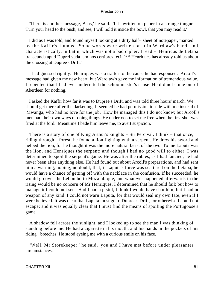'There is another message, Baas,' he said. 'It is written on paper in a strange tongue. Turn your head to the bush, and see, I will hold it inside the bowl, that you may read it.'

 I did as I was told, and found myself looking at a dirty half− sheet of notepaper, marked by the Kaffir's thumbs. Some words were written on it in Wardlaw's hand; and, characteristically, in Latin, which was not a bad cipher. I read − 'Henricus de Letaba transeunda apud Duprei vada jam nos certiores fecit.'\* \*'Henriques has already told us about the crossing at Dupree's Drift.'

 I had guessed rightly. Henriques was a traitor to the cause he had espoused. Arcoll's message had given me new heart, but Wardlaw's gave me information of tremendous value. I repented that I had ever underrated the schoolmaster's sense. He did not come out of Aberdeen for nothing.

 I asked the Kaffir how far it was to Dupree's Drift, and was told three hours' march. We should get there after the darkening. It seemed he had permission to ride with me instead of 'Mwanga, who had no love for the job. How he managed this I do not know; but Arcoll's men had their own ways of doing things. He undertook to set me free when the first shot was fired at the ford. Meantime I bade him leave me, to avert suspicion.

There is a story of one of King Arthur's knights – Sir Percival, I think – that once, riding through a forest, he found a lion fighting with a serpent. He drew his sword and helped the lion, for he thought it was the more natural beast of the two. To me Laputa was the lion, and Henriques the serpent; and though I had no good will to either, I was determined to spoil the serpent's game. He was after the rubies, as I had fancied; he had never been after anything else. He had found out about Arcoll's preparations, and had sent him a warning, hoping, no doubt, that, if Laputa's force was scattered on the Letaba, he would have a chance of getting off with the necklace in the confusion. If he succeeded, he would go over the Lebombo to Mozambique, and whatever happened afterwards in the rising would be no concern of Mr Henriques. I determined that he should fail; but how to manage it I could not see. Had I had a pistol, I think I would have shot him; but I had no weapon of any kind. I could not warn Laputa, for that would seal my own fate, even if I were believed. It was clear that Laputa must go to Dupree's Drift, for otherwise I could not escape; and it was equally clear that I must find the means of spoiling the Portugoose's game.

 A shadow fell across the sunlight, and I looked up to see the man I was thinking of standing before me. He had a cigarette in his mouth, and his hands in the pockets of his riding− breeches. He stood eyeing me with a curious smile on his face.

 'Well, Mr Storekeeper,' he said, 'you and I have met before under pleasanter circumstances.'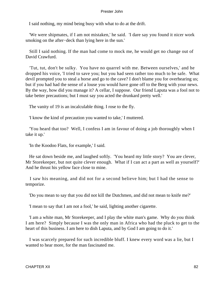I said nothing, my mind being busy with what to do at the drift.

 'We were shipmates, if I am not mistaken,' he said. 'I dare say you found it nicer work smoking on the after−deck than lying here in the sun.'

 Still I said nothing. If the man had come to mock me, he would get no change out of David Crawfurd.

 'Tut, tut, don't be sulky. You have no quarrel with me. Between ourselves,' and he dropped his voice, 'I tried to save you; but you had seen rather too much to be safe. What devil prompted you to steal a horse and go to the cave? I don't blame you for overhearing us; but if you had had the sense of a louse you would have gone off to the Berg with your news. By the way, how did you manage it? A cellar, I suppose. Our friend Laputa was a fool not to take better precautions; but I must say you acted the drunkard pretty well.'

The vanity of 19 is an incalculable thing. I rose to the fly.

'I know the kind of precaution you wanted to take,' I muttered.

 'You heard that too? Well, I confess I am in favour of doing a job thoroughly when I take it up.'

'In the Koodoo Flats, for example,' I said.

 He sat down beside me, and laughed softly. 'You heard my little story? You are clever, Mr Storekeeper, but not quite clever enough. What if I can act a part as well as yourself?' And he thrust his yellow face close to mine.

 I saw his meaning, and did not for a second believe him; but I had the sense to temporize.

'Do you mean to say that you did not kill the Dutchmen, and did not mean to knife me?'

'I mean to say that I am not a fool,' he said, lighting another cigarette.

 'I am a white man, Mr Storekeeper, and I play the white man's game. Why do you think I am here? Simply because I was the only man in Africa who had the pluck to get to the heart of this business. I am here to dish Laputa, and by God I am going to do it.'

 I was scarcely prepared for such incredible bluff. I knew every word was a lie, but I wanted to hear more, for the man fascinated me.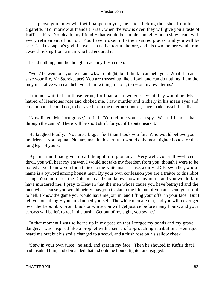'I suppose you know what will happen to you,' he said, flicking the ashes from his cigarette. 'To−morrow at Inanda's Kraal, when the vow is over, they will give you a taste of Kaffir habits. Not death, my friend – that would be simple enough – but a slow death with every refinement of horror. You have broken into their sacred places, and you will be sacrificed to Laputa's god. I have seen native torture before, and his own mother would run away shrieking from a man who had endured it.'

I said nothing, but the thought made my flesh creep.

 'Well,' he went on, 'you're in an awkward plight, but I think I can help you. What if I can save your life, Mr Storekeeper? You are trussed up like a fowl, and can do nothing. I am the only man alive who can help you. I am willing to do it, too − on my own terms.'

 I did not wait to hear those terms, for I had a shrewd guess what they would be. My hatred of Henriques rose and choked me. I saw murder and trickery in his mean eyes and cruel mouth. I could not, to be saved from the uttermost horror, have made myself his ally.

 'Now listen, Mr Portugoose,' I cried. 'You tell me you are a spy. What if I shout that through the camp? There will be short shrift for you if Laputa hears it.'

 He laughed loudly. 'You are a bigger fool than I took you for. Who would believe you, my friend. Not Laputa. Not any man in this army. It would only mean tighter bonds for these long legs of yours.'

 By this time I had given up all thought of diplomacy. 'Very well, you yellow−faced devil, you will hear my answer. I would not take my freedom from you, though I were to be boiled alive. I know you for a traitor to the white man's cause, a dirty I.D.B. swindler, whose name is a byword among honest men. By your own confession you are a traitor to this idiot rising. You murdered the Dutchmen and God knows how many more, and you would fain have murdered me. I pray to Heaven that the men whose cause you have betrayed and the men whose cause you would betray may join to stamp the life out of you and send your soul to hell. I know the game you would have me join in, and I fling your offer in your face. But I tell you one thing − you are damned yourself. The white men are out, and you will never get over the Lebombo. From black or white you will get justice before many hours, and your carcass will be left to rot in the bush. Get out of my sight, you swine.'

 In that moment I was so borne up in my passion that I forgot my bonds and my grave danger. I was inspired like a prophet with a sense of approaching retribution. Henriques heard me out; but his smile changed to a scowl, and a flush rose on his sallow cheek.

 'Stew in your own juice,' he said, and spat in my face. Then he shouted in Kaffir that I had insulted him, and demanded that I should be bound tighter and gagged.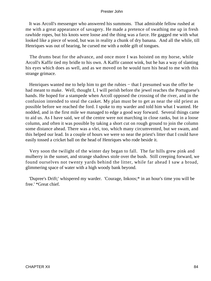It was Arcoll's messenger who answered his summons. That admirable fellow rushed at me with a great appearance of savagery. He made a pretence of swathing me up in fresh rawhide ropes, but his knots were loose and the thing was a farce. He gagged me with what looked like a piece of wood, but was in reality a chunk of dry banana. And all the while, till Henriques was out of hearing, he cursed me with a noble gift of tongues.

 The drums beat for the advance, and once more I was hoisted on my horse, while Arcoll's Kaffir tied my bridle to his own. A Kaffir cannot wink, but he has a way of slanting his eyes which does as well, and as we moved on he would turn his head to me with this strange grimace.

Henriques wanted me to help him to get the rubies – that I presumed was the offer he had meant to make. Well, thought I, I will perish before the jewel reaches the Portuguese's hands. He hoped for a stampede when Arcoll opposed the crossing of the river, and in the confusion intended to steal the casket. My plan must be to get as near the old priest as possible before we reached the ford. I spoke to my warder and told him what I wanted. He nodded, and in the first mile we managed to edge a good way forward. Several things came to aid us. As I have said, we of the centre were not marching in close ranks, but in a loose column, and often it was possible by taking a short cut on rough ground to join the column some distance ahead. There was a vlei, too, which many circumvented, but we swam, and this helped our lead. In a couple of hours we were so near the priest's litter that I could have easily tossed a cricket ball on the head of Henriques who rode beside it.

 Very soon the twilight of the winter day began to fall. The far hills grew pink and mulberry in the sunset, and strange shadows stole over the bush. Still creeping forward, we found ourselves not twenty yards behind the litter, while far ahead I saw a broad, glimmering space of water with a high woody bank beyond.

 'Dupree's Drift;' whispered my warder. 'Courage, Inkoos;\* in an hour's time you will be free.' \*Great chief.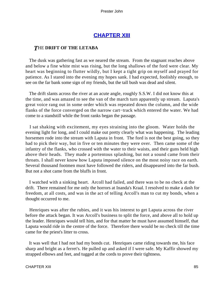# **[CHAPTER XIII](#page-150-0)**

# *T*HE **DRIFT OF THE LETABA**

 The dusk was gathering fast as we neared the stream. From the stagnant reaches above and below a fine white mist was rising, but the long shallows of the ford were clear. My heart was beginning to flutter wildly, but I kept a tight grip on myself and prayed for patience. As I stared into the evening my hopes sank. I had expected, foolishly enough, to see on the far bank some sign of my friends, but the tall bush was dead and silent.

 The drift slants across the river at an acute angle, roughly S.S.W. I did not know this at the time, and was amazed to see the van of the march turn apparently up stream. Laputa's great voice rang out in some order which was repeated down the column, and the wide flanks of the force converged on the narrow cart−track which entered the water. We had come to a standstill while the front ranks began the passage.

 I sat shaking with excitement, my eyes straining into the gloom. Water holds the evening light for long, and I could make out pretty clearly what was happening. The leading horsemen rode into the stream with Laputa in front. The ford is not the best going, so they had to pick their way, but in five or ten minutes they were over. Then came some of the infantry of the flanks, who crossed with the water to their waists, and their guns held high above their heads. They made a portentous splashing, but not a sound came from their throats. I shall never know how Laputa imposed silence on the most noisy race on earth. Several thousand footmen must have followed the riders, and disappeared into the far bush. But not a shot came from the bluffs in front.

 I watched with a sinking heart. Arcoll had failed, and there was to be no check at the drift. There remained for me only the horrors at Inanda's Kraal. I resolved to make a dash for freedom, at all costs, and was in the act of telling Arcoll's man to cut my bonds, when a thought occurred to me.

 Henriques was after the rubies, and it was his interest to get Laputa across the river before the attack began. It was Arcoll's business to split the force, and above all to hold up the leader. Henriques would tell him, and for that matter he must have assumed himself, that Laputa would ride in the centre of the force. Therefore there would be no check till the time came for the priest's litter to cross.

 It was well that I had not had my bonds cut. Henriques came riding towards me, his face sharp and bright as a ferret's. He pulled up and asked if I were safe. My Kaffir showed my strapped elbows and feet, and tugged at the cords to prove their tightness.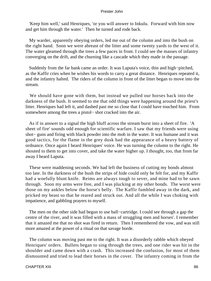'Keep him well,' said Henriques, 'or you will answer to Inkulu. Forward with him now and get him through the water.' Then he turned and rode back.

 My warder, apparently obeying orders, led me out of the column and into the bush on the right hand. Soon we were abreast of the litter and some twenty yards to the west of it. The water gleamed through the trees a few paces in front. I could see the masses of infantry converging on the drift, and the churning like a cascade which they made in the passage.

 Suddenly from the far bank came an order. It was Laputa's voice, thin and high−pitched, as the Kaffir cries when he wishes his words to carry a great distance. Henriques repeated it, and the infantry halted. The riders of the column in front of the litter began to move into the stream.

 We should have gone with them, but instead we pulled our horses back into the darkness of the bush. It seemed to me that odd things were happening around the priest's litter. Henriques had left it, and dashed past me so close that I could have touched him. From somewhere among the trees a pistol− shot cracked into the air.

 As if in answer to a signal the high bluff across the stream burst into a sheet of fire. 'A sheet of fire' sounds odd enough for scientific warfare. I saw that my friends were using shot− guns and firing with black powder into the mob in the water. It was humane and it was good tactics, for the flame in the grey dusk had the appearance of a heavy battery of ordnance. Once again I heard Henriques' voice. He was turning the column to the right. He shouted to them to get into cover, and take the water higher up. I thought, too, that from far away I heard Laputa.

 These were maddening seconds. We had left the business of cutting my bonds almost too late. In the darkness of the bush the strips of hide could only be felt for, and my Kaffir had a woefully blunt knife. Reims are always tough to sever, and mine had to be sawn through. Soon my arms were free, and I was plucking at my other bonds. The worst were those on my ankles below the horse's belly. The Kaffir fumbled away in the dark, and pricked my beast so that he reared and struck out. And all the while I was choking with impatience, and gabbling prayers to myself.

 The men on the other side had begun to use ball−cartridge. I could see through a gap the centre of the river, and it was filled with a mass of struggling men and horses'. I remember that it amazed me that no shot was fired in return. Then I remembered the vow, and was still more amazed at the power of a ritual on that savage horde.

 The column was moving past me to the right. It was a disorderly rabble which obeyed Henriques' orders. Bullets began to sing through the trees, and one rider was hit in the shoulder and came down with a crash. This increased the confusion, for most of them dismounted and tried to lead their horses in the cover. The infantry coming in from the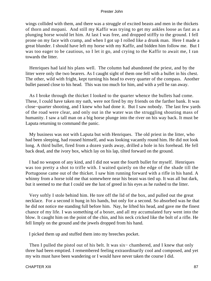wings collided with them, and there was a struggle of excited beasts and men in the thickets of thorn and mopani. And still my Kaffir was trying to get my ankles loose as fast as a plunging horse would let him. At last I was free, and dropped stiffly to the ground. I fell prone on my face with cramp, and when I got up I rolled like a drunk man. Here I made a great blunder. I should have left my horse with my Kaffir, and bidden him follow me. But I was too eager to be cautious, so I let it go, and crying to the Kaffir to await me, I ran towards the litter.

 Henriques had laid his plans well. The column had abandoned the priest, and by the litter were only the two bearers. As I caught sight of them one fell with a bullet in his chest. The other, wild with fright, kept turning his head to every quarter of the compass. Another bullet passed close to his head. This was too much for him, and with a yell he ran away.

 As I broke through the thicket I looked to the quarter whence the bullets had come. These, I could have taken my oath, were not fired by my friends on the farther bank. It was close−quarter shooting, and I knew who had done it. But I saw nobody. The last few yards of the road were clear, and only out in the water was the struggling shouting mass of humanity. I saw a tall man on a big horse plunge into the river on his way back. It must be Laputa returning to command the panic.

 My business was not with Laputa but with Henriques. The old priest in the litter, who had been sleeping, had roused himself, and was looking vacantly round him. He did not look long. A third bullet, fired from a dozen yards away, drilled a hole in his forehead. He fell back dead, and the ivory box, which lay on his lap, tilted forward on the ground.

 I had no weapon of any kind, and I did not want the fourth bullet for myself. Henriques was too pretty a shot to trifle with. I waited quietly on the edge of the shade till the Portugoose came out of the thicket. I saw him running forward with a rifle in his hand. A whinny from a horse told me that somewhere near his beast was tied up. It was all but dark, but it seemed to me that I could see the lust of greed in his eyes as he rushed to the litter.

 Very softly I stole behind him. He tore off the lid of the box, and pulled out the great necklace. For a second it hung in his hands, but only for a second. So absorbed was he that he did not notice me standing full before him. Nay, he lifted his head, and gave me the finest chance of my life. I was something of a boxer, and all my accumulated fury went into the blow. It caught him on the point of the chin, and his neck cricked like the bolt of a rifle. He fell limply on the ground and the jewels dropped from his hand.

I picked them up and stuffed them into my breeches pocket.

Then I pulled the pistol out of his belt. It was six-chambered, and I knew that only three had been emptied. I remembered feeling extraordinarily cool and composed, and yet my wits must have been wandering or I would have never taken the course I did.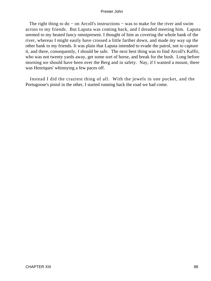The right thing to do – on Arcoll's instructions – was to make for the river and swim across to my friends. But Laputa was coming back, and I dreaded meeting him. Laputa seemed to my heated fancy omnipresent. I thought of him as covering the whole bank of the river, whereas I might easily have crossed a little farther down, and made my way up the other bank to my friends. It was plain that Laputa intended to evade the patrol, not to capture it, and there, consequently, I should be safe. The next best thing was to find Arcoll's Kaffir, who was not twenty yards away, get some sort of horse, and break for the bush. Long before morning we should have been over the Berg and in safety. Nay, if I wanted a mount, there was Henriques' whinnying a few paces off.

 Instead I did the craziest thing of all. With the jewels in one pocket, and the Portugoose's pistol in the other, I started running back the road we had come.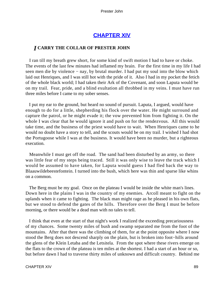# **[CHAPTER XIV](#page-150-0)**

# *I* **CARRY THE COLLAR OF PRESTER JOHN**

 I ran till my breath grew short, for some kind of swift motion I had to have or choke. The events of the last few minutes had inflamed my brain. For the first time in my life I had seen men die by violence − nay, by brutal murder. I had put my soul into the blow which laid out Henriques, and I was still hot with the pride of it. Also I had in my pocket the fetich of the whole black world; I had taken their Ark of the Covenant, and soon Laputa would be on my trail. Fear, pride, and a blind exultation all throbbed in my veins. I must have run three miles before I came to my sober senses.

 I put my ear to the ground, but heard no sound of pursuit. Laputa, I argued, would have enough to do for a little, shepherding his flock over the water. He might surround and capture the patrol, or he might evade it; the vow prevented him from fighting it. On the whole I was clear that he would ignore it and push on for the rendezvous. All this would take time, and the business of the priest would have to wait. When Henriques came to he would no doubt have a story to tell, and the scouts would be on my trail. I wished I had shot the Portugoose while I was at the business. It would have been no murder, but a righteous execution.

 Meanwhile I must get off the road. The sand had been disturbed by an army, so there was little fear of my steps being traced. Still it was only wise to leave the track which I would be assumed to have taken, for Laputa would guess I had fled back the way to Blaauwildebeestefontein. I turned into the bush, which here was thin and sparse like whins on a common.

 The Berg must be my goal. Once on the plateau I would be inside the white man's lines. Down here in the plains I was in the country of my enemies. Arcoll meant to fight on the uplands when it came to fighting. The black man might rage as he pleased in his own flats, but we stood to defend the gates of the hills. Therefore over the Berg I must be before morning, or there would be a dead man with no tales to tell.

 I think that even at the start of that night's work I realized the exceeding precariousness of my chances. Some twenty miles of bush and swamp separated me from the foot of the mountains. After that there was the climbing of them, for at the point opposite where I now stood the Berg does not descend sharply on the plain, but is broken into foot−hills around the glens of the Klein Letaba and the Letsitela. From the spot where these rivers emerge on the flats to the crown of the plateau is ten miles at the shortest. I had a start of an hour or so, but before dawn I had to traverse thirty miles of unknown and difficult country. Behind me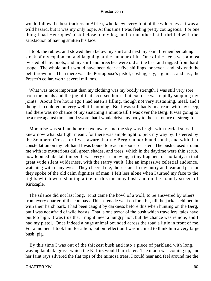would follow the best trackers in Africa, who knew every foot of the wilderness. It was a wild hazard, but it was my only hope. At this time I was feeling pretty courageous. For one thing I had Henriques' pistol close to my leg, and for another I still thrilled with the satisfaction of having smitten his face.

 I took the rubies, and stowed them below my shirt and next my skin. I remember taking stock of my equipment and laughing at the humour of it. One of the heels was almost twisted off my boots, and my shirt and breeches were old at the best and ragged from hard usage. The whole outfit would have been dear at five shillings, or seven−and−six with the belt thrown in. Then there was the Portugoose's pistol, costing, say, a guinea; and last, the Prester's collar, worth several millions.

What was more important than my clothing was my bodily strength. I was still very sore from the bonds and the jog of that accursed horse, but exercise was rapidly suppling my joints. About five hours ago I had eaten a filling, though not very sustaining, meal, and I thought I could go on very well till morning. But I was still badly in arrears with my sleep, and there was no chance of my snatching a minute till I was over the Berg. It was going to be a race against time, and I swore that I would drive my body to the last ounce of strength.

 Moonrise was still an hour or two away, and the sky was bright with myriad stars. I knew now what starlight meant, for there was ample light to pick my way by. I steered by the Southern Cross, for I was aware that the Berg ran north and south, and with that constellation on my left hand I was bound to reach it sooner or later. The bush closed around me with its mysterious dull green shades, and trees, which in the daytime were thin scrub, now loomed like tall timber. It was very eerie moving, a tiny fragment of mortality, in that great wide silent wilderness, with the starry vault, like an impassive celestial audience, watching with many eyes. They cheered me, those stars. In my hurry and fear and passion they spoke of the old calm dignities of man. I felt less alone when I turned my face to the lights which were slanting alike on this uncanny bush and on the homely streets of Kirkcaple.

 The silence did not last long. First came the howl of a wolf, to be answered by others from every quarter of the compass. This serenade went on for a bit, till the jackals chimed in with their harsh bark. I had been caught by darkness before this when hunting on the Berg, but I was not afraid of wild beasts. That is one terror of the bush which travellers' tales have put too high. It was true that I might meet a hungry lion, but the chance was remote, and I had my pistol. Once indeed a huge animal bounded across the road a little in front of me. For a moment I took him for a lion, but on reflection I was inclined to think him a very large bush−pig.

 By this time I was out of the thickest bush and into a piece of parkland with long, waving tambuki grass, which the Kaffirs would burn later. The moon was coming up, and her faint rays silvered the flat tops of the mimosa trees. I could hear and feel around me the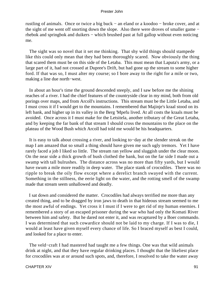rustling of animals. Once or twice a big buck − an eland or a koodoo − broke cover, and at the sight of me went off snorting down the slope. Also there were droves of smaller game − rhebok and springbok and duikers − which brushed past at full gallop without even noticing me.

 The sight was so novel that it set me thinking. That shy wild things should stampede like this could only mean that they had been thoroughly scared. Now obviously the thing that scared them must be on this side of the Letaba. This must mean that Laputa's army, or a large part of it, had not crossed at Dupree's Drift, but had gone up the stream to some higher ford. If that was so, I must alter my course; so I bore away to the right for a mile or two, making a line due north−west.

 In about an hour's time the ground descended steeply, and I saw before me the shining reaches of a river. I had the chief features of the countryside clear in my mind, both from old porings over maps, and from Arcoll's instructions. This stream must be the Little Letaba, and I must cross it if I would get to the mountains. I remembered that Majinje's kraal stood on its left bank, and higher up in its valley in the Berg 'Mpefu lived. At all costs the kraals must be avoided. Once across it I must make for the Letsitela, another tributary of the Great Letaba, and by keeping the far bank of that stream I should cross the mountains to the place on the plateau of the Wood Bush which Arcoll had told me would be his headquarters.

 It is easy to talk about crossing a river, and looking to−day at the slender streak on the map I am amazed that so small a thing should have given me such ugly tremors. Yet I have rarely faced a job I liked so little. The stream ran yellow and sluggish under the clear moon. On the near side a thick growth of bush clothed the bank, but on the far side I made out a swamp with tall bulrushes. The distance across was no more than fifty yards, but I would have swum a mile more readily in deep water. The place stank of crocodiles. There was no ripple to break the oily flow except where a derelict branch swayed with the current. Something in the stillness, the eerie light on the water, and the rotting smell of the swamp made that stream seem unhallowed and deadly.

 I sat down and considered the matter. Crocodiles had always terrified me more than any created thing, and to be dragged by iron jaws to death in that hideous stream seemed to me the most awful of endings. Yet cross it I must if I were to get rid of my human enemies. I remembered a story of an escaped prisoner during the war who had only the Komati River between him and safety. But he dared not enter it, and was recaptured by a Boer commando. I was determined that such cowardice should not be laid to my charge. If I was to die, I would at least have given myself every chance of life. So I braced myself as best I could, and looked for a place to enter.

 The veld−craft I had mastered had taught me a few things. One was that wild animals drink at night, and that they have regular drinking places. I thought that the likeliest place for crocodiles was at or around such spots, and, therefore, I resolved to take the water away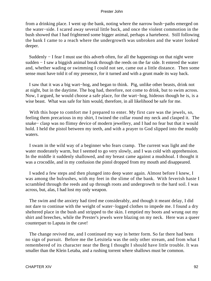from a drinking place. I went up the bank, noting where the narrow bush−paths emerged on the water−side. I scared away several little buck, and once the violent commotion in the bush showed that I had frightened some bigger animal, perhaps a hartebeest. Still following the bank I came to a reach where the undergrowth was unbroken and the water looked deeper.

 Suddenly − I fear I must use this adverb often, for all the happenings on that night were sudden − I saw a biggish animal break through the reeds on the far side. It entered the water and, whether wading or swimming I could not see, came out a little distance. Then some sense must have told it of my presence, for it turned and with a grunt made its way back.

 I saw that it was a big wart−hog, and began to think. Pig, unlike other beasts, drink not at night, but in the daytime. The hog had, therefore, not come to drink, but to swim across. Now, I argued, he would choose a safe place, for the wart−hog, hideous though he is, is a wise beast. What was safe for him would, therefore, in all likelihood be safe for me.

 With this hope to comfort me I prepared to enter. My first care was the jewels, so, feeling them precarious in my shirt, I twined the collar round my neck and clasped it. The snake− clasp was no flimsy device of modern jewellery, and I had no fear but that it would hold. I held the pistol between my teeth, and with a prayer to God slipped into the muddy waters.

 I swam in the wild way of a beginner who fears cramp. The current was light and the water moderately warm, but I seemed to go very slowly, and I was cold with apprehension. In the middle it suddenly shallowed, and my breast came against a mudshoal. I thought it was a crocodile, and in my confusion the pistol dropped from my mouth and disappeared.

 I waded a few steps and then plunged into deep water again. Almost before I knew, I was among the bulrushes, with my feet in the slime of the bank. With feverish haste I scrambled through the reeds and up through roots and undergrowth to the hard soil. I was across, but, alas, I had lost my only weapon.

 The swim and the anxiety had tired me considerably, and though it meant delay, I did not dare to continue with the weight of water−logged clothes to impede me. I found a dry sheltered place in the bush and stripped to the skin. I emptied my boots and wrung out my shirt and breeches, while the Prester's jewels were blazing on my neck. Here was a queer counterpart to Laputa in the cave!

 The change revived me, and I continued my way in better form. So far there had been no sign of pursuit. Before me the Letsitela was the only other stream, and from what I remembered of its character near the Berg I thought I should have little trouble. It was smaller than the Klein Letaba, and a rushing torrent where shallows must be common.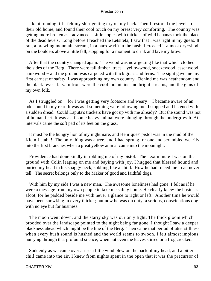I kept running till I felt my shirt getting dry on my back. Then I restored the jewels to their old home, and found their cool touch on my breast very comforting. The country was getting more broken as I advanced. Little kopjes with thickets of wild bananas took the place of the dead levels. Long before I reached the Letsitela, I saw that I was right in my guess. It ran, a brawling mountain stream, in a narrow rift in the bush. I crossed it almost dry−shod on the boulders above a little fall, stopping for a moment to drink and lave my brow.

 After that the country changed again. The wood was now getting like that which clothed the sides of the Berg. There were tall timber−trees − yellowwood, sneezewood, essenwood, stinkwood – and the ground was carpeted with thick grass and ferns. The sight gave me my first earnest of safety. I was approaching my own country. Behind me was heathendom and the black fever flats. In front were the cool mountains and bright streams, and the guns of my own folk.

 As I struggled on − for I was getting very footsore and weary − I became aware of an odd sound in my rear. It was as if something were following me. I stopped and listened with a sudden dread. Could Laputa's trackers have got up with me already? But the sound was not of human feet. It was as if some heavy animal were plunging through the undergrowth. At intervals came the soft pad of its feet on the grass.

 It must be the hungry lion of my nightmare, and Henriques' pistol was in the mud of the Klein Letaba! The only thing was a tree, and I had sprung for one and scrambled wearily into the first branches when a great yellow animal came into the moonlight.

 Providence had done kindly in robbing me of my pistol. The next minute I was on the ground with Colin leaping on me and baying with joy. I hugged that blessed hound and buried my head in his shaggy neck, sobbing like a child. How he had traced me I can never tell. The secret belongs only to the Maker of good and faithful dogs.

With him by my side I was a new man. The awesome loneliness had gone. I felt as if he were a message from my own people to take me safely home. He clearly knew the business afoot, for he padded beside me with never a glance to right or left. Another time he would have been snowking in every thicket; but now he was on duty, a serious, conscientious dog with no eye but for business.

 The moon went down, and the starry sky was our only light. The thick gloom which brooded over the landscape pointed to the night being far gone. I thought I saw a deeper blackness ahead which might be the line of the Berg. Then came that period of utter stillness when every bush sound is hushed and the world seems to swoon. I felt almost impious hurrying through that profound silence, when not even the leaves stirred or a frog croaked.

 Suddenly as we came over a rise a little wind blew on the back of my head, and a bitter chill came into the air. I knew from nights spent in the open that it was the precursor of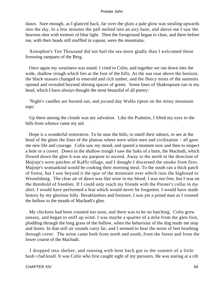dawn. Sure enough, as I glanced back, far over the plain a pale glow was stealing upwards into the sky. In a few minutes the pall melted into an airy haze, and above me I saw the heavens shot with tremors of blue light. Then the foreground began to clear, and there before me, with their heads still muffled in vapour, were the mountains.

 Xenophon's Ten Thousand did not hail the sea more gladly than I welcomed those frowning ramparts of the Berg.

 Once again my weariness was eased. I cried to Colin, and together we ran down into the wide, shallow trough which lies at the foot of the hills. As the sun rose above the horizon, the black masses changed to emerald and rich umber, and the fleecy mists of the summits opened and revealed beyond shining spaces of green. Some lines of Shakespeare ran in my head, which I have always thought the most beautiful of all poetry:

 'Night's candles are burned out, and jocund day Walks tiptoe on the misty mountain tops.'

 Up there among the clouds was my salvation. Like the Psalmist, I lifted my eyes to the hills from whence came my aid.

 Hope is a wonderful restorative. To be near the hills, to smell their odours, to see at the head of the glens the lines of the plateau where were white men and civilization – all gave me new life and courage. Colin saw my mood, and spared a moment now and then to inspect a hole or a covert. Down in the shallow trough I saw the links of a burn, the Machudi, which flowed down the glen it was my purpose to ascend. Away to the north in the direction of Majinje's were patches of Kaffir tillage, and I thought I discerned the smoke from fires. Majinje's womankind would be cooking their morning meal. To the south ran a thick patch of forest, but I saw beyond it the spur of the mountain over which runs the highroad to Wesselsburg. The clear air of dawn was like wine in my blood. I was not free, but I was on the threshold of freedom. If I could only reach my friends with the Prester's collar in my shirt, I would have performed a feat which would never be forgotten. I would have made history by my glorious folly. Breakfastless and footsore, I was yet a proud man as I crossed the hollow to the mouth of Machudi's glen.

 My chickens had been counted too soon, and there was to be no hatching. Colin grew uneasy, and began to sniff up wind. I was maybe a quarter of a mile from the glen foot, plodding through the long grass of the hollow, when the behaviour of the dog made me stop and listen. In that still air sounds carry far, and I seemed to hear the noise of feet brushing through cover. The noise came both from north and south, from the forest and from the lower course of the Machudi.

 I dropped into shelter, and running with bent back got to the summit of a little bush−clad knoll. It was Colin who first caught sight of my pursuers. He was staring at a rift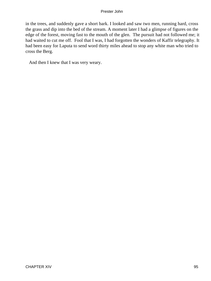in the trees, and suddenly gave a short bark. I looked and saw two men, running hard, cross the grass and dip into the bed of the stream. A moment later I had a glimpse of figures on the edge of the forest, moving fast to the mouth of the glen. The pursuit had not followed me; it had waited to cut me off. Fool that I was, I had forgotten the wonders of Kaffir telegraphy. It had been easy for Laputa to send word thirty miles ahead to stop any white man who tried to cross the Berg.

And then I knew that I was very weary.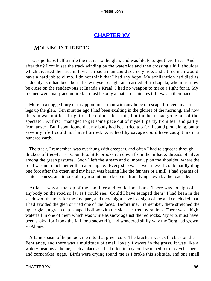# **[CHAPTER XV](#page-150-0)**

# *M*ORNING **IN THE BERG**

 I was perhaps half a mile the nearer to the glen, and was likely to get there first. And after that? I could see the track winding by the waterside and then crossing a hill−shoulder which diverted the stream. It was a road a man could scarcely ride, and a tired man would have a hard job to climb. I do not think that I had any hope. My exhilaration had died as suddenly as it had been born. I saw myself caught and carried off to Laputa, who must now be close on the rendezvous at Inanda's Kraal. I had no weapon to make a fight for it. My foemen were many and untired. It must be only a matter of minutes till I was in their hands.

 More in a dogged fury of disappointment than with any hope of escape I forced my sore legs up the glen. Ten minutes ago I had been exulting in the glories of the morning, and now the sun was not less bright or the colours less fair, but the heart had gone out of the spectator. At first I managed to get some pace out of myself, partly from fear and partly from anger. But I soon found that my body had been tried too far. I could plod along, but to save my life I could not have hurried. Any healthy savage could have caught me in a hundred yards.

 The track, I remember, was overhung with creepers, and often I had to squeeze through thickets of tree−ferns. Countless little brooks ran down from the hillside, threads of silver among the green pastures. Soon I left the stream and climbed up on the shoulder, where the road was not much better than a precipice. Every step was a weariness. I could hardly drag one foot after the other, and my heart was beating like the fanners of a mill, I had spasms of acute sickness, and it took all my resolution to keep me from lying down by the roadside.

 At last I was at the top of the shoulder and could look back. There was no sign of anybody on the road so far as I could see. Could I have escaped them? I had been in the shadow of the trees for the first part, and they might have lost sight of me and concluded that I had avoided the glen or tried one of the faces. Before me, I remember, there stretched the upper glen, a green cup−shaped hollow with the sides scarred by ravines. There was a high waterfall in one of them which was white as snow against the red rocks. My wits must have been shaky, for I took the fall for a snowdrift, and wondered sillily why the Berg had grown so Alpine.

 A faint spasm of hope took me into that green cup. The bracken was as thick as on the Pentlands, and there was a multitude of small lovely flowers in the grass. It was like a water−meadow at home, such a place as I had often in boyhood searched for moss−cheepers' and corncrakes' eggs. Birds were crying round me as I broke this solitude, and one small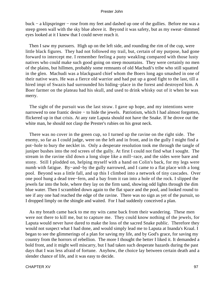buck − a klipspringer − rose from my feet and dashed up one of the gullies. Before me was a steep green wall with the sky blue above it. Beyond it was safety, but as my sweat−dimmed eyes looked at it I knew that I could never reach it.

 Then I saw my pursuers. High up on the left side, and rounding the rim of the cup, were little black figures. They had not followed my trail, but, certain of my purpose, had gone forward to intercept me. I remember feeling a puny weakling compared with those lusty natives who could make such good going on steep mountains. They were certainly no men of the plains, but hillmen, probably some remnants of old Machudi's tribe who still squatted in the glen. Machudi was a blackguard chief whom the Boers long ago smashed in one of their native wars. He was a fierce old warrior and had put up a good fight to the last, till a hired impi of Swazis had surrounded his hiding−place in the forest and destroyed him. A Boer farmer on the plateau had his skull, and used to drink whisky out of it when he was merry.

 The sight of the pursuit was the last straw. I gave up hope, and my intentions were narrowed to one frantic desire − to hide the jewels. Patriotism, which I had almost forgotten, flickered up in that crisis. At any rate Laputa should not have the Snake. If he drove out the white man, he should not clasp the Prester's rubies on his great neck.

 There was no cover in the green cup, so I turned up the ravine on the right side. The enemy, so far as I could judge, were on the left and in front, and in the gully I might find a pot−hole to bury the necklet in. Only a desperate resolution took me through the tangle of juniper bushes into the red screes of the gully. At first I could not find what I sought. The stream in the ravine slid down a long slope like a mill−race, and the sides were bare and stony. Still I plodded on, helping myself with a hand on Colin's back, for my legs were numb with fatigue. By−and−by the gully narrowed, and I came to a flat place with a long pool. Beyond was a little fall, and up this I climbed into a network of tiny cascades. Over one pool hung a dead tree−fern, and a bay from it ran into a hole of the rock. I slipped the jewels far into the hole, where they lay on the firm sand, showing odd lights through the dim blue water. Then I scrambled down again to the flat space and the pool, and looked round to see if any one had reached the edge of the ravine. There was no sign as yet of the pursuit, so I dropped limply on the shingle and waited. For I had suddenly conceived a plan.

 As my breath came back to me my wits came back from their wandering. These men were not there to kill me, but to capture me. They could know nothing of the jewels, for Laputa would never have dared to make the loss of the sacred Snake public. Therefore they would not suspect what I had done, and would simply lead me to Laputa at Inanda's Kraal. I began to see the glimmerings of a plan for saving my life, and by God's grace, for saving my country from the horrors of rebellion. The more I thought the better I liked it. It demanded a bold front, and it might well miscarry, but I had taken such desperate hazards during the past days that I was less afraid of fortune. Anyhow, the choice lay between certain death and a slender chance of life, and it was easy to decide.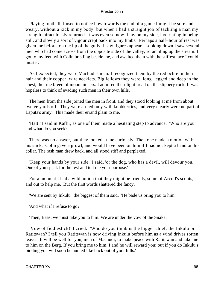Playing football, I used to notice how towards the end of a game I might be sore and weary, without a kick in my body; but when I had a straight job of tackling a man my strength miraculously returned. It was even so now. I lay on my side, luxuriating in being still, and slowly a sort of vigour crept back into my limbs. Perhaps a half−hour of rest was given me before, on the lip of the gully, I saw figures appear. Looking down I saw several men who had come across from the opposite side of the valley, scrambling up the stream. I got to my feet, with Colin bristling beside me, and awaited them with the stiffest face I could muster.

 As I expected, they were Machudi's men. I recognized them by the red ochre in their hair and their copper−wire necklets. Big fellows they were, long−legged and deep in the chest, the true breed of mountaineers. I admired their light tread on the slippery rock. It was hopeless to think of evading such men in their own hills.

 The men from the side joined the men in front, and they stood looking at me from about twelve yards off. They were armed only with knobkerries, and very clearly were no part of Laputa's army. This made their errand plain to me.

 'Halt!' I said in Kaffir, as one of them made a hesitating step to advance. 'Who are you and what do you seek?'

 There was no answer, but they looked at me curiously. Then one made a motion with his stick. Colin gave a growl, and would have been on him if I had not kept a hand on his collar. The rash man drew back, and all stood stiff and perplexed.

 'Keep your hands by your side,' I said, 'or the dog, who has a devil, will devour you. One of you speak for the rest and tell me your purpose.'

 For a moment I had a wild notion that they might be friends, some of Arcoll's scouts, and out to help me. But the first words shattered the fancy.

'We are sent by Inkulu,' the biggest of them said. 'He bade us bring you to him.'

'And what if I refuse to go?'

'Then, Baas, we must take you to him. We are under the vow of the Snake.'

 'Vow of fiddlestick!' I cried. 'Who do you think is the bigger chief, the Inkulu or Ratitswan? I tell you Ratitswan is now driving Inkulu before him as a wind drives rotten leaves. It will be well for you, men of Machudi, to make peace with Ratitswan and take me to him on the Berg. If you bring me to him, I and he will reward you; but if you do Inkulu's bidding you will soon be hunted like buck out of your hills.'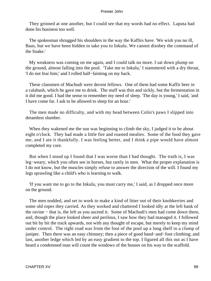They grinned at one another, but I could see that my words had no effect. Laputa had done his business too well.

 The spokesman shrugged his shoulders in the way the Kaffirs have. 'We wish you no ill, Baas, but we have been bidden to take you to Inkulu. We cannot disobey the command of the Snake.'

 My weakness was coming on me again, and I could talk no more. I sat down plump on the ground, almost falling into the pool. 'Take me to Inkulu,' I stammered with a dry throat, 'I do not fear him;' and I rolled half−fainting on my back.

 These clansmen of Machudi were decent fellows. One of them had some Kaffir beer in a calabash, which he gave me to drink. The stuff was thin and sickly, but the fermentation in it did me good. I had the sense to remember my need of sleep. 'The day is young,' I said, 'and I have come far. I ask to be allowed to sleep for an hour.'

 The men made no difficulty, and with my head between Colin's paws I slipped into dreamless slumber.

When they wakened me the sun was beginning to climb the sky, I judged it to be about eight o'clock. They had made a little fire and roasted mealies. Some of the food they gave me, and I ate it thankfully. I was feeling better, and I think a pipe would have almost completed my cure.

 But when I stood up I found that I was worse than I had thought. The truth is, I was leg−weary, which you often see in horses, but rarely in men. What the proper explanation is I do not know, but the muscles simply refuse to answer the direction of the will. I found my legs sprawling like a child's who is learning to walk.

 'If you want me to go to the Inkulu, you must carry me,' I said, as I dropped once more on the ground.

 The men nodded, and set to work to make a kind of litter out of their knobkerries and some old ropes they carried. As they worked and chattered I looked idly at the left bank of the ravine − that is, the left as you ascend it. Some of Machudi's men had come down there, and, though the place looked sheer and perilous, I saw how they had managed it. I followed out bit by bit the track upwards, not with any thought of escape, but merely to keep my mind under control. The right road was from the foot of the pool up a long shelf to a clump of juniper. Then there was an easy chimney; then a piece of good hand−and−foot climbing; and last, another ledge which led by an easy gradient to the top. I figured all this out as I have heard a condemned man will count the windows of the houses on his way to the scaffold.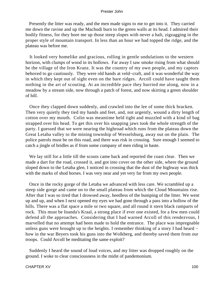Presently the litter was ready, and the men made signs to me to get into it. They carried me down the ravine and up the Machudi burn to the green walls at its head. I admired their bodily fitness, for they bore me up those steep slopes with never a halt, zigzagging in the proper style of mountain transport. In less than an hour we had topped the ridge, and the plateau was before me.

 It looked very homelike and gracious, rolling in gentle undulations to the western horizon, with clumps of wood in its hollows. Far away I saw smoke rising from what should be the village of the Iron Kranz. It was the country of my own people, and my captors behoved to go cautiously. They were old hands at veld−craft, and it was wonderful the way in which they kept out of sight even on the bare ridges. Arcoll could have taught them nothing in the art of scouting. At an incredible pace they hurried me along, now in a meadow by a stream side, now through a patch of forest, and now skirting a green shoulder of hill.

 Once they clapped down suddenly, and crawled into the lee of some thick bracken. Then very quietly they tied my hands and feet, and, not urgently, wound a dirty length of cotton over my mouth. Colin was meantime held tight and muzzled with a kind of bag strapped over his head. To get this over his snapping jaws took the whole strength of the party. I guessed that we were nearing the highroad which runs from the plateau down the Great Letaba valley to the mining township of Wesselsburg, away out on the plain. The police patrols must be on this road, and there was risk in crossing. Sure enough I seemed to catch a jingle of bridles as if from some company of men riding in haste.

 We lay still for a little till the scouts came back and reported the coast clear. Then we made a dart for the road, crossed it, and got into cover on the other side, where the ground sloped down to the Letaba glen. I noticed in crossing that the dust of the highway was thick with the marks of shod horses. I was very near and yet very far from my own people.

 Once in the rocky gorge of the Letaba we advanced with less care. We scrambled up a steep side gorge and came on to the small plateau from which the Cloud Mountains rise. After that I was so tired that I drowsed away, heedless of the bumping of the litter. We went up and up, and when I next opened my eyes we had gone through a pass into a hollow of the hills. There was a flat space a mile or two square, and all round it stern black ramparts of rock. This must be Inanda's Kraal, a strong place if ever one existed, for a few men could defend all the approaches. Considering that I had warned Arcoll of this rendezvous, I marvelled that no attempt had been made to hold the entrance. The place was impregnable unless guns were brought up to the heights. I remember thinking of a story I had heard − how in the war Beyers took his guns into the Wolkberg, and thereby saved them from our troops. Could Arcoll be meditating the same exploit?

 Suddenly I heard the sound of loud voices, and my litter was dropped roughly on the ground. I woke to clear consciousness in the midst of pandemonium.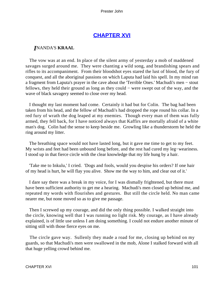# **[CHAPTER XVI](#page-150-0)**

# *I*NANDA'S **KRAAL**

 The vow was at an end. In place of the silent army of yesterday a mob of maddened savages surged around me. They were chanting a wild song, and brandishing spears and rifles to its accompaniment. From their bloodshot eyes stared the lust of blood, the fury of conquest, and all the aboriginal passions on which Laputa had laid his spell. In my mind ran a fragment from Laputa's prayer in the cave about the 'Terrible Ones.' Machudi's men − stout fellows, they held their ground as long as they could − were swept out of the way, and the wave of black savagery seemed to close over my head.

 I thought my last moment had come. Certainly it had but for Colin. The bag had been taken from his head, and the fellow of Machudi's had dropped the rope round his collar. In a red fury of wrath the dog leaped at my enemies. Though every man of them was fully armed, they fell back, for I have noticed always that Kaffirs are mortally afraid of a white man's dog. Colin had the sense to keep beside me. Growling like a thunderstorm he held the ring around my litter.

 The breathing space would not have lasted long, but it gave me time to get to my feet. My wrists and feet had been unbound long before, and the rest had cured my leg−weariness. I stood up in that fierce circle with the clear knowledge that my life hung by a hair.

 'Take me to Inkulu,' I cried. 'Dogs and fools, would you despise his orders? If one hair of my head is hurt, he will flay you alive. Show me the way to him, and clear out of it.'

 I dare say there was a break in my voice, for I was dismally frightened, but there must have been sufficient authority to get me a hearing. Machudi's men closed up behind me, and repeated my words with flourishes and gestures. But still the circle held. No man came nearer me, but none moved so as to give me passage.

 Then I screwed up my courage, and did the only thing possible. I walked straight into the circle, knowing well that I was running no light risk. My courage, as I have already explained, is of little use unless I am doing something. I could not endure another minute of sitting still with those fierce eyes on me.

 The circle gave way. Sullenly they made a road for me, closing up behind on my guards, so that Machudi's men were swallowed in the mob, Alone I stalked forward with all that huge yelling crowd behind me.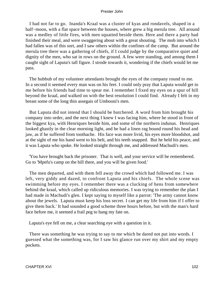I had not far to go. Inanda's Kraal was a cluster of kyas and rondavels, shaped in a half−moon, with a flat space between the houses, where grew a big merula tree. All around was a medley of little fires, with men squatted beside them. Here and there a party had finished their meal, and were swaggering about with a great shouting. The mob into which I had fallen was of this sort, and I saw others within the confines of the camp. But around the merula tree there was a gathering of chiefs, if I could judge by the comparative quiet and dignity of the men, who sat in rows on the ground. A few were standing, and among them I caught sight of Laputa's tall figure. I strode towards it, wondering if the chiefs would let me pass.

 The hubbub of my volunteer attendants brought the eyes of the company round to me. In a second it seemed every man was on his feet. I could only pray that Laputa would get to me before his friends had time to spear me. I remember I fixed my eyes on a spur of hill beyond the kraal, and walked on with the best resolution I could find. Already I felt in my breast some of the long thin assegais of Umbooni's men.

 But Laputa did not intend that I should be butchered. A word from him brought his company into order, and the next thing I knew I was facing him, where he stood in front of the biggest kya, with Henriques beside him, and some of the northern indunas. Henriques looked ghastly in the clear morning light, and he had a linen rag bound round his head and jaw, as if he suffered from toothache. His face was more livid, his eyes more bloodshot, and at the sight of me his hand went to his belt, and his teeth snapped. But he held his peace, and it was Laputa who spoke. He looked straight through me, and addressed Machudi's men.

 'You have brought back the prisoner. That is well, and your service will be remembered. Go to 'Mpefu's camp on the hill there, and you will be given food.'

 The men departed, and with them fell away the crowd which had followed me. I was left, very giddy and dazed, to confront Laputa and his chiefs. The whole scene was swimming before my eyes. I remember there was a clucking of hens from somewhere behind the kraal, which called up ridiculous memories. I was trying to remember the plan I had made in Machudi's glen. I kept saying to myself like a parrot: 'The army cannot know about the jewels. Laputa must keep his loss secret. I can get my life from him if I offer to give them back.' It had sounded a good scheme three hours before, but with the man's hard face before me, it seemed a frail peg to hang my fate on.

Laputa's eye fell on me, a clear searching eye with a question in it.

 There was something he was trying to say to me which he dared not put into words. I guessed what the something was, for I saw his glance run over my shirt and my empty pockets.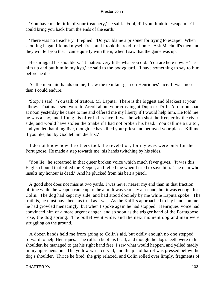'You have made little of your treachery,' he said. 'Fool, did you think to escape me? I could bring you back from the ends of the earth.'

 'There was no treachery,' I replied. 'Do you blame a prisoner for trying to escape? When shooting began I found myself free, and I took the road for home. Ask Machudi's men and they will tell you that I came quietly with them, when I saw that the game was up.'

He shrugged his shoulders. 'It matters very little what you did. You are here now. – Tie him up and put him in my kya,' he said to the bodyguard. 'I have something to say to him before he dies.'

 As the men laid hands on me, I saw the exultant grin on Henriques' face. It was more than I could endure.

 'Stop,' I said. 'You talk of traitors, Mr Laputa. There is the biggest and blackest at your elbow. That man sent word to Arcoll about your crossing at Dupree's Drift. At our outspan at noon yesterday he came to me and offered me my liberty if I would help him. He told me he was a spy, and I flung his offer in his face. It was he who shot the Keeper by the river side, and would have stolen the Snake if I had not broken his head. You call me a traitor, and you let that thing live, though he has killed your priest and betrayed your plans. Kill me if you like, but by God let him die first.'

 I do not know how the others took the revelation, for my eyes were only for the Portugoose. He made a step towards me, his hands twitching by his sides.

 'You lie,' he screamed in that queer broken voice which much fever gives. 'It was this English hound that killed the Keeper, and felled me when I tried to save him. The man who insults my honour is dead.' And he plucked from his belt a pistol.

 A good shot does not miss at two yards. I was never nearer my end than in that fraction of time while the weapon came up to the aim. It was scarcely a second, but it was enough for Colin. The dog had kept my side, and had stood docilely by me while Laputa spoke. The truth is, he must have been as tired as I was. As the Kaffirs approached to lay hands on me he had growled menacingly, but when I spoke again he had stopped. Henriques' voice had convinced him of a more urgent danger, and so soon as the trigger hand of the Portugoose rose, the dog sprang. The bullet went wide, and the next moment dog and man were struggling on the ground.

 A dozen hands held me from going to Colin's aid, but oddly enough no one stepped forward to help Henriques. The ruffian kept his head, and though the dog's teeth were in his shoulder, he managed to get his right hand free. I saw what would happen, and yelled madly in my apprehension. The yellow wrist curved, and the pistol barrel was pressed below the dog's shoulder. Thrice he fired, the grip relaxed, and Colin rolled over limply, fragments of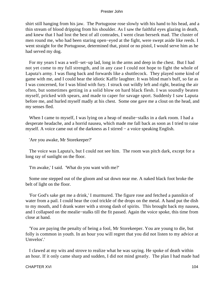shirt still hanging from his jaw. The Portugoose rose slowly with his hand to his head, and a thin stream of blood dripping from his shoulder. As I saw the faithful eyes glazing in death, and knew that I had lost the best of all comrades, I went clean berserk mad. The cluster of men round me, who had been staring open−eyed at the fight, were swept aside like reeds. I went straight for the Portugoose, determined that, pistol or no pistol, I would serve him as he had served my dog.

 For my years I was a well−set−up lad, long in the arms and deep in the chest. But I had not yet come to my full strength, and in any case I could not hope to fight the whole of Laputa's army. I was flung back and forwards like a shuttlecock. They played some kind of game with me, and I could hear the idiotic Kaffir laughter. It was blind man's buff, so far as I was concerned, for I was blind with fury. I struck out wildly left and right, beating the air often, but sometimes getting in a solid blow on hard black flesh. I was soundly beaten myself, pricked with spears, and made to caper for savage sport. Suddenly I saw Laputa before me, and hurled myself madly at his chest. Some one gave me a clout on the head, and my senses fled.

 When I came to myself, I was lying on a heap of mealie−stalks in a dark room. I had a desperate headache, and a horrid nausea, which made me fall back as soon as I tried to raise myself. A voice came out of the darkness as I stirred − a voice speaking English.

'Are you awake, Mr Storekeeper?'

 The voice was Laputa's, but I could not see him. The room was pitch dark, except for a long ray of sunlight on the floor.

'I'm awake,' I said. 'What do you want with me?'

 Some one stepped out of the gloom and sat down near me. A naked black foot broke the belt of light on the floor.

 'For God's sake get me a drink,' I murmured. The figure rose and fetched a pannikin of water from a pail. I could hear the cool trickle of the drops on the metal. A hand put the dish to my mouth, and I drank water with a strong dash of spirits. This brought back my nausea, and I collapsed on the mealie−stalks till the fit passed. Again the voice spoke, this time from close at hand.

 'You are paying the penalty of being a fool, Mr Storekeeper. You are young to die, but folly is common in youth. In an hour you will regret that you did not listen to my advice at Umvelos'.'

 I clawed at my wits and strove to realize what he was saying. He spoke of death within an hour. If it only came sharp and sudden, I did not mind greatly. The plan I had made had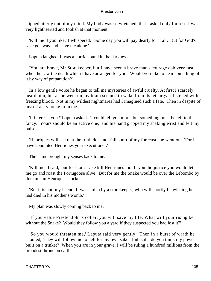slipped utterly out of my mind. My body was so wretched, that I asked only for rest. I was very lighthearted and foolish at that moment.

 'Kill me if you like,' I whispered. 'Some day you will pay dearly for it all. But for God's sake go away and leave me alone.'

Laputa laughed. It was a horrid sound in the darkness.

 'You are brave, Mr Storekeeper, but I have seen a brave man's courage ebb very fast when he saw the death which I have arranged for you. Would you like to hear something of it by way of preparation?'

 In a low gentle voice he began to tell me mysteries of awful cruelty. At first I scarcely heard him, but as he went on my brain seemed to wake from its lethargy. I listened with freezing blood. Not in my wildest nightmares had I imagined such a fate. Then in despite of myself a cry broke from me.

 'It interests you?' Laputa asked. 'I could tell you more, but something must be left to the fancy. Yours should be an active one,' and his hand gripped my shaking wrist and felt my pulse.

 'Henriques will see that the truth does not fall short of my forecast,' he went on. 'For I have appointed Henriques your executioner.'

The name brought my senses back to me.

 'Kill me,' I said, 'but for God's sake kill Henriques too. If you did justice you would let me go and roast the Portugoose alive. But for me the Snake would be over the Lebombo by this time in Henriques' pocket.'

 'But it is not, my friend. It was stolen by a storekeeper, who will shortly be wishing he had died in his mother's womb.'

My plan was slowly coming back to me.

 'If you value Prester John's collar, you will save my life. What will your rising be without the Snake? Would they follow you a yard if they suspected you had lost it?'

 'So you would threaten me,' Laputa said very gently. Then in a burst of wrath he shouted, 'They will follow me to hell for my own sake. Imbecile, do you think my power is built on a trinket? When you are in your grave, I will be ruling a hundred millions from the proudest throne on earth.'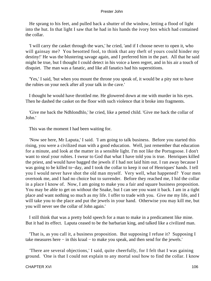He sprang to his feet, and pulled back a shutter of the window, letting a flood of light into the hut. In that light I saw that he had in his hands the ivory box which had contained the collar.

 'I will carry the casket through the wars,' he cried, 'and if I choose never to open it, who will gainsay me? You besotted fool, to think that any theft of yours could hinder my destiny!' He was the blustering savage again, and I preferred him in the part. All that he said might be true, but I thought I could detect in his voice a keen regret, and in his air a touch of disquiet. The man was a fanatic, and like all fanatics had his superstitions.

 'Yes,' I said, 'but when you mount the throne you speak of, it would be a pity not to have the rubies on your neck after all your talk in the cave.'

 I thought he would have throttled me. He glowered down at me with murder in his eyes. Then he dashed the casket on the floor with such violence that it broke into fragments.

 'Give me back the Ndhlondhlo,' he cried, like a petted child. 'Give me back the collar of John.'

This was the moment I had been waiting for.

 'Now see here, Mr Laputa,' I said. 'I am going to talk business. Before you started this rising, you were a civilized man with a good education. Well, just remember that education for a minute, and look at the matter in a sensible light. I'm not like the Portugoose. I don't want to steal your rubies. I swear to God that what I have told you is true. Henriques killed the priest, and would have bagged the jewels if I had not laid him out. I ran away because I was going to be killed to−day, and I took the collar to keep it out of Henriques' hands. I tell you I would never have shot the old man myself. Very well, what happened? Your men overtook me, and I had no choice but to surrender. Before they reached me, I hid the collar in a place I know of. Now, I am going to make you a fair and square business proposition. You may be able to get on without the Snake, but I can see you want it back. I am in a tight place and want nothing so much as my life. I offer to trade with you. Give me my life, and I will take you to the place and put the jewels in your hand. Otherwise you may kill me, but you will never see the collar of John again.'

 I still think that was a pretty bold speech for a man to make in a predicament like mine. But it had its effect. Laputa ceased to be the barbarian king, and talked like a civilized man.

 'That is, as you call it, a business proposition. But supposing I refuse it? Supposing I take measures here − in this kraal − to make you speak, and then send for the jewels.'

 'There are several objections,' I said, quite cheerfully, for I felt that I was gaining ground. 'One is that I could not explain to any mortal soul how to find the collar. I know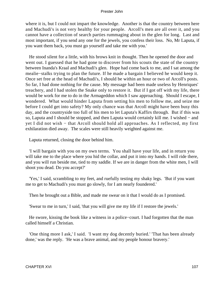where it is, but I could not impart the knowledge. Another is that the country between here and Machudi's is not very healthy for your people. Arcoll's men are all over it, and you cannot have a collection of search parties rummaging about in the glen for long. Last and most important, if you send any one for the jewels, you confess their loss. No, Mr Laputa, if you want them back, you must go yourself and take me with you.'

 He stood silent for a little, with his brows knit in thought. Then he opened the door and went out. I guessed that he had gone to discover from his scouts the state of the country between Inanda's Kraal and Machudi's glen. Hope had come back to me, and I sat among the mealie−stalks trying to plan the future. If he made a bargain I believed he would keep it. Once set free at the head of Machudi's, I should be within an hour or two of Arcoll's posts. So far, I had done nothing for the cause. My message had been made useless by Henriques' treachery, and I had stolen the Snake only to restore it. But if I got off with my life, there would be work for me to do in the Armageddon which I saw approaching. Should I escape, I wondered. What would hinder Laputa from setting his men to follow me, and seize me before I could get into safety? My only chance was that Arcoll might have been busy this day, and the countryside too full of his men to let Laputa's Kaffirs through. But if this was so, Laputa and I should be stopped, and then Laputa would certainly kill me. I wished − and yet I did not wish − that Arcoll should hold all approaches. As I reflected, my first exhilaration died away. The scales were still heavily weighted against me.

Laputa returned, closing the door behind him.

 'I will bargain with you on my own terms. You shall have your life, and in return you will take me to the place where you hid the collar, and put it into my hands. I will ride there, and you will run beside me, tied to my saddle. If we are in danger from the white men, I will shoot you dead. Do you accept?'

 'Yes,' I said, scrambling to my feet, and ruefully testing my shaky legs. 'But if you want me to get to Machudi's you must go slowly, for I am nearly foundered.'

Then he brought out a Bible, and made me swear on it that I would do as I promised.

'Swear to me in turn,' I said, 'that you will give me my life if I restore the jewels.'

 He swore, kissing the book like a witness in a police−court. I had forgotten that the man called himself a Christian.

 'One thing more I ask,' I said. 'I want my dog decently buried.' 'That has been already done,' was the reply. 'He was a brave animal, and my people honour bravery.'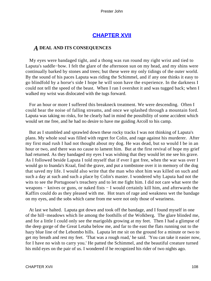# **[CHAPTER XVII](#page-150-0)**

## *A* **DEAL AND ITS CONSEQUENCES**

 My eyes were bandaged tight, and a thong was run round my right wrist and tied to Laputa's saddle−bow. I felt the glare of the afternoon sun on my head, and my shins were continually barked by stones and trees; but these were my only tidings of the outer world. By the sound of his paces Laputa was riding the Schimmel, and if any one thinks it easy to go blindfold by a horse's side I hope he will soon have the experience. In the darkness I could not tell the speed of the beast. When I ran I overshot it and was tugged back; when I walked my wrist was dislocated with the tugs forward.

 For an hour or more I suffered this breakneck treatment. We were descending. Often I could hear the noise of falling streams, and once we splashed through a mountain ford. Laputa was taking no risks, for he clearly had in mind the possibility of some accident which would set me free, and he had no desire to have me guiding Arcoll to his camp.

 But as I stumbled and sprawled down these rocky tracks I was not thinking of Laputa's plans. My whole soul was filled with regret for Colin, and rage against his murderer. After my first mad rush I had not thought about my dog. He was dead, but so would I be in an hour or two, and there was no cause to lament him. But at the first revival of hope my grief had returned. As they bandaged my eyes I was wishing that they would let me see his grave. As I followed beside Laputa I told myself that if ever I got free, when the war was over I would go to Inanda's Kraal, find the grave, and put a tombstone over it in memory of the dog that saved my life. I would also write that the man who shot him was killed on such and such a day at such and such a place by Colin's master. I wondered why Laputa had not the wits to see the Portugoose's treachery and to let me fight him. I did not care what were the weapons − knives or guns, or naked fists − I would certainly kill him, and afterwards the Kaffirs could do as they pleased with me. Hot tears of rage and weakness wet the bandage on my eyes, and the sobs which came from me were not only those of weariness.

 At last we halted. Laputa got down and took off the bandage, and I found myself in one of the hill−meadows which lie among the foothills of the Wolkberg. The glare blinded me, and for a little I could only see the marigolds growing at my feet. Then I had a glimpse of the deep gorge of the Great Letaba below me, and far to the east the flats running out to the hazy blue line of the Lebombo hills. Laputa let me sit on the ground for a minute or two to get my breath and rest my feet. 'That was a rough road,' he said. 'You can take it easier now, for I have no wish to carry you.' He patted the Schimmel, and the beautiful creature turned his mild eyes on the pair of us. I wondered if he recognized his rider of two nights ago.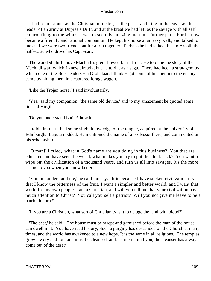I had seen Laputa as the Christian minister, as the priest and king in the cave, as the leader of an army at Dupree's Drift, and at the kraal we had left as the savage with all self− control flung to the winds. I was to see this amazing man in a further part. For he now became a friendly and rational companion. He kept his horse at an easy walk, and talked to me as if we were two friends out for a trip together. Perhaps he had talked thus to Arcoll, the half−caste who drove his Cape−cart.

 The wooded bluff above Machudi's glen showed far in front. He told me the story of the Machudi war, which I knew already, but he told it as a saga. There had been a stratagem by which one of the Boer leaders – a Grobelaar, I think – got some of his men into the enemy's camp by hiding them in a captured forage wagon.

'Like the Trojan horse,' I said involuntarily.

 'Yes,' said my companion, 'the same old device,' and to my amazement he quoted some lines of Virgil.

'Do you understand Latin?' he asked.

 I told him that I had some slight knowledge of the tongue, acquired at the university of Edinburgh. Laputa nodded. He mentioned the name of a professor there, and commented on his scholarship.

 'O man!' I cried, 'what in God's name are you doing in this business? You that are educated and have seen the world, what makes you try to put the clock back? You want to wipe out the civilization of a thousand years, and turn us all into savages. It's the more shame to you when you know better.'

 'You misunderstand me,' he said quietly. 'It is because I have sucked civilization dry that I know the bitterness of the fruit. I want a simpler and better world, and I want that world for my own people. I am a Christian, and will you tell me that your civilization pays much attention to Christ? You call yourself a patriot? Will you not give me leave to be a patriot in turn?'

'If you are a Christian, what sort of Christianity is it to deluge the land with blood?'

 'The best,' he said. 'The house must be swept and garnished before the man of the house can dwell in it. You have read history, Such a purging has descended on the Church at many times, and the world has awakened to a new hope. It is the same in all religions. The temples grow tawdry and foul and must be cleansed, and, let me remind you, the cleanser has always come out of the desert.'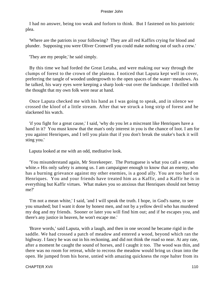I had no answer, being too weak and forlorn to think. But I fastened on his patriotic plea.

 'Where are the patriots in your following? They are all red Kaffirs crying for blood and plunder. Supposing you were Oliver Cromwell you could make nothing out of such a crew.'

'They are my people,' he said simply.

 By this time we had forded the Great Letaba, and were making our way through the clumps of forest to the crown of the plateau. I noticed that Laputa kept well in cover, preferring the tangle of wooded undergrowth to the open spaces of the water−meadows. As he talked, his wary eyes were keeping a sharp look−out over the landscape. I thrilled with the thought that my own folk were near at hand.

 Once Laputa checked me with his hand as I was going to speak, and in silence we crossed the kloof of a little stream. After that we struck a long strip of forest and he slackened his watch.

 'if you fight for a great cause,' I said, 'why do you let a miscreant like Henriques have a hand in it? You must know that the man's only interest in you is the chance of loot. I am for you against Henriques, and I tell you plain that if you don't break the snake's back it will sting you.'

Laputa looked at me with an odd, meditative look.

 'You misunderstand again, Mr Storekeeper. The Portuguese is what you call a «mean white.» His only safety is among us. I am campaigner enough to know that an enemy, who has a burning grievance against my other enemies, is a good ally. You are too hard on Henriques. You and your friends have treated him as a Kaffir, and a Kaffir he is in everything but Kaffir virtues. What makes you so anxious that Henriques should not betray me?'

 'I'm not a mean white,' I said, 'and I will speak the truth. I hope, in God's name, to see you smashed; but I want it done by honest men, and not by a yellow devil who has murdered my dog and my friends. Sooner or later you will find him out; and if he escapes you, and there's any justice in heaven, he won't escape me.'

 'Brave words,' said Laputa, with a laugh, and then in one second he became rigid in the saddle. We had crossed a patch of meadow and entered a wood, beyond which ran the highway. I fancy he was out in his reckoning, and did not think the road so near. At any rate, after a moment he caught the sound of horses, and I caught it too. The wood was thin, and there was no room for retreat, while to recross the meadow would bring us clean into the open. He jumped from his horse, untied with amazing quickness the rope halter from its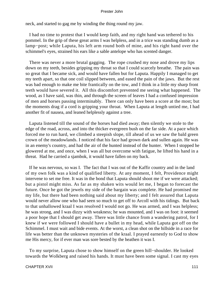neck, and started to gag me by winding the thing round my jaw.

 I had no time to protest that I would keep faith, and my right hand was tethered to his pommel. In the grip of these great arms I was helpless, and in a trice was standing dumb as a lamp−post; while Laputa, his left arm round both of mine, and his right hand over the schimmel's eyes, strained his ears like a sable antelope who has scented danger.

 There was never a more brutal gagging. The rope crushed my nose and drove my lips down on my teeth, besides gripping my throat so that I could scarcely breathe. The pain was so great that I became sick, and would have fallen but for Laputa. Happily I managed to get my teeth apart, so that one coil slipped between, and eased the pain of the jaws. But the rest was bad enough to make me bite frantically on the tow, and I think in a little my sharp front teeth would have severed it. All this discomfort prevented me seeing what happened. The wood, as I have said, was thin, and through the screen of leaves I had a confused impression of men and horses passing interminably. There can only have been a score at the most; but the moments drag if a cord is gripping your throat. When Laputa at length untied me, I had another fit of nausea, and leaned helplessly against a tree.

 Laputa listened till the sound of the horses had died away; then silently we stole to the edge of the road, across, and into the thicker evergreen bush on the far side. At a pace which forced me to run hard, we climbed a steepish slope, till ahead of us we saw the bald green crown of the meadowlands. I noticed that his face had grown dark and sullen again. He was in an enemy's country, and had the air of the hunted instead of the hunter. When I stopped he glowered at me, and once, when I was all but overcome with fatigue, he lifted his hand in a threat. Had he carried a sjambok, it would have fallen on my back.

 If he was nervous, so was I. The fact that I was out of the Kaffir country and in the land of my own folk was a kind of qualified liberty. At any moment, I felt, Providence might intervene to set me free. It was in the bond that Laputa should shoot me if we were attacked; but a pistol might miss. As far as my shaken wits would let me, I began to forecast the future. Once he got the jewels my side of the bargain was complete. He had promised me my life, but there had been nothing said about my liberty; and I felt assured that Laputa would never allow one who had seen so much to get off to Arcoll with his tidings. But back to that unhallowed kraal I was resolved I would not go. He was armed, and I was helpless; he was strong, and I was dizzy with weakness; he was mounted, and I was on foot: it seemed a poor hope that I should get away. There was little chance from a wandering patrol, for I knew if we were followed I should have a bullet in my head, while Laputa got off on the Schimmel. I must wait and bide events. At the worst, a clean shot on the hillside in a race for life was better than the unknown mysteries of the kraal. I prayed earnestly to God to show me His mercy, for if ever man was sore bested by the heathen it was I.

 To my surprise, Laputa chose to show himself on the green hill−shoulder. He looked towards the Wolkberg and raised his hands. It must have been some signal. I cast my eyes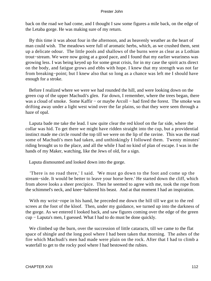back on the road we had come, and I thought I saw some figures a mile back, on the edge of the Letaba gorge. He was making sure of my return.

 By this time it was about four in the afternoon, and as heavenly weather as the heart of man could wish. The meadows were full of aromatic herbs, which, as we crushed them, sent up a delicate odour. The little pools and shallows of the burns were as clear as a Lothian trout−stream. We were now going at a good pace, and I found that my earlier weariness was growing less. I was being keyed up for some great crisis, for in my case the spirit acts direct on the body, and fatigue grows and ebbs with hope. I knew that my strength was not far from breaking−point; but I knew also that so long as a chance was left me I should have enough for a stroke.

 Before I realized where we were we had rounded the hill, and were looking down on the green cup of the upper Machudi's glen. Far down, I remember, where the trees began, there was a cloud of smoke. Some Kaffir – or maybe Arcoll – had fired the forest. The smoke was drifting away under a light west wind over the far plains, so that they were seen through a haze of opal.

 Laputa bade me take the lead. I saw quite clear the red kloof on the far side, where the collar was hid. To get there we might have ridden straight into the cup, but a providential instinct made me circle round the top till we were on the lip of the ravine. This was the road some of Machudi's men had taken, and unthinkingly I followed them. Twenty minutes' riding brought us to the place, and all the while I had no kind of plan of escape. I was in the hands of my Maker, watching, like the Jews of old, for a sign.

Laputa dismounted and looked down into the gorge.

 'There is no road there,' I said. 'We must go down to the foot and come up the stream−side. It would be better to leave your horse here.' He started down the cliff, which from above looks a sheer precipice. Then he seemed to agree with me, took the rope from the schimmel's neck, and knee−haltered his beast. And at that moment I had an inspiration.

 With my wrist−rope in his hand, he preceded me down the hill till we got to the red screes at the foot of the kloof. Then, under my guidance, we turned up into the darkness of the gorge. As we entered I looked back, and saw figures coming over the edge of the green cup − Laputa's men, I guessed. What I had to do must be done quickly.

We climbed up the burn, over the succession of little cataracts, till we came to the flat space of shingle and the long pool where I had been taken that morning. The ashes of the fire which Machudi's men had made were plain on the rock. After that I had to climb a waterfall to get to the rocky pool where I had bestowed the rubies.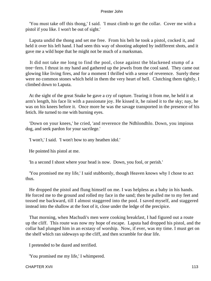'You must take off this thong,' I said. 'I must climb to get the collar. Cover me with a pistol if you like. I won't be out of sight.'

 Laputa undid the thong and set me free. From his belt he took a pistol, cocked it, and held it over his left hand. I had seen this way of shooting adopted by indifferent shots, and it gave me a wild hope that he might not be much of a marksman.

 It did not take me long to find the pool, close against the blackened stump of a tree−fern. I thrust in my hand and gathered up the jewels from the cool sand. They came out glowing like living fires, and for a moment I thrilled with a sense of reverence. Surely these were no common stones which held in them the very heart of hell. Clutching them tightly, I climbed down to Laputa.

 At the sight of the great Snake he gave a cry of rapture. Tearing it from me, he held it at arm's length, his face lit with a passionate joy. He kissed it, he raised it to the sky; nay, he was on his knees before it. Once more he was the savage transported in the presence of his fetich. He turned to me with burning eyes.

 'Down on your knees,' he cried, 'and reverence the Ndhlondhlo. Down, you impious dog, and seek pardon for your sacrilege.'

'I won't,' I said. 'I won't bow to any heathen idol.'

He pointed his pistol at me.

'In a second I shoot where your head is now. Down, you fool, or perish.'

 'You promised me my life,' I said stubbornly, though Heaven knows why I chose to act thus.

 He dropped the pistol and flung himself on me. I was helpless as a baby in his hands. He forced me to the ground and rolled my face in the sand; then he pulled me to my feet and tossed me backward, till I almost staggered into the pool. I saved myself, and staggered instead into the shallow at the foot of it, close under the ledge of the precipice.

 That morning, when Machudi's men were cooking breakfast, I had figured out a route up the cliff. This route was now my hope of escape. Laputa had dropped his pistol, and the collar had plunged him in an ecstasy of worship. Now, if ever, was my time. I must get on the shelf which ran sideways up the cliff, and then scramble for dear life.

I pretended to be dazed and terrified.

'You promised me my life,' I whimpered.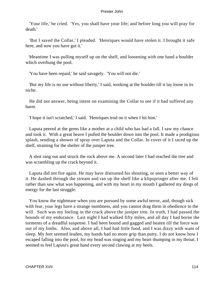'Your life,' he cried. 'Yes, you shall have your life; and before long you will pray for death.'

 'But I saved the Collar,' I pleaded. 'Henriques would have stolen it. I brought it safe here, and now you have got it.'

 Meantime I was pulling myself up on the shelf, and loosening with one hand a boulder which overhung the pool.

'You have been repaid,' he said savagely. 'You will not die.'

 'But my life is no use without liberty,' I said, working at the boulder till it lay loose in its niche.

 He did not answer, being intent on examining the Collar to see if it had suffered any harm.

'I hope it isn't scratched,' I said. 'Henriques trod on it when I hit him.'

 Laputa peered at the gems like a mother at a child who has had a fall. I saw my chance and took it. With a great heave I pulled the boulder down into the pool. It made a prodigious splash, sending a shower of spray over Laputa and the Collar. In cover of it I raced up the shelf, straining for the shelter of the juniper tree.

 A shot rang out and struck the rock above me. A second later I had reached the tree and was scrambling up the crack beyond it.

 Laputa did not fire again. He may have distrusted his shooting, or seen a better way of it. He dashed through the stream and ran up the shelf like a klipspringer after me. I felt rather than saw what was happening, and with my heart in my mouth I gathered my dregs of energy for the last struggle.

 You know the nightmare when you are pursued by some awful terror, and, though sick with fear, your legs have a strange numbness, and you cannot drag them in obedience to the will. Such was my feeling in the crack above the juniper tree. In truth, I had passed the bounds of my endurance. Last night I had walked fifty miles, and all day I had borne the torments of a dreadful suspense. I had been bound and gagged and beaten till the force was out of my limbs. Also, and above all, I had had little food, and I was dizzy with want of sleep. My feet seemed leaden, my hands had no more grip than putty. I do not know how I escaped falling into the pool, for my head was singing and my heart thumping in my throat. I seemed to feel Laputa's great hand every second clawing at my heels.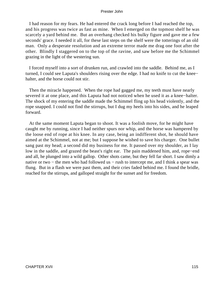I had reason for my fears. He had entered the crack long before I had reached the top, and his progress was twice as fast as mine. When I emerged on the topmost shelf he was scarcely a yard behind me. But an overhang checked his bulky figure and gave me a few seconds' grace. I needed it all, for these last steps on the shelf were the totterings of an old man. Only a desperate resolution and an extreme terror made me drag one foot after the other. Blindly I staggered on to the top of the ravine, and saw before me the Schimmel grazing in the light of the westering sun.

 I forced myself into a sort of drunken run, and crawled into the saddle. Behind me, as I turned, I could see Laputa's shoulders rising over the edge. I had no knife to cut the knee− halter, and the horse could not stir.

 Then the miracle happened. When the rope had gagged me, my teeth must have nearly severed it at one place, and this Laputa had not noticed when he used it as a knee−halter. The shock of my entering the saddle made the Schimmel fling up his head violently, and the rope snapped. I could not find the stirrups, but I dug my heels into his sides, and he leaped forward.

 At the same moment Laputa began to shoot. It was a foolish move, for he might have caught me by running, since I had neither spurs nor whip, and the horse was hampered by the loose end of rope at his knee. In any case, being an indifferent shot, he should have aimed at the Schimmel, not at me; but I suppose he wished to save his charger. One bullet sang past my head; a second did my business for me. It passed over my shoulder, as I lay low in the saddle, and grazed the beast's right ear. The pain maddened him, and, rope−end and all, he plunged into a wild gallop. Other shots came, but they fell far short. I saw dimly a native or two – the men who had followed us – rush to intercept me, and I think a spear was flung. But in a flash we were past them, and their cries faded behind me. I found the bridle, reached for the stirrups, and galloped straight for the sunset and for freedom.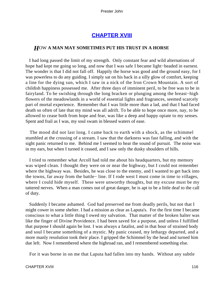# **[CHAPTER XVIII](#page-150-0)**

## *H*OW **A MAN MAY SOMETIMES PUT HIS TRUST IN A HORSE**

 I had long passed the limit of my strength. Only constant fear and wild alternations of hope had kept me going so long, and now that I was safe I became light−headed in earnest. The wonder is that I did not fall off. Happily the horse was good and the ground easy, for I was powerless to do any guiding. I simply sat on his back in a silly glow of comfort, keeping a line for the dying sun, which I saw in a nick of the Iron Crown Mountain. A sort of childish happiness possessed me. After three days of imminent peril, to be free was to be in fairyland. To be swishing through the long bracken or plunging among the breast−high flowers of the meadowlands in a world of essential lights and fragrances, seemed scarcely part of mortal experience. Remember that I was little more than a lad, and that I had faced death so often of late that my mind was all adrift. To be able to hope once more, nay, to be allowed to cease both from hope and fear, was like a deep and happy opiate to my senses. Spent and frail as I was, my soul swam in blessed waters of ease.

 The mood did not last long. I came back to earth with a shock, as the schimmel stumbled at the crossing of a stream. I saw that the darkness was fast falling, and with the sight panic returned to me. Behind me I seemed to hear the sound of pursuit. The noise was in my ears, but when I turned it ceased, and I saw only the dusky shoulders of hills.

 I tried to remember what Arcoll had told me about his headquarters, but my memory was wiped clean. I thought they were on or near the highway, but I could not remember where the highway was. Besides, he was close to the enemy, and I wanted to get back into the towns, far away from the battle− line. If I rode west I must come in time to villages, where I could hide myself. These were unworthy thoughts, but my excuse must be my tattered nerves. When a man comes out of great danger, he is apt to be a little deaf to the call of duty.

 Suddenly I became ashamed. God had preserved me from deadly perils, but not that I might cower in some shelter. I had a mission as clear as Laputa's. For the first time I became conscious to what a little thing I owed my salvation. That matter of the broken halter was like the finger of Divine Providence. I had been saved for a purpose, and unless I fulfilled that purpose I should again be lost. I was always a fatalist, and in that hour of strained body and soul I became something of a mystic. My panic ceased, my lethargy departed, and a more manly resolution took their place. I gripped the Schimmel by the head and turned him due left. Now I remembered where the highroad ran, and I remembered something else.

For it was borne in on me that Laputa had fallen into my hands. Without any subtle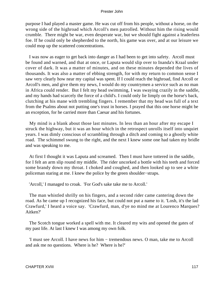purpose I had played a master game. He was cut off from his people, without a horse, on the wrong side of the highroad which Arcoll's men patrolled. Without him the rising would crumble. There might be war, even desperate war, but we should fight against a leaderless foe. If he could only be shepherded to the north, his game was over, and at our leisure we could mop up the scattered concentrations.

 I was now as eager to get back into danger as I had been to get into safety. Arcoll must be found and warned, and that at once, or Laputa would slip over to Inanda's Kraal under cover of dark. It was a matter of minutes, and on these minutes depended the lives of thousands. It was also a matter of ebbing strength, for with my return to common sense I saw very clearly how near my capital was spent. If I could reach the highroad, find Arcoll or Arcoll's men, and give them my news, I would do my countrymen a service such as no man in Africa could render. But I felt my head swimming, I was swaying crazily in the saddle, and my hands had scarcely the force of a child's. I could only lie limply on the horse's back, clutching at his mane with trembling fingers. I remember that my head was full of a text from the Psalms about not putting one's trust in horses. I prayed that this one horse might be an exception, for he carried more than Caesar and his fortunes.

 My mind is a blank about those last minutes. In less than an hour after my escape I struck the highway, but it was an hour which in the retrospect unrolls itself into unquiet years. I was dimly conscious of scrambling through a ditch and coming to a ghostly white road. The schimmel swung to the right, and the next I knew some one had taken my bridle and was speaking to me.

 At first I thought it was Laputa and screamed. Then I must have tottered in the saddle, for I felt an arm slip round my middle. The rider uncorked a bottle with his teeth and forced some brandy down my throat. I choked and coughed, and then looked up to see a white policeman staring at me. I knew the police by the green shoulder−straps.

'Arcoll,' I managed to croak. 'For God's sake take me to Arcoll.'

 The man whistled shrilly on his fingers, and a second rider came cantering down the road. As he came up I recognized his face, but could not put a name to it. 'Losh, it's the lad Crawfurd,' I heard a voice say. 'Crawfurd, man, d'ye no mind me at Lourenco Marques? Aitken?'

 The Scotch tongue worked a spell with me. It cleared my wits and opened the gates of my past life. At last I knew I was among my own folk.

 'I must see Arcoll. I have news for him − tremendous news. O man, take me to Arcoll and ask me no questions. Where is he? Where is he?'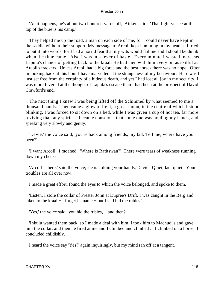'As it happens, he's about two hundred yards off,' Aitken said. 'That light ye see at the top of the brae is his camp.'

 They helped me up the road, a man on each side of me, for I could never have kept in the saddle without their support. My message to Arcoll kept humming in my head as I tried to put it into words, for I had a horrid fear that my wits would fail me and I should be dumb when the time came. Also I was in a fever of haste. Every minute I wasted increased Laputa's chance of getting back to the kraal. He had men with him every bit as skilful as Arcoll's trackers. Unless Arcoll had a big force and the best horses there was no hope. Often in looking back at this hour I have marvelled at the strangeness of my behaviour. Here was I just set free from the certainty of a hideous death, and yet I had lost all joy in my security. I was more fevered at the thought of Laputa's escape than I had been at the prospect of David Crawfurd's end.

 The next thing I knew I was being lifted off the Schimmel by what seemed to me a thousand hands. Then came a glow of light, a great moon, in the centre of which I stood blinking. I was forced to sit down on a bed, while I was given a cup of hot tea, far more reviving than any spirits. I became conscious that some one was holding my hands, and speaking very slowly and gently.

 'Davie,' the voice said, 'you're back among friends, my lad. Tell me, where have you been?'

 'I want Arcoll,' I moaned. 'Where is Ratitswan?' There were tears of weakness running down my cheeks.

 'Arcoll is here,' said the voice; 'he is holding your hands, Davie. Quiet, lad, quiet. Your troubles are all over now.'

I made a great effort, found the eyes to which the voice belonged, and spoke to them.

 'Listen. I stole the collar of Prester John at Dupree's Drift. I was caught in the Berg and taken to the kraal − I forget its name − but I had hid the rubies.'

'Yes,' the voice said, 'you hid the rubies, − and then?'

 'Inkulu wanted them back, so I made a deal with him. I took him to Machudi's and gave him the collar, and then he fired at me and I climbed and climbed ... I climbed on a horse,' I concluded childishly.

I heard the voice say 'Yes?' again inquiringly, but my mind ran off at a tangent.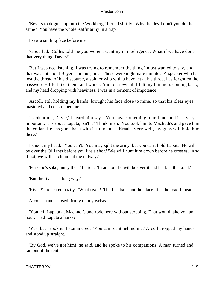'Beyers took guns up into the Wolkberg,' I cried shrilly. 'Why the devil don't you do the same? You have the whole Kaffir army in a trap.'

I saw a smiling face before me.

 'Good lad. Colles told me you weren't wanting in intelligence. What if we have done that very thing, Davie?'

 But I was not listening. I was trying to remember the thing I most wanted to say, and that was not about Beyers and his guns. Those were nightmare minutes. A speaker who has lost the thread of his discourse, a soldier who with a bayonet at his throat has forgotten the password − I felt like them, and worse. And to crown all I felt my faintness coming back, and my head dropping with heaviness. I was in a torment of impotence.

 Arcoll, still holding my hands, brought his face close to mine, so that his clear eyes mastered and constrained me.

 'Look at me, Davie,' I heard him say. 'You have something to tell me, and it is very important. It is about Laputa, isn't it? Think, man. You took him to Machudi's and gave him the collar. He has gone back with it to Inanda's Kraal. Very well, my guns will hold him there.'

 I shook my head. 'You can't. You may split the army, but you can't hold Laputa. He will be over the Olifants before you fire a shot.' 'We will hunt him down before he crosses. And if not, we will catch him at the railway.'

'For God's sake, hurry then,' I cried. 'In an hour he will be over it and back in the kraal.'

'But the river is a long way.'

'River?' I repeated hazily. 'What river? The Letaba is not the place. It is the road I mean.'

Arcoll's hands closed firmly on my wrists.

 'You left Laputa at Machudi's and rode here without stopping. That would take you an hour. Had Laputa a horse?'

 'Yes; but I took it,' I stammered. 'You can see it behind me.' Arcoll dropped my hands and stood up straight.

 'By God, we've got him!' he said, and he spoke to his companions. A man turned and ran out of the tent.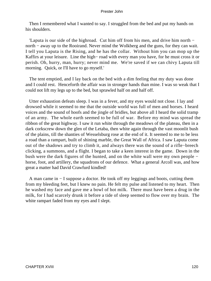Then I remembered what I wanted to say. I struggled from the bed and put my hands on his shoulders.

 'Laputa is our side of the highroad. Cut him off from his men, and drive him north − north – away up to the Rooirand. Never mind the Wolkberg and the guns, for they can wait. I tell you Laputa is the Rising, and he has the collar. Without him you can mop up the Kaffirs at your leisure. Line the high− road with every man you have, for he must cross it or perish. Oh, hurry, man, hurry; never mind me. We're saved if we can chivy Laputa till morning. Quick, or I'll have to go myself.'

 The tent emptied, and I lay back on the bed with a dim feeling that my duty was done and I could rest. Henceforth the affair was in stronger hands than mine. I was so weak that I could not lift my legs up to the bed, but sprawled half on and half off.

 Utter exhaustion defeats sleep. I was in a fever, and my eyes would not close. I lay and drowsed while it seemed to me that the outside world was full of men and horses. I heard voices and the sound of hoofs and the jingle of bridles, but above all I heard the solid tramp of an army. The whole earth seemed to be full of war. Before my mind was spread the ribbon of the great highway. I saw it run white through the meadows of the plateau, then in a dark corkscrew down the glen of the Letaba, then white again through the vast moonlit bush of the plains, till the shanties of Wesselsburg rose at the end of it. It seemed to me to be less a road than a rampart, built of shining marble, the Great Wall of Africa. I saw Laputa come out of the shadows and try to climb it, and always there was the sound of a rifle−breech clicking, a summons, and a flight. I began to take a keen interest in the game. Down in the bush were the dark figures of the hunted, and on the white wall were my own people − horse, foot, and artillery, the squadrons of our defence. What a general Arcoll was, and how great a matter had David Crawfurd kindled!

 A man came in − I suppose a doctor. He took off my leggings and boots, cutting them from my bleeding feet, but I knew no pain. He felt my pulse and listened to my heart. Then he washed my face and gave me a bowl of hot milk. There must have been a drug in the milk, for I had scarcely drunk it before a tide of sleep seemed to flow over my brain. The white rampart faded from my eyes and I slept.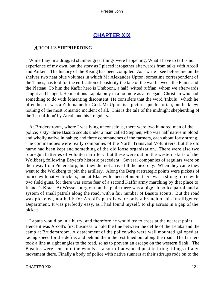# **[CHAPTER XIX](#page-150-0)**

## *A*RCOLL'S **SHEPHERDING**

While I lay in a drugged slumber great things were happening. What I have to tell is no experience of my own, but the story as I pieced it together afterwards from talks with Arcoll and Aitken. The history of the Rising has been compiled. As I write I see before me on the shelves two neat blue volumes in which Mr Alexander Upton, sometime correspondent of the Times, has told for the edification of posterity the tale of the war between the Plains and the Plateau. To him the Kaffir hero is Umbooni, a half−witted ruffian, whom we afterwards caught and hanged. He mentions Laputa only in a footnote as a renegade Christian who had something to do with fomenting discontent. He considers that the word 'Inkulu,' which he often heard, was a Zulu name for God. Mr Upton is a picturesque historian, but he knew nothing of the most romantic incident of all. This is the tale of the midnight shepherding of the 'heir of John' by Arcoll and his irregulars.

 At Bruderstroom, where I was lying unconscious, there were two hundred men of the police; sixty−three Basuto scouts under a man called Stephen, who was half native in blood and wholly native in habits; and three commandoes of the farmers, each about forty strong. The commandoes were really companies of the North Transvaal Volunteers, but the old name had been kept and something of the old loose organization. There were also two four−gun batteries of volunteer artillery, but these were out on the western skirts of the Wolkberg following Beyers's historic precedent. Several companies of regulars were on their way from Pietersdorp, but they did not arrive till the next day. When they came they went to the Wolkberg to join the artillery. Along the Berg at strategic points were pickets of police with native trackers, and at Blaauwildebeestefontein there was a strong force with two field guns, for there was some fear of a second Kaffir army marching by that place to Inanda's Kraal. At Wesselsburg out on the plain there was a biggish police patrol, and a system of small patrols along the road, with a fair number of Basuto scouts. But the road was picketed, not held; for Arcoll's patrols were only a branch of his Intelligence Department. It was perfectly easy, as I had found myself, to slip across in a gap of the pickets.

 Laputa would be in a hurry, and therefore he would try to cross at the nearest point. Hence it was Arcoll's first business to hold the line between the defile of the Letaba and the camp at Bruderstroom. A detachment of the police who were well mounted galloped at racing speed for the defile, and behind them the rest lined out along the road. The farmers took a line at right angles to the road, so as to prevent an escape on the western flank. The Basutos were sent into the woods as a sort of advanced post to bring tidings of any movement there. Finally a body of police with native runners at their stirrups rode on to the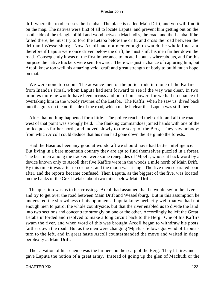drift where the road crosses the Letaba. The place is called Main Drift, and you will find it on the map. The natives were first of all to locate Laputa, and prevent him getting out on the south side of the triangle of hill and wood between Machudi's, the road, and the Letaba. If he failed there, he must try to ford the Letaba below the drift, and cross the road between the drift and Wesselsburg. Now Arcoll had not men enough to watch the whole line, and therefore if Laputa were once driven below the drift, he must shift his men farther down the road. Consequently it was of the first importance to locate Laputa's whereabouts, and for this purpose the native trackers were sent forward. There was just a chance of capturing him, but Arcoll knew too well his amazing veld−craft and great strength of body to build much hope on that.

 We were none too soon. The advance men of the police rode into one of the Kaffirs from Inanda's Kraal, whom Laputa had sent forward to see if the way was clear. In two minutes more he would have been across and out of our power, for we had no chance of overtaking him in the woody ravines of the Letaba. The Kaffir, when he saw us, dived back into the grass on the north side of the road, which made it clear that Laputa was still there.

 After that nothing happened for a little. The police reached their drift, and all the road west of that point was strongly held. The flanking commandoes joined hands with one of the police posts farther north, and moved slowly to the scarp of the Berg. They saw nobody; from which Arcoll could deduce that his man had gone down the Berg into the forests.

 Had the Basutos been any good at woodcraft we should have had better intelligence. But living in a bare mountain country they are apt to find themselves puzzled in a forest. The best men among the trackers were some renegades of 'Mpefu, who sent back word by a device known only to Arcoll that five Kaffirs were in the woods a mile north of Main Drift. By this time it was after ten o'clock, and the moon was rising. The five men separated soon after, and the reports became confused. Then Laputa, as the biggest of the five, was located on the banks of the Great Letaba about two miles below Main Drift.

 The question was as to his crossing. Arcoll had assumed that he would swim the river and try to get over the road between Main Drift and Wesselsburg. But in this assumption he underrated the shrewdness of his opponent. Laputa knew perfectly well that we had not enough men to patrol the whole countryside, but that the river enabled us to divide the land into two sections and concentrate strongly on one or the other. Accordingly he left the Great Letaba unforded and resolved to make a long circuit back to the Berg. One of his Kaffirs swam the river, and when word of this was brought Arcoll began to withdraw his posts farther down the road. But as the men were changing 'Mpefu's fellows got wind of Laputa's turn to the left, and in great haste Arcoll countermanded the move and waited in deep perplexity at Main Drift.

 The salvation of his scheme was the farmers on the scarp of the Berg. They lit fires and gave Laputa the notion of a great army. Instead of going up the glen of Machudi or the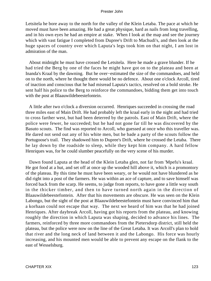Letsitela he bore away to the north for the valley of the Klein Letaba. The pace at which he moved must have been amazing. He had a great physique, hard as nails from long travelling, and in his own eyes he had an empire at stake. When I look at the map and see the journey which with vast fatigue I completed from Dupree's Drift to Machudi's, and then look at the huge spaces of country over which Laputa's legs took him on that night, I am lost in admiration of the man.

 About midnight he must have crossed the Letsitela. Here he made a grave blunder. If he had tried the Berg by one of the faces he might have got on to the plateau and been at Inanda's Kraal by the dawning. But he over−estimated the size of the commandoes, and held on to the north, where he thought there would be no defence. About one o'clock Arcoll, tired of inaction and conscious that he had misread Laputa's tactics, resolved on a bold stroke. He sent half his police to the Berg to reinforce the commandoes, bidding them get into touch with the post at Blaauwildebeestefontein.

 A little after two o'clock a diversion occurred. Henriques succeeded in crossing the road three miles east of Main Drift. He had probably left the kraal early in the night and had tried to cross farther west, but had been deterred by the patrols. East of Main Drift, where the police were fewer, he succeeded; but he had not gone far till he was discovered by the Basuto scouts. The find was reported to Arcoll, who guessed at once who this traveller was. He dared not send out any of his white men, but he bade a party of the scouts follow the Portugoose's trail. They shadowed him to Dupree's Drift, where he crossed the Letaba. There he lay down by the roadside to sleep, while they kept him company. A hard fellow Henriques was, for he could slumber peacefully on the very scene of his murder.

 Dawn found Laputa at the head of the Klein Letaba glen, not far from 'Mpefu's kraal. He got food at a hut, and set off at once up the wooded hill above it, which is a promontory of the plateau. By this time he must have been weary, or he would not have blundered as he did right into a post of the farmers. He was within an ace of capture, and to save himself was forced back from the scarp. He seems, to judge from reports, to have gone a little way south in the thicker timber, and then to have turned north again in the direction of Blaauwildebeestefontein. After that his movements are obscure. He was seen on the Klein Labongo, but the sight of the post at Blaauwildebeestefontein must have convinced him that a korhaan could not escape that way. The next we heard of him was that he had joined Henriques. After daybreak Arcoll, having got his reports from the plateau, and knowing roughly the direction in which Laputa was shaping, decided to advance his lines. The farmers, reinforced by three more commandoes from the Pietersdorp district, still held the plateau, but the police were now on the line of the Great Letaba. It was Arcoll's plan to hold that river and the long neck of land between it and the Labongo. His force was hourly increasing, and his mounted men would be able to prevent any escape on the flank to the east of Wesselsburg.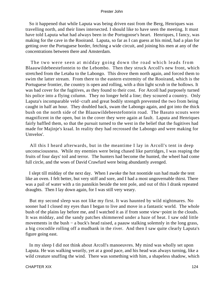So it happened that while Laputa was being driven east from the Berg, Henriques was travelling north, and their lines intersected. I should like to have seen the meeting. It must have told Laputa what had always been in the Portugoose's heart. Henriques, I fancy, was making for the cave in the Rooirand. Laputa, so far as I can guess at his mind, had a plan for getting over the Portuguese border, fetching a wide circuit, and joining his men at any of the concentrations between there and Amsterdam.

 The two were seen at midday going down the road which leads from Blaauwildebeestefontein to the Lebombo. Then they struck Arcoll's new front, which stretched from the Letaba to the Labongo. This drove them north again, and forced them to swim the latter stream. From there to the eastern extremity of the Rooirand, which is the Portuguese frontier, the country is open and rolling, with a thin light scrub in the hollows. It was bad cover for the fugitives, as they found to their cost. For Arcoll had purposely turned his police into a flying column. They no longer held a line; they scoured a country. Only Laputa's incomparable veld−craft and great bodily strength prevented the two from being caught in half an hour. They doubled back, swam the Labongo again, and got into the thick bush on the north side of the Blaauwildebeestefontein road. The Basuto scouts were magnificent in the open, but in the cover they were again at fault. Laputa and Henriques fairly baffled them, so that the pursuit turned to the west in the belief that the fugitives had made for Majinje's kraal. In reality they had recrossed the Labongo and were making for Umvelos'.

 All this I heard afterwards, but in the meantime I lay in Arcoll's tent in deep unconsciousness. While my enemies were being chased like partridges, I was reaping the fruits of four days' toil and terror. The hunters had become the hunted, the wheel had come full circle, and the woes of David Crawfurd were being abundantly avenged.

 I slept till midday of the next day. When I awoke the hot noontide sun had made the tent like an oven. I felt better, but very stiff and sore, and I had a most ungovernable thirst. There was a pail of water with a tin pannikin beside the tent pole, and out of this I drank repeated draughts. Then I lay down again, for I was still very weary.

 But my second sleep was not like my first. It was haunted by wild nightmares. No sooner had I closed my eyes than I began to live and move in a fantastic world. The whole bush of the plains lay before me, and I watched it as if from some view−point in the clouds. It was midday, and the sandy patches shimmered under a haze of heat. I saw odd little movements in the bush − a buck's head raised, a paauw stalking solemnly in the long grass, a big crocodile rolling off a mudbank in the river. And then I saw quite clearly Laputa's figure going east.

 In my sleep I did not think about Arcoll's manoeuvres. My mind was wholly set upon Laputa. He was walking wearily, yet at a good pace, and his head was always turning, like a wild creature snuffing the wind. There was something with him, a shapeless shadow, which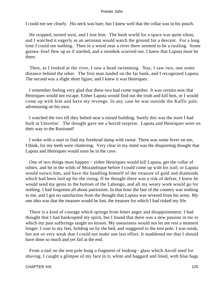I could not see clearly. His neck was bare, but I knew well that the collar was in his pouch.

 He stopped, turned west, and I lost him. The bush world for a space was quite silent, and I watched it eagerly as an aeronaut would watch the ground for a descent. For a long time I could see nothing. Then in a wood near a river there seemed to be a rustling. Some guinea−fowl flew up as if startled, and a stembok scurried out. I knew that Laputa must be there.

 Then, as I looked at the river, I saw a head swimming. Nay, I saw two, one some distance behind the other. The first man landed on the far bank, and I recognized Laputa. The second was a slight short figure, and I knew it was Henriques.

 I remember feeling very glad that these two had come together. It was certain now that Henriques would not escape. Either Laputa would find out the truth and kill him, or I would come up with him and have my revenge. In any case he was outside the Kaffir pale, adventuring on his own.

 I watched the two till they halted near a ruined building. Surely this was the store I had built at Umvelos'. The thought gave me a horrid surprise. Laputa and Henriques were on their way to the Rooirand!

 I woke with a start to find my forehead damp with sweat. There was some fever on me, I think, for my teeth were chattering. Very clear in my mind was the disquieting thought that Laputa and Henriques would soon be in the cave.

 One of two things must happen − either Henriques would kill Laputa, get the collar of rubies, and be in the wilds of Mozambique before I could come up with his trail; or Laputa would outwit him, and have the handling himself of the treasure of gold and diamonds which had been laid up for the rising. If he thought there was a risk of defeat, I knew he would send my gems to the bottom of the Labongo, and all my weary work would go for nothing. I had forgotten all about patriotism. In that hour the fate of the country was nothing to me, and I got no satisfaction from the thought that Laputa was severed from his army. My one idea was that the treasure would be lost, the treasure for which I had risked my life.

 There is a kind of courage which springs from bitter anger and disappointment. I had thought that I had bankrupted my spirit, but I found that there was a new passion in me to which my past sufferings taught no lesson. My uneasiness would not let me rest a moment longer. I rose to my feet, holding on by the bed, and staggered to the tent pole. I was weak, but not so very weak that I could not make one last effort. It maddened me that I should have done so much and yet fail at the end.

 From a nail on the tent pole hung a fragment of looking− glass which Arcoll used for shaving. I caught a glimpse of my face in it, white and haggard and lined, with blue bags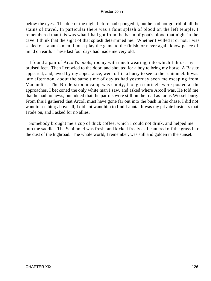below the eyes. The doctor the night before had sponged it, but he had not got rid of all the stains of travel. In particular there was a faint splash of blood on the left temple. I remembered that this was what I had got from the basin of goat's blood that night in the cave. I think that the sight of that splash determined me. Whether I willed it or not, I was sealed of Laputa's men. I must play the game to the finish, or never again know peace of mind on earth. These last four days had made me very old.

 I found a pair of Arcoll's boots, roomy with much wearing, into which I thrust my bruised feet. Then I crawled to the door, and shouted for a boy to bring my horse. A Basuto appeared, and, awed by my appearance, went off in a hurry to see to the schimmel. It was late afternoon, about the same time of day as had yesterday seen me escaping from Machudi's. The Bruderstroom camp was empty, though sentinels were posted at the approaches. I beckoned the only white man I saw, and asked where Arcoll was. He told me that he had no news, but added that the patrols were still on the road as far as Wesselsburg. From this I gathered that Arcoll must have gone far out into the bush in his chase. I did not want to see him; above all, I did not want him to find Laputa. It was my private business that I rode on, and I asked for no allies.

 Somebody brought me a cup of thick coffee, which I could not drink, and helped me into the saddle. The Schimmel was fresh, and kicked freely as I cantered off the grass into the dust of the highroad. The whole world, I remember, was still and golden in the sunset.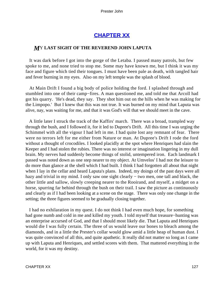# **[CHAPTER XX](#page-150-0)**

## *M*Y **LAST SIGHT OF THE REVEREND JOHN LAPUTA**

 It was dark before I got into the gorge of the Letaba. I passed many patrols, but few spoke to me, and none tried to stop me. Some may have known me, but I think it was my face and figure which tied their tongues. I must have been pale as death, with tangled hair and fever burning in my eyes. Also on my left temple was the splash of blood.

 At Main Drift I found a big body of police holding the ford. I splashed through and stumbled into one of their camp−fires. A man questioned me, and told me that Arcoll had got his quarry. 'He's dead, they say. They shot him out on the hills when he was making for the Limpopo.' But I knew that this was not true. It was burned on my mind that Laputa was alive, nay, was waiting for me, and that it was God's will that we should meet in the cave.

 A little later I struck the track of the Kaffirs' march. There was a broad, trampled way through the bush, and I followed it, for it led to Dupree's Drift. All this time I was urging the Schimmel with all the vigour I had left in me. I had quite lost any remnant of fear. There were no terrors left for me either from Nature or man. At Dupree's Drift I rode the ford without a thought of crocodiles. I looked placidly at the spot where Henriques had slain the Keeper and I had stolen the rubies. There was no interest or imagination lingering in my dull brain. My nerves had suddenly become things of stolid, untempered iron. Each landmark I passed was noted down as one step nearer to my object. At Umvelos' I had not the leisure to do more than glance at the shell which I had built. I think I had forgotten all about that night when I lay in the cellar and heard Laputa's plans. Indeed, my doings of the past days were all hazy and trivial in my mind. I only saw one sight clearly – two men, one tall and black, the other little and sallow, slowly creeping nearer to the Rooirand, and myself, a midget on a horse, spurring far behind through the bush on their trail. I saw the picture as continuously and clearly as if I had been looking at a scene on the stage. There was only one change in the setting; the three figures seemed to be gradually closing together.

 I had no exhilaration in my quest. I do not think I had even much hope, for something had gone numb and cold in me and killed my youth. I told myself that treasure−hunting was an enterprise accursed of God, and that I should most likely die. That Laputa and Henriques would die I was fully certain. The three of us would leave our bones to bleach among the diamonds, and in a little the Prester's collar would glow amid a little heap of human dust. I was quite convinced of all this, and quite apathetic. It really did not matter so long as I came up with Laputa and Henriques, and settled scores with them. That mattered everything in the world, for it was my destiny.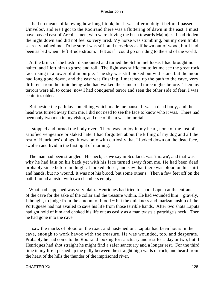I had no means of knowing how long I took, but it was after midnight before I passed Umvelos', and ere I got to the Rooirand there was a fluttering of dawn in the east. I must have passed east of Arcoll's men, who were driving the bush towards Majinje's. I had ridden the night down and did not feel so very tired. My horse was stumbling, but my own limbs scarcely pained me. To be sure I was stiff and nerveless as if hewn out of wood, but I had been as bad when I left Bruderstroom. I felt as if I could go on riding to the end of the world.

 At the brink of the bush I dismounted and turned the Schimmel loose. I had brought no halter, and I left him to graze and roll. The light was sufficient to let me see the great rock face rising in a tower of dim purple. The sky was still picked out with stars, but the moon had long gone down, and the east was flushing. I marched up the path to the cave, very different from the timid being who had walked the same road three nights before. Then my terrors were all to come: now I had conquered terror and seen the other side of fear. I was centuries older.

 But beside the path lay something which made me pause. It was a dead body, and the head was turned away from me. I did not need to see the face to know who it was. There had been only two men in my vision, and one of them was immortal.

 I stopped and turned the body over. There was no joy in my heart, none of the lust of satisfied vengeance or slaked hate. I had forgotten about the killing of my dog and all the rest of Henriques' doings. It was only with curiosity that I looked down on the dead face, swollen and livid in the first light of morning.

 The man had been strangled. His neck, as we say in Scotland, was 'thrawn', and that was why he had lain on his back yet with his face turned away from me. He had been dead probably since before midnight. I looked closer, and saw that there was blood on his shirt and hands, but no wound. It was not his blood, but some other's. Then a few feet off on the path I found a pistol with two chambers empty.

 What had happened was very plain. Henriques had tried to shoot Laputa at the entrance of the cave for the sake of the collar and the treasure within. He had wounded him − gravely, I thought, to judge from the amount of blood − but the quickness and marksmanship of the Portuguese had not availed to save his life from those terrible hands. After two shots Laputa had got hold of him and choked his life out as easily as a man twists a partridge's neck. Then he had gone into the cave.

 I saw the marks of blood on the road, and hastened on. Laputa had been hours in the cave, enough to work havoc with the treasure. He was wounded, too, and desperate. Probably he had come to the Rooirand looking for sanctuary and rest for a day or two, but if Henriques had shot straight he might find a safer sanctuary and a longer rest. For the third time in my life I pushed up the gully between the straight high walls of rock, and heard from the heart of the hills the thunder of the imprisoned river.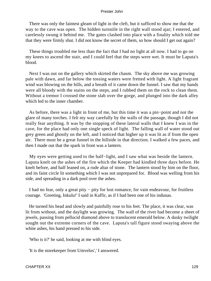There was only the faintest gleam of light in the cleft, but it sufficed to show me that the way to the cave was open. The hidden turnstile in the right wall stood ajar; I entered, and carelessly swung it behind me. The gates clashed into place with a finality which told me that they were firmly shut. I did not know the secret of them, so how should I get out again?

 These things troubled me less than the fact that I had no light at all now. I had to go on my knees to ascend the stair, and I could feel that the steps were wet. It must be Laputa's blood.

 Next I was out on the gallery which skirted the chasm. The sky above me was growing pale with dawn, and far below the tossing waters were fretted with light. A light fragrant wind was blowing on the hills, and a breath of it came down the funnel. I saw that my hands were all bloody with the stains on the steps, and I rubbed them on the rock to clean them. Without a tremor I crossed the stone slab over the gorge, and plunged into the dark alley which led to the inner chamber.

 As before, there was a light in front of me, but this time it was a pin−point and not the glare of many torches. I felt my way carefully by the walls of the passage, though I did not really fear anything. It was by the stopping of these lateral walls that I knew I was in the cave, for the place had only one single speck of light. The falling wall of water stood out grey green and ghostly on the left, and I noticed that higher up it was lit as if from the open air. There must be a great funnel in the hillside in that direction. I walked a few paces, and then I made out that the spark in front was a lantern.

 My eyes were getting used to the half−light, and I saw what was beside the lantern. Laputa knelt on the ashes of the fire which the Keeper had kindled three days before. He knelt before, and half leaned on, a rude altar of stone. The lantern stood by him on the floor, and its faint circle lit something which I was not unprepared for. Blood was welling from his side, and spreading in a dark pool over the ashes.

 I had no fear, only a great pity − pity for lost romance, for vain endeavour, for fruitless courage. 'Greeting, Inkulu!' I said in Kaffir, as if I had been one of his indunas.

 He turned his head and slowly and painfully rose to his feet. The place, it was clear, was lit from without, and the daylight was growing. The wall of the river had become a sheet of jewels, passing from pellucid diamond above to translucent emerald below. A dusky twilight sought out the extreme corners of the cave. Laputa's tall figure stood swaying above the white ashes, his hand pressed to his side.

'Who is it?' he said, looking at me with blind eyes.

'It is the storekeeper from Umvelos',' I answered.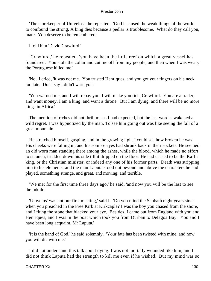'The storekeeper of Umvelos',' he repeated. 'God has used the weak things of the world to confound the strong. A king dies because a pedlar is troublesome. What do they call you, man? You deserve to be remembered.'

I told him 'David Crawfurd.'

 'Crawfurd,' he repeated, 'you have been the little reef on which a great vessel has foundered. You stole the collar and cut me off from my people, and then when I was weary the Portuguese killed me.'

 'No,' I cried, 'it was not me. You trusted Henriques, and you got your fingers on his neck too late. Don't say I didn't warn you.'

 'You warned me, and I will repay you. I will make you rich, Crawfurd. You are a trader, and want money. I am a king, and want a throne. But I am dying, and there will be no more kings in Africa.'

 The mention of riches did not thrill me as I had expected, but the last words awakened a wild regret. I was hypnotized by the man. To see him going out was like seeing the fall of a great mountain.

 He stretched himself, gasping, and in the growing light I could see how broken he was. His cheeks were falling in, and his sombre eyes had shrunk back in their sockets. He seemed an old worn man standing there among the ashes, while the blood, which he made no effort to staunch, trickled down his side till it dripped on the floor. He had ceased to be the Kaffir king, or the Christian minister, or indeed any one of his former parts. Death was stripping him to his elements, and the man Laputa stood out beyond and above the characters he had played, something strange, and great, and moving, and terrible.

 'We met for the first time three days ago,' he said, 'and now you will be the last to see the Inkulu.'

 'Umvelos' was not our first meeting,' said I. 'Do you mind the Sabbath eight years since when you preached in the Free Kirk at Kirkcaple? I was the boy you chased from the shore, and I flung the stone that blacked your eye. Besides, I came out from England with you and Henriques, and I was in the boat which took you from Durban to Delagoa Bay. You and I have been long acquaint, Mr Laputa.'

 'It is the hand of God,' he said solemnly. 'Your fate has been twisted with mine, and now you will die with me.'

 I did not understand this talk about dying. I was not mortally wounded like him, and I did not think Laputa had the strength to kill me even if he wished. But my mind was so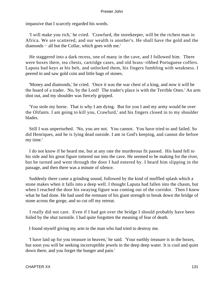impassive that I scarcely regarded his words.

 'I will make you rich,' he cried. 'Crawfurd, the storekeeper, will be the richest man in Africa. We are scattered, and our wealth is another's. He shall have the gold and the diamonds − all but the Collar, which goes with me.'

 He staggered into a dark recess, one of many in the cave, and I followed him. There were boxes there, tea chests, cartridge cases, and old brass−ribbed Portuguese coffers. Laputa had keys at his belt, and unlocked them, his fingers fumbling with weakness. I peered in and saw gold coin and little bags of stones.

 'Money and diamonds,' he cried. 'Once it was the war chest of a king, and now it will be the hoard of a trader. No, by the Lord! The trader's place is with the Terrible Ones.' An arm shot out, and my shoulder was fiercely gripped.

 'You stole my horse. That is why I am dying. But for you I and my army would be over the Olifants. I am going to kill you, Crawfurd,' and his fingers closed in to my shoulder blades.

 Still I was unperturbed. 'No, you are not. You cannot. You have tried to and failed. So did Henriques, and he is lying dead outside. I am in God's keeping, and cannot die before my time.'

 I do not know if he heard me, but at any rate the murderous fit passed. His hand fell to his side and his great figure tottered out into the cave. He seemed to be making for the river, but he turned and went through the door I had entered by. I heard him slipping in the passage, and then there was a minute of silence.

 Suddenly there came a grinding sound, followed by the kind of muffled splash which a stone makes when it falls into a deep well. I thought Laputa had fallen into the chasm, but when I reached the door his swaying figure was coming out of the corridor. Then I knew what he had done. He had used the remnant of his giant strength to break down the bridge of stone across the gorge, and so cut off my retreat.

 I really did not care. Even if I had got over the bridge I should probably have been foiled by the shut turnstile. I had quite forgotten the meaning of fear of death.

I found myself giving my arm to the man who had tried to destroy me.

 'I have laid up for you treasure in heaven,' he said. 'Your earthly treasure is in the boxes, but soon you will be seeking incorruptible jewels in the deep deep water. It is cool and quiet down there, and you forget the hunger and pain.'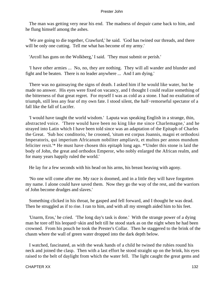The man was getting very near his end. The madness of despair came back to him, and he flung himself among the ashes.

 'We are going to die together, Crawfurd,' he said. 'God has twined our threads, and there will be only one cutting. Tell me what has become of my army.'

'Arcoll has guns on the Wolkberg,' I said. 'They must submit or perish.'

 'I have other armies ... No, no, they are nothing. They will all wander and blunder and fight and be beaten. There is no leader anywhere ... And I am dying.'

 There was no gainsaying the signs of death. I asked him if he would like water, but he made no answer. His eyes were fixed on vacancy, and I thought I could realize something of the bitterness of that great regret. For myself I was as cold as a stone. I had no exultation of triumph, still less any fear of my own fate. I stood silent, the half−remorseful spectator of a fall like the fall of Lucifer.

 'I would have taught the world wisdom.' Laputa was speaking English in a strange, thin, abstracted voice. 'There would have been no king like me since Charlemagne,' and he strayed into Latin which I have been told since was an adaptation of the Epitaph of Charles the Great. 'Sub hoc conditorio,' he crooned, 'situm est corpus Joannis, magni et orthodoxi Imperatoris, qui imperium Africanum nobiliter ampliavit, et multos per annos mundum feliciter rexit.'\* He must have chosen this epitaph long ago. \*'Under this stone is laid the body of John, the great and orthodox Emperor, who nobly enlarged the African realm, and for many years happily ruled the world.'

He lay for a few seconds with his head on his arms, his breast heaving with agony.

 'No one will come after me. My race is doomed, and in a little they will have forgotten my name. I alone could have saved them. Now they go the way of the rest, and the warriors of John become drudges and slaves.'

 Something clicked in his throat, he gasped and fell forward, and I thought he was dead. Then he struggled as if to rise. I ran to him, and with all my strength aided him to his feet.

 'Unarm, Eros,' he cried. 'The long day's task is done.' With the strange power of a dying man he tore off his leopard−skin and belt till he stood stark as on the night when he had been crowned. From his pouch he took the Prester's Collar. Then he staggered to the brink of the chasm where the wall of green water dropped into the dark depth below.

 I watched, fascinated, as with the weak hands of a child he twined the rubies round his neck and joined the clasp. Then with a last effort he stood straight up on the brink, his eyes raised to the belt of daylight from which the water fell. The light caught the great gems and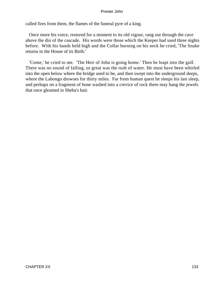called fires from them, the flames of the funeral pyre of a king.

 Once more his voice, restored for a moment to its old vigour, rang out through the cave above the din of the cascade. His words were those which the Keeper had used three nights before. With his hands held high and the Collar burning on his neck he cried, 'The Snake returns to the House of its Birth.'

 'Come,' he cried to me. 'The Heir of John is going home.' Then he leapt into the gulf. There was no sound of falling, so great was the rush of water. He must have been whirled into the open below where the bridge used to be, and then swept into the underground deeps, where the Labongo drowses for thirty miles. Far from human quest he sleeps his last sleep, and perhaps on a fragment of bone washed into a crevice of rock there may hang the jewels that once gleamed in Sheba's hair.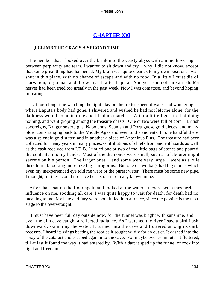# **[CHAPTER XXI](#page-151-0)**

## *I* **CLIMB THE CRAGS A SECOND TIME**

 I remember that I looked over the brink into the yeasty abyss with a mind hovering between perplexity and tears. I wanted to sit down and cry − why, I did not know, except that some great thing had happened. My brain was quite clear as to my own position. I was shut in this place, with no chance of escape and with no food. In a little I must die of starvation, or go mad and throw myself after Laputa. And yet I did not care a rush. My nerves had been tried too greatly in the past week. Now I was comatose, and beyond hoping or fearing.

 I sat for a long time watching the light play on the fretted sheet of water and wondering where Laputa's body had gone. I shivered and wished he had not left me alone, for the darkness would come in time and I had no matches. After a little I got tired of doing nothing, and went groping among the treasure chests. One or two were full of coin − British sovereigns, Kruger sovereigns, Napoleons, Spanish and Portuguese gold pieces, and many older coins ranging back to the Middle Ages and even to the ancients. In one handful there was a splendid gold stater, and in another a piece of Antoninus Pius. The treasure had been collected for many years in many places, contributions of chiefs from ancient hoards as well as the cash received from I.D.B. I untied one or two of the little bags of stones and poured the contents into my hands. Most of the diamonds were small, such as a labourer might secrete on his person. The larger ones – and some were very large – were as a rule discoloured, looking more like big cairngorms. But one or two bags had big stones which even my inexperienced eye told me were of the purest water. There must be some new pipe, I thought, for these could not have been stolen from any known mine.

 After that I sat on the floor again and looked at the water. It exercised a mesmeric influence on me, soothing all care. I was quite happy to wait for death, for death had no meaning to me. My hate and fury were both lulled into a trance, since the passive is the next stage to the overwrought.

 It must have been full day outside now, for the funnel was bright with sunshine, and even the dim cave caught a reflected radiance. As I watched the river I saw a bird flash downward, skimming the water. It turned into the cave and fluttered among its dark recesses. I heard its wings beating the roof as it sought wildly for an outlet. It dashed into the spray of the cataract and escaped again into the cave. For maybe twenty minutes it fluttered, till at last it found the way it had entered by. With a dart it sped up the funnel of rock into light and freedom.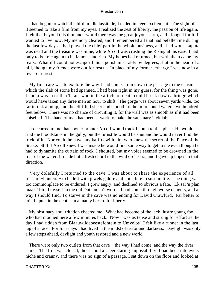I had begun to watch the bird in idle lassitude, I ended in keen excitement. The sight of it seemed to take a film from my eyes. I realized the zest of liberty, the passion of life again. I felt that beyond this dim underworld there was the great joyous earth, and I longed for it. I wanted to live now. My memory cleared, and I remembered all that had befallen me during the last few days. I had played the chief part in the whole business, and I had won. Laputa was dead and the treasure was mine, while Arcoll was crushing the Rising at his ease. I had only to be free again to be famous and rich. My hopes had returned, but with them came my fears. What if I could not escape? I must perish miserably by degrees, shut in the heart of a hill, though my friends were out for rescue. In place of my former lethargy I was now in a fever of unrest.

 My first care was to explore the way I had come. I ran down the passage to the chasm which the slab of stone had spanned. I had been right in my guess, for the thing was gone. Laputa was in truth a Titan, who in the article of death could break down a bridge which would have taken any three men an hour to shift. The gorge was about seven yards wide, too far to risk a jump, and the cliff fell sheer and smooth to the imprisoned waters two hundred feet below. There was no chance of circuiting it, for the wall was as smooth as if it had been chiselled. The hand of man had been at work to make the sanctuary inviolable.

 It occurred to me that sooner or later Arcoll would track Laputa to this place. He would find the bloodstains in the gully, but the turnstile would be shut and he would never find the trick of it. Nor could he have any kaffirs with him who knew the secret of the Place of the Snake. Still if Arcoll knew I was inside he would find some way to get to me even though he had to dynamite the curtain of rock. I shouted, but my voice seemed to be drowned in the roar of the water. It made but a fresh chord in the wild orchestra, and I gave up hopes in that direction.

 Very dolefully I returned to the cave. I was about to share the experience of all treasure−hunters − to be left with jewels galore and not a bite to sustain life. The thing was too commonplace to be endured. I grew angry, and declined so obvious a fate. 'Ek sal 'n plan maak,' I told myself in the old Dutchman's words. I had come through worse dangers, and a way I should find. To starve in the cave was no ending for David Crawfurd. Far better to join Laputa in the depths in a manly hazard for liberty.

 My obstinacy and irritation cheered me. What had become of the lack−lustre young fool who had mooned here a few minutes back. Now I was as tense and strung for effort as the day I had ridden from Blaauwildebeestefontein to Umvelos'. I felt like a runner in the last lap of a race. For four days I had lived in the midst of terror and darkness. Daylight was only a few steps ahead, daylight and youth restored and a new world.

 There were only two outlets from that cave − the way I had come, and the way the river came. The first was closed, the second a sheer staring impossibility. I had been into every niche and cranny, and there was no sign of a passage. I sat down on the floor and looked at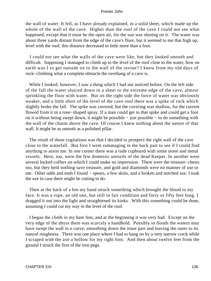the wall of water. It fell, as I have already explained, in a solid sheet, which made up the whole of the wall of the cave. Higher than the roof of the cave I could not see what happened, except that it must be the open air, for the sun was shining on it. The water was about three yards distant from the edge of the cave's floor, but it seemed to me that high up, level with the roof, this distance decreased to little more than a foot.

 I could not see what the walls of the cave were like, but they looked smooth and difficult. Supposing I managed to climb up to the level of the roof close to the water, how on earth was I to get outside on to the wall of the ravine? I knew from my old days of rock−climbing what a complete obstacle the overhang of a cave is.

 While I looked, however, I saw a thing which I had not noticed before. On the left side of the fall the water sluiced down in a sheet to the extreme edge of the cave, almost sprinkling the floor with water. But on the right side the force of water was obviously weaker, and a little short of the level of the cave roof there was a spike of rock which slightly broke the fall. The spike was covered, but the covering was shallow, for the current flowed from it in a rose−shaped spray. If a man could get to that spike and could get a foot on it without being swept down, it might be possible − just possible − to do something with the wall of the chasm above the cave. Of course I knew nothing about the nature of that wall. It might be as smooth as a polished pillar.

 The result of these cogitations was that I decided to prospect the right wall of the cave close to the waterfall. But first I went rummaging in the back part to see if I could find anything to assist me. In one corner there was a rude cupboard with some stone and metal vessels. Here, too, were the few domestic utensils of the dead Keeper. In another were several locked coffers on which I could make no impression. There were the treasure−chests too, but they held nothing save treasure, and gold and diamonds were no manner of use to me. Other odds and ends I found − spears, a few skins, and a broken and notched axe. I took the axe in case there might be cutting to do.

 Then at the back of a bin my hand struck something which brought the blood to my face. It was a rope, an old one, but still in fair condition and forty or fifty feet long. I dragged it out into the light and straightened its kinks. With this something could be done, assuming I could cut my way to the level of the roof.

 I began the climb in my bare feet, and at the beginning it was very bad. Except on the very edge of the abyss there was scarcely a handhold. Possibly in floods the waters may have swept the wall in a curve, smoothing down the inner part and leaving the outer to its natural roughness. There was one place where I had to hang on by a very narrow crack while I scraped with the axe a hollow for my right foot. And then about twelve feet from the ground I struck the first of the iron pegs.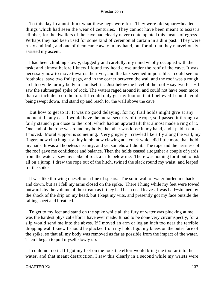To this day I cannot think what these pegs were for. They were old square−headed things which had seen the wear of centuries. They cannot have been meant to assist a climber, for the dwellers of the cave had clearly never contemplated this means of egress. Perhaps they had been used for some kind of ceremonial curtain in a dim past. They were rusty and frail, and one of them came away in my hand, but for all that they marvellously assisted my ascent.

 I had been climbing slowly, doggedly and carefully, my mind wholly occupied with the task; and almost before I knew I found my head close under the roof of the cave. It was necessary now to move towards the river, and the task seemed impossible. I could see no footholds, save two frail pegs, and in the corner between the wall and the roof was a rough arch too wide for my body to jam itself in. Just below the level of the roof − say two feet − I saw the submerged spike of rock. The waters raged around it, and could not have been more than an inch deep on the top. If I could only get my foot on that I believed I could avoid being swept down, and stand up and reach for the wall above the cave.

 But how to get to it? It was no good delaying, for my frail holds might give at any moment. In any case I would have the moral security of the rope, so I passed it through a fairly staunch pin close to the roof, which had an upward tilt that almost made a ring of it. One end of the rope was round my body, the other was loose in my hand, and I paid it out as I moved. Moral support is something. Very gingerly I crawled like a fly along the wall, my fingers now clutching at a tiny knob, now clawing at a crack which did little more than hold my nails. It was all hopeless insanity, and yet somehow I did it. The rope and the nearness of the roof gave me confidence and balance. Then the holds ceased altogether a couple of yards from the water. I saw my spike of rock a trifle below me. There was nothing for it but to risk all on a jump. I drew the rope out of the hitch, twined the slack round my waist, and leaped for the spike.

 It was like throwing oneself on a line of spears. The solid wall of water hurled me back and down, but as I fell my arms closed on the spike. There I hung while my feet were towed outwards by the volume of the stream as if they had been dead leaves. I was half−stunned by the shock of the drip on my head, but I kept my wits, and presently got my face outside the falling sheet and breathed.

 To get to my feet and stand on the spike while all the fury of water was plucking at me was the hardest physical effort I have ever made. It had to be done very circumspectly, for a slip would send me into the abyss. If I moved an arm or leg an inch too near the terrible dropping wall I knew I should be plucked from my hold. I got my knees on the outer face of the spike, so that all my body was removed as far as possible from the impact of the water. Then I began to pull myself slowly up.

 I could not do it. If I got my feet on the rock the effort would bring me too far into the water, and that meant destruction. I saw this clearly in a second while my wrists were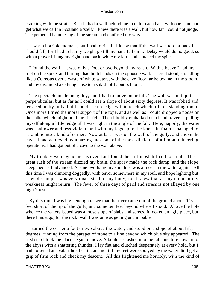cracking with the strain. But if I had a wall behind me I could reach back with one hand and get what we call in Scotland a 'stelf.' I knew there was a wall, but how far I could not judge. The perpetual hammering of the stream had confused my wits.

 It was a horrible moment, but I had to risk it. I knew that if the wall was too far back I should fall, for I had to let my weight go till my hand fell on it. Delay would do no good, so with a prayer I flung my right hand back, while my left hand clutched the spike.

 I found the wall − it was only a foot or two beyond my reach. With a heave I had my foot on the spike, and turning, had both hands on the opposite wall. There I stood, straddling like a Colossus over a waste of white waters, with the cave floor far below me in the gloom, and my discarded axe lying close to a splash of Laputa's blood.

 The spectacle made me giddy, and I had to move on or fall. The wall was not quite perpendicular, but as far as I could see a slope of about sixty degrees. It was ribbed and terraced pretty fully, but I could see no ledge within reach which offered standing room. Once more I tried the moral support of the rope, and as well as I could dropped a noose on the spike which might hold me if I fell. Then I boldly embarked on a hand traverse, pulling myself along a little ledge till I was right in the angle of the fall. Here, happily, the water was shallower and less violent, and with my legs up to the knees in foam I managed to scramble into a kind of corner. Now at last I was on the wall of the gully, and above the cave. I had achieved by amazing luck one of the most difficult of all mountaineering operations. I had got out of a cave to the wall above.

 My troubles were by no means over, for I found the cliff most difficult to climb. The great rush of the stream dizzied my brain, the spray made the rock damp, and the slope steepened as I advanced. At one overhang my shoulder was almost in the water again. All this time I was climbing doggedly, with terror somewhere in my soul, and hope lighting but a feeble lamp. I was very distrustful of my body, for I knew that at any moment my weakness might return. The fever of three days of peril and stress is not allayed by one night's rest.

 By this time I was high enough to see that the river came out of the ground about fifty feet short of the lip of the gully, and some ten feet beyond where I stood. Above the hole whence the waters issued was a loose slope of slabs and screes. It looked an ugly place, but there I must go, for the rock−wall I was on was getting unclimbable.

 I turned the corner a foot or two above the water, and stood on a slope of about fifty degrees, running from the parapet of stone to a line beyond which blue sky appeared. The first step I took the place began to move. A boulder crashed into the fall, and tore down into the abyss with a shattering thunder. I lay flat and clutched desperately at every hold, but I had loosened an avalanche of earth, and not till my feet were sprayed by the water did I get a grip of firm rock and check my descent. All this frightened me horribly, with the kind of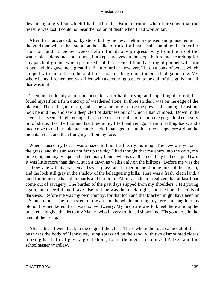despairing angry fear which I had suffered at Bruderstroom, when I dreamed that the treasure was lost. I could not bear the notion of death when I had won so far.

 After that I advanced, not by steps, but by inches. I felt more poised and pinnacled in the void than when I had stood on the spike of rock, for I had a substantial hold neither for foot nor hand. It seemed weeks before I made any progress away from the lip of the waterhole. I dared not look down, but kept my eyes on the slope before me, searching for any patch of ground which promised stability. Once I found a scrog of juniper with firm roots, and this gave me a great lift. A little further, however, I lit on a bank of screes which slipped with me to the right, and I lost most of the ground the bush had gained me. My whole being, I remember, was filled with a devouring passion to be quit of this gully and all that was in it.

 Then, not suddenly as in romances, but after hard striving and hope long deferred, I found myself on a firm outcrop of weathered stone. In three strides I was on the edge of the plateau. Then I began to run, and at the same time to lose the power of running. I cast one look behind me, and saw a deep cleft of darkness out of which I had climbed. Down in the cave it had seemed light enough, but in the clear sunshine of the top the gorge looked a very pit of shade. For the first and last time in my life I had vertigo. Fear of falling back, and a mad craze to do it, made me acutely sick. I managed to stumble a few steps forward on the mountain turf, and then flung myself on my face.

When I raised my head I was amazed to find it still early morning. The dew was yet on the grass, and the sun was not far up the sky. I had thought that my entry into the cave, my time in it, and my escape had taken many hours, whereas at the most they had occupied two. It was little more than dawn, such a dawn as walks only on the hilltops. Before me was the shallow vale with its bracken and sweet grass, and farther on the shining links of the stream, and the loch still grey in the shadow of the beleaguering hills. Here was a fresh, clean land, a land for homesteads and orchards and children. All of a sudden I realized that at last I had come out of savagery. The burden of the past days slipped from my shoulders. I felt young again, and cheerful and brave. Behind me was the black night, and the horrid secrets of darkness. Before me was my own country, for that loch and that bracken might have been on a Scotch moor. The fresh scent of the air and the whole morning mystery put song into my blood. I remembered that I was not yet twenty. My first care was to kneel there among the bracken and give thanks to my Maker, who in very truth had shown me 'His goodness in the land of the living.'

 After a little I went back to the edge of the cliff. There where the road came out of the bush was the body of Henriques, lying sprawled on the sand, with two dismounted riders looking hard at it. I gave a great shout, for in the men I recognized Aitken and the schoolmaster Wardlaw.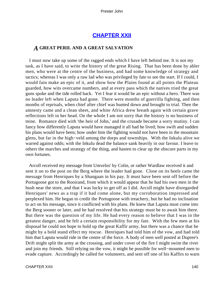# **[CHAPTER XXII](#page-151-0)**

## *A* **GREAT PERIL AND A GREAT SALVATION**

 I must now take up some of the ragged ends which I have left behind me. It is not my task, as I have said, to write the history of the great Rising. That has been done by abler men, who were at the centre of the business, and had some knowledge of strategy and tactics; whereas I was only a raw lad who was privileged by fate to see the start. If I could, I would fain make an epic of it, and show how the Plains found at all points the Plateau guarded, how wits overcame numbers, and at every pass which the natives tried the great guns spoke and the tide rolled back. Yet I fear it would be an epic without a hero. There was no leader left when Laputa had gone. There were months of guerrilla fighting, and then months of reprisals, when chief after chief was hunted down and brought to trial. Then the amnesty came and a clean sheet, and white Africa drew breath again with certain grave reflections left in her head. On the whole I am not sorry that the history is no business of mine. Romance died with 'the heir of John,' and the crusade became a sorry mutiny. I can fancy how differently Laputa would have managed it all had he lived; how swift and sudden his plans would have been; how under him the fighting would not have been in the mountain glens, but far in the high−veld among the dorps and townships. With the Inkulu alive we warred against odds; with the Inkulu dead the balance sank heavily in our favour. I leave to others the marches and strategy of the thing, and hasten to clear up the obscure parts in my own fortunes.

 Arcoll received my message from Umvelos' by Colin, or rather Wardlaw received it and sent it on to the post on the Berg where the leader had gone. Close on its heels came the message from Henriques by a Shangaan in his pay. It must have been sent off before the Portugoose got to the Rooirand, from which it would appear that he had his own men in the bush near the store, and that I was lucky to get off as I did. Arcoll might have disregarded Henriques' news as a trap if it had come alone, but my corroboration impressed and perplexed him. He began to credit the Portugoose with treachery, but he had no inclination to act on his message, since it conflicted with his plans. He knew that Laputa must come into the Berg sooner or later, and he had resolved that his strategy must be to await him there. But there was the question of my life. He had every reason to believe that I was in the greatest danger, and he felt a certain responsibility for my fate. With the few men at his disposal he could not hope to hold up the great Kaffir army, but there was a chance that he might by a bold stand effect my rescue. Henriques had told him of the vow, and had told him that Laputa would ride in the centre of the force. A body of men well posted at Dupree's Drift might split the army at the crossing, and under cover of the fire I might swim the river and join my friends. Still relying on the vow, it might be possible for well−mounted men to evade capture. Accordingly he called for volunteers, and sent off one of his Kaffirs to warn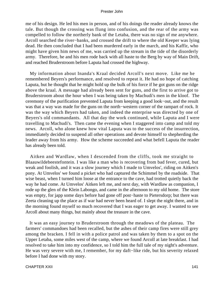me of his design. He led his men in person, and of his doings the reader already knows the tale. But though the crossing was flung into confusion, and the rear of the army was compelled to follow the northerly bank of the Letaba, there was no sign of me anywhere. Arcoll searched the river−banks, and crossed the drift to where the old Keeper was lying dead. He then concluded that I had been murdered early in the march, and his Kaffir, who might have given him news of me, was carried up the stream in the tide of the disorderly army. Therefore, he and his men rode back with all haste to the Berg by way of Main Drift, and reached Bruderstroom before Laputa had crossed the highway.

 My information about Inanda's Kraal decided Arcoll's next move. Like me he remembered Beyers's performance, and resolved to repeat it. He had no hope of catching Laputa, but he thought that he might hold up the bulk of his force if he got guns on the ridge above the kraal. A message had already been sent for guns, and the first to arrive got to Bruderstroom about the hour when I was being taken by Machudi's men in the kloof. The ceremony of the purification prevented Laputa from keeping a good look−out, and the result was that a way was made for the guns on the north−western corner of the rampart of rock. It was the way which Beyers had taken, and indeed the enterprise was directed by one of Beyers's old commandants. All that day the work continued, while Laputa and I were travelling to Machudi's. Then came the evening when I staggered into camp and told my news. Arcoll, who alone knew how vital Laputa was to the success of the insurrection, immediately decided to suspend all other operations and devote himself to shepherding the leader away from his army. How the scheme succeeded and what befell Laputa the reader has already been told.

 Aitken and Wardlaw, when I descended from the cliffs, took me straight to Blaauwildebeestefontein. I was like a man who is recovering from bad fever, cured, but weak and foolish, and it was a slow journey which I made to Umvelos', riding on Aitken's pony. At Umvelos' we found a picket who had captured the Schimmel by the roadside. That wise beast, when I turned him loose at the entrance to the cave, had trotted quietly back the way he had come. At Umvelos' Aitken left me, and next day, with Wardlaw as companion, I rode up the glen of the Klein Labongo, and came in the afternoon to my old home. The store was empty, for japp some days before had gone off post−haste to Pietersdorp; but there was Zeeta cleaning up the place as if war had never been heard of. I slept the night there, and in the morning found myself so much recovered that I was eager to get away. I wanted to see Arcoll about many things, but mainly about the treasure in the cave.

 It was an easy journey to Bruderstroom through the meadows of the plateau. The farmers' commandoes had been recalled, but the ashes of their camp fires were still grey among the bracken. I fell in with a police patrol and was taken by them to a spot on the Upper Letaba, some miles west of the camp, where we found Arcoll at late breakfast. I had resolved to take him into my confidence, so I told him the full tale of my night's adventure. He was very severe with me, I remember, for my daft−like ride, but his severity relaxed before I had done with my story.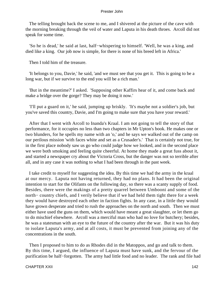The telling brought back the scene to me, and I shivered at the picture of the cave with the morning breaking through the veil of water and Laputa in his death throes. Arcoll did not speak for some time.

 'So he is dead,' he said at last, half−whispering to himself. 'Well, he was a king, and died like a king. Our job now is simple, for there is none of his breed left in Africa.'

Then I told him of the treasure.

 'It belongs to you, Davie,' he said, 'and we must see that you get it. This is going to be a long war, but if we survive to the end you will be a rich man.'

 'But in the meantime?' I asked. 'Supposing other Kaffirs hear of it, and come back and make a bridge over the gorge? They may be doing it now.'

 'I'll put a guard on it,' he said, jumping up briskly. 'It's maybe not a soldier's job, but you've saved this country, Davie, and I'm going to make sure that you have your reward.'

 After that I went with Arcoll to Inanda's Kraal. I am not going to tell the story of that performance, for it occupies no less than two chapters in Mr Upton's book. He makes one or two blunders, for he spells my name with an 'o,' and he says we walked out of the camp on our perilous mission 'with faces white and set as a Crusader's.' That is certainly not true, for in the first place nobody saw us go who could judge how we looked, and in the second place we were both smoking and feeling quite cheerful. At home they made a great fuss about it, and started a newspaper cry about the Victoria Cross, but the danger was not so terrible after all, and in any case it was nothing to what I had been through in the past week.

 I take credit to myself for suggesting the idea. By this time we had the army in the kraal at our mercy. Laputa not having returned, they had no plans. It had been the original intention to start for the Olifants on the following day, so there was a scanty supply of food. Besides, there were the makings of a pretty quarrel between Umbooni and some of the north− country chiefs, and I verily believe that if we had held them tight there for a week they would have destroyed each other in faction fights. In any case, in a little they would have grown desperate and tried to rush the approaches on the north and south. Then we must either have used the guns on them, which would have meant a great slaughter, or let them go to do mischief elsewhere. Arcoll was a merciful man who had no love for butchery; besides, he was a statesman with an eye to the future of the country after the war. But it was his duty to isolate Laputa's army, and at all costs, it must be prevented from joining any of the concentrations in the south.

 Then I proposed to him to do as Rhodes did in the Matoppos, and go and talk to them. By this time, I argued, the influence of Laputa must have sunk, and the fervour of the purification be half−forgotten. The army had little food and no leader. The rank and file had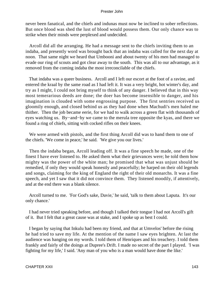never been fanatical, and the chiefs and indunas must now be inclined to sober reflections. But once blood was shed the lust of blood would possess them. Our only chance was to strike when their minds were perplexed and undecided.

 Arcoll did all the arranging. He had a message sent to the chiefs inviting them to an indaba, and presently word was brought back that an indaba was called for the next day at noon. That same night we heard that Umbooni and about twenty of his men had managed to evade our ring of scouts and got clear away to the south. This was all to our advantage, as it removed from the coming indaba the most irreconcilable of the chiefs.

 That indaba was a queer business. Arcoll and I left our escort at the foot of a ravine, and entered the kraal by the same road as I had left it. It was a very bright, hot winter's day, and try as I might, I could not bring myself to think of any danger. I believed that in this way most temerarious deeds are done; the doer has become insensible to danger, and his imagination is clouded with some engrossing purpose. The first sentries received us gloomily enough, and closed behind us as they had done when Machudi's men haled me thither. Then the job became eerie, for we had to walk across a green flat with thousands of eyes watching us. By−and−by we came to the merula tree opposite the kyas, and there we found a ring of chiefs, sitting with cocked rifles on their knees.

 We were armed with pistols, and the first thing Arcoll did was to hand them to one of the chiefs. 'We come in peace,' he said. 'We give you our lives.'

 Then the indaba began, Arcoll leading off. It was a fine speech he made, one of the finest I have ever listened to. He asked them what their grievances were; he told them how mighty was the power of the white man; he promised that what was unjust should be remedied, if only they would speak honestly and peacefully; he harped on their old legends and songs, claiming for the king of England the right of their old monarchs. It was a fine speech, and yet I saw that it did not convince them. They listened moodily, if attentively, and at the end there was a blank silence.

 Arcoll turned to me. 'For God's sake, Davie,' he said, 'talk to them about Laputa. It's our only chance.'

 I had never tried speaking before, and though I talked their tongue I had not Arcoll's gift of it. But I felt that a great cause was at stake, and I spoke up as best I could.

 I began by saying that Inkulu had been my friend, and that at Umvelos' before the rising he had tried to save my life. At the mention of the name I saw eyes brighten. At last the audience was hanging on my words. I told them of Henriques and his treachery. I told them frankly and fairly of the doings at Dupree's Drift. I made no secret of the part I played. 'I was fighting for my life,' I said. 'Any man of you who is a man would have done the like.'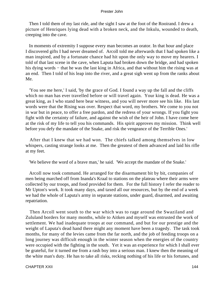Then I told them of my last ride, and the sight I saw at the foot of the Rooirand. I drew a picture of Henriques lying dead with a broken neck, and the Inkulu, wounded to death, creeping into the cave.

 In moments of extremity I suppose every man becomes an orator. In that hour and place I discovered gifts I had never dreamed of. Arcoll told me afterwards that I had spoken like a man inspired, and by a fortunate chance had hit upon the only way to move my hearers. I told of that last scene in the cave, when Laputa had broken down the bridge, and had spoken his dying words – that he was the last king in Africa, and that without him the rising was at an end. Then I told of his leap into the river, and a great sigh went up from the ranks about Me.

 'You see me here,' I said, 'by the grace of God. I found a way up the fall and the cliffs which no man has ever travelled before or will travel again. Your king is dead. He was a great king, as I who stand here bear witness, and you will never more see his like. His last words were that the Rising was over. Respect that word, my brothers. We come to you not in war but in peace, to offer a free pardon, and the redress of your wrongs. If you fight you fight with the certainty of failure, and against the wish of the heir of John. I have come here at the risk of my life to tell you his commands. His spirit approves my mission. Think well before you defy the mandate of the Snake, and risk the vengeance of the Terrible Ones.'

 After that I knew that we had won. The chiefs talked among themselves in low whispers, casting strange looks at me. Then the greatest of them advanced and laid his rifle at my feet.

'We believe the word of a brave man,' he said. 'We accept the mandate of the Snake.'

 Arcoll now took command. He arranged for the disarmament bit by bit, companies of men being marched off from Inanda's Kraal to stations on the plateau where their arms were collected by our troops, and food provided for them. For the full history I refer the reader to Mr Upton's work. It took many days, and taxed all our resources, but by the end of a week we had the whole of Laputa's army in separate stations, under guard, disarmed, and awaiting repatriation.

 Then Arcoll went south to the war which was to rage around the Swaziland and Zululand borders for many months, while to Aitken and myself was entrusted the work of settlement. We had inadequate troops at our command, and but for our prestige and the weight of Laputa's dead hand there might any moment have been a tragedy. The task took months, for many of the levies came from the far north, and the job of feeding troops on a long journey was difficult enough in the winter season when the energies of the country were occupied with the fighting in the south. Yet it was an experience for which I shall ever be grateful, for it turned me from a rash boy into a serious man. I knew then the meaning of the white man's duty. He has to take all risks, recking nothing of his life or his fortunes, and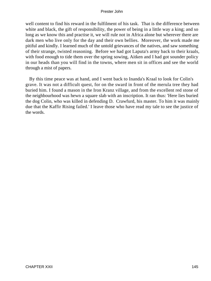well content to find his reward in the fulfilment of his task. That is the difference between white and black, the gift of responsibility, the power of being in a little way a king; and so long as we know this and practise it, we will rule not in Africa alone but wherever there are dark men who live only for the day and their own bellies. Moreover, the work made me pitiful and kindly. I learned much of the untold grievances of the natives, and saw something of their strange, twisted reasoning. Before we had got Laputa's army back to their kraals, with food enough to tide them over the spring sowing, Aitken and I had got sounder policy in our heads than you will find in the towns, where men sit in offices and see the world through a mist of papers.

 By this time peace was at hand, and I went back to Inanda's Kraal to look for Colin's grave. It was not a difficult quest, for on the sward in front of the merula tree they had buried him. I found a mason in the Iron Kranz village, and from the excellent red stone of the neighbourhood was hewn a square slab with an inscription. It ran thus: 'Here lies buried the dog Colin, who was killed in defending D. Crawfurd, his master. To him it was mainly due that the Kaffir Rising failed.' I leave those who have read my tale to see the justice of the words.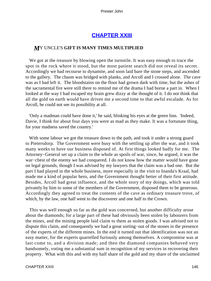# **[CHAPTER XXIII](#page-151-0)**

## <span id="page-146-0"></span>*M*Y UNCLE'S **GIFT IS MANY TIMES MULTIPLIED**

 We got at the treasure by blowing open the turnstile. It was easy enough to trace the spot in the rock where it stood, but the most patient search did not reveal its secret. Accordingly we had recourse to dynamite, and soon laid bare the stone steps, and ascended to the gallery. The chasm was bridged with planks, and Arcoll and I crossed alone. The cave was as I had left it. The bloodstains on the floor had grown dark with time, but the ashes of the sacramental fire were still there to remind me of the drama I had borne a part in. When I looked at the way I had escaped my brain grew dizzy at the thought of it. I do not think that all the gold on earth would have driven me a second time to that awful escalade. As for Arcoll, he could not see its possibility at all.

 'Only a madman could have done it,' he said, blinking his eyes at the green linn. 'Indeed, Davie, I think for about four days you were as mad as they make. It was a fortunate thing, for your madness saved the country.'

With some labour we got the treasure down to the path, and took it under a strong guard to Pietersdorp. The Government were busy with the settling up after the war, and it took many weeks to have our business disposed of. At first things looked badly for me. The Attorney−General set up a claim to the whole as spoils of war, since, he argued, it was the war−chest of the enemy we had conquered. I do not know how the matter would have gone on legal grounds, though I was advised by my lawyers that the claim was a bad one. But the part I had played in the whole business, more especially in the visit to Inanda's Kraal, had made me a kind of popular hero, and the Government thought better of their first attitude. Besides, Arcoll had great influence, and the whole story of my doings, which was told privately by him to some of the members of the Government, disposed them to be generous. Accordingly they agreed to treat the contents of the cave as ordinary treasure trove, of which, by the law, one half went to the discoverer and one half to the Crown.

 This was well enough so far as the gold was concerned, but another difficulty arose about the diamonds; for a large part of these had obviously been stolen by labourers from the mines, and the mining people laid claim to them as stolen goods. I was advised not to dispute this claim, and consequently we had a great sorting−out of the stones in the presence of the experts of the different mines. In the end it turned out that identification was not an easy matter, for the experts quarrelled furiously among themselves. A compromise was at last come to, and a division made; and then the diamond companies behaved very handsomely, voting me a substantial sum in recognition of my services in recovering their property. What with this and with my half share of the gold and my share of the unclaimed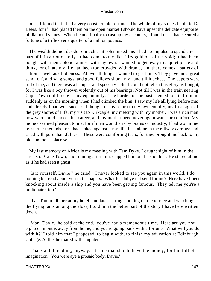stones, I found that I had a very considerable fortune. The whole of my stones I sold to De Beers, for if I had placed them on the open market I should have upset the delicate equipoise of diamond values. When I came finally to cast up my accounts, I found that I had secured a fortune of a trifle over a quarter of a million pounds.

 The wealth did not dazzle so much as it solemnized me. I had no impulse to spend any part of it in a riot of folly. It had come to me like fairy gold out of the void; it had been bought with men's blood, almost with my own. I wanted to get away to a quiet place and think, for of late my life had been too crowded with drama, and there comes a satiety of action as well as of idleness. Above all things I wanted to get home. They gave me a great send−off, and sang songs, and good fellows shook my hand till it ached. The papers were full of me, and there was a banquet and speeches. But I could not relish this glory as I ought, for I was like a boy thrown violently out of his bearings. Not till I was in the train nearing Cape Town did I recover my equanimity. The burden of the past seemed to slip from me suddenly as on the morning when I had climbed the linn. I saw my life all lying before me; and already I had won success. I thought of my return to my own country, my first sight of the grey shores of Fife, my visit to Kirkcaple, my meeting with my mother. I was a rich man now who could choose his career, and my mother need never again want for comfort. My money seemed pleasant to me, for if men won theirs by brains or industry, I had won mine by sterner methods, for I had staked against it my life. I sat alone in the railway carriage and cried with pure thankfulness. These were comforting tears, for they brought me back to my old common− place self.

 My last memory of Africa is my meeting with Tam Dyke. I caught sight of him in the streets of Cape Town, and running after him, clapped him on the shoulder. He stared at me as if he had seen a ghost.

 'Is it yourself, Davie?' he cried. 'I never looked to see you again in this world. I do nothing but read about you in the papers. What for did ye not send for me? Here have I been knocking about inside a ship and you have been getting famous. They tell me you're a millionaire, too.'

 I had Tam to dinner at my hotel, and later, sitting smoking on the terrace and watching the flying−ants among the aloes, I told him the better part of the story I have here written down.

 'Man, Davie,' he said at the end, 'you've had a tremendous time. Here are you not eighteen months away from home, and you're going back with a fortune. What will you do with it?' I told him that I proposed, to begin with, to finish my education at Edinburgh College. At this he roared with laughter.

 'That's a dull ending, anyway. It's me that should have the money, for I'm full of imagination. You were aye a prosaic body, Davie.'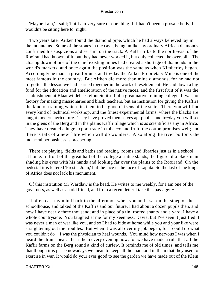'Maybe I am,' I said; 'but I am very sure of one thing. If I hadn't been a prosaic body, I wouldn't be sitting here to−night.'

 Two years later Aitken found the diamond pipe, which he had always believed lay in the mountains. Some of the stones in the cave, being unlike any ordinary African diamonds, confirmed his suspicions and set him on the track. A Kaffir tribe to the north−east of the Rooirand had known of it, but they had never worked it, but only collected the overspill. The closing down of one of the chief existing mines had created a shortage of diamonds in the world's markets, and once again the position was the same as when Kimberley began. Accordingly he made a great fortune, and to−day the Aitken Proprietary Mine is one of the most famous in the country. But Aitken did more than mine diamonds, for he had not forgotten the lesson we had learned together in the work of resettlement. He laid down a big fund for the education and amelioration of the native races, and the first fruit of it was the establishment at Blaauwildebeestefontein itself of a great native training college. It was no factory for making missionaries and black teachers, but an institution for giving the Kaffirs the kind of training which fits them to be good citizens of the state. There you will find every kind of technical workshop, and the finest experimental farms, where the blacks are taught modern agriculture. They have proved themselves apt pupils, and to−day you will see in the glens of the Berg and in the plains Kaffir tillage which is as scientific as any in Africa. They have created a huge export trade in tobacco and fruit; the cotton promises well; and there is talk of a new fibre which will do wonders. Also along the river bottoms the india−rubber business is prospering.

 There are playing−fields and baths and reading−rooms and libraries just as in a school at home. In front of the great hall of the college a statue stands, the figure of a black man shading his eyes with his hands and looking far over the plains to the Rooirand. On the pedestal it is lettered 'Prester John,' but the face is the face of Laputa. So the last of the kings of Africa does not lack his monument.

 Of this institution Mr Wardlaw is the head. He writes to me weekly, for I am one of the governors, as well as an old friend, and from a recent letter I take this passage: −

 'I often cast my mind back to the afternoon when you and I sat on the stoep of the schoolhouse, and talked of the Kaffirs and our future. I had about a dozen pupils then, and now I have nearly three thousand; and in place of a tin−roofed shanty and a yard, I have a whole countryside. You laughed at me for my keenness, Davie, but I've seen it justified. I was never a man of war like you, and so I had to bide at home while you and your like were straightening out the troubles. But when it was all over my job began, for I could do what you couldn't do − I was the physician to heal wounds. You mind how nervous I was when I heard the drums beat. I hear them every evening now, for we have made a rule that all the Kaffir farms on the Berg sound a kind of curfew. It reminds me of old times, and tells me that though it is peace nowadays we mean to keep all the manhood in them that they used to exercise in war. It would do your eyes good to see the garden we have made out of the Klein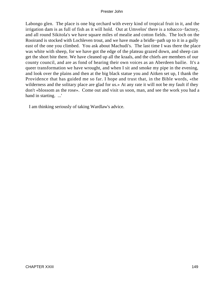Labongo glen. The place is one big orchard with every kind of tropical fruit in it, and the irrigation dam is as full of fish as it will hold. Out at Umvelos' there is a tobacco−factory, and all round Sikitola's we have square miles of mealie and cotton fields. The loch on the Rooirand is stocked with Lochleven trout, and we have made a bridle−path up to it in a gully east of the one you climbed. You ask about Machudi's. The last time I was there the place was white with sheep, for we have got the edge of the plateau grazed down, and sheep can get the short bite there. We have cleaned up all the kraals, and the chiefs are members of our county council, and are as fond of hearing their own voices as an Aberdeen bailie. It's a queer transformation we have wrought, and when I sit and smoke my pipe in the evening, and look over the plains and then at the big black statue you and Aitken set up, I thank the Providence that has guided me so far. I hope and trust that, in the Bible words, «the wilderness and the solitary place are glad for us.» At any rate it will not be my fault if they don't «blossom as the rose». Come out and visit us soon, man, and see the work you had a hand in starting. ...'

I am thinking seriously of taking Wardlaw's advice.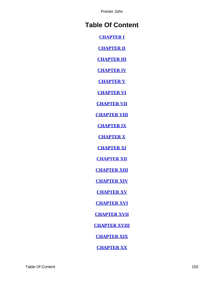# **Table Of Content**

**[CHAPTER I](#page-3-0)**

**[CHAPTER II](#page-11-0)**

**[CHAPTER III](#page-20-0)**

**[CHAPTER IV](#page-26-0)**

**[CHAPTER V](#page-33-0)**

**[CHAPTER VI](#page-38-0)**

**[CHAPTER VII](#page-45-0)**

**[CHAPTER VIII](#page-55-0)**

**[CHAPTER IX](#page-60-0)**

**[CHAPTER X](#page-67-0)**

**[CHAPTER XI](#page-71-0)**

**[CHAPTER XII](#page-77-0)**

**[CHAPTER XIII](#page-85-0)**

**[CHAPTER XIV](#page-89-0)**

**[CHAPTER XV](#page-96-0)**

**[CHAPTER XVI](#page-101-0)**

**[CHAPTER XVII](#page-108-0)**

**[CHAPTER XVIII](#page-116-0)**

**[CHAPTER XIX](#page-121-0)**

**[CHAPTER XX](#page-127-0)**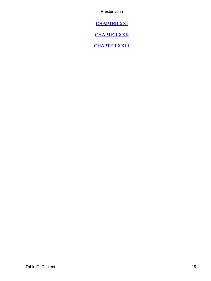<span id="page-151-0"></span>**[CHAPTER XXI](#page-134-0)**

**[CHAPTER XXII](#page-140-0)**

**[CHAPTER XXIII](#page-146-0)**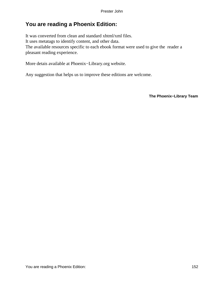# **You are reading a Phoenix Edition:**

It was converted from clean and standard xhtml/xml files. It uses metatags to identify content, and other data. The available resources specific to each ebook format were used to give the reader a pleasant reading experience.

More detais available at Phoenix−Library.org website.

Any suggestion that helps us to improve these editions are welcome.

**The Phoenix−Library Team**